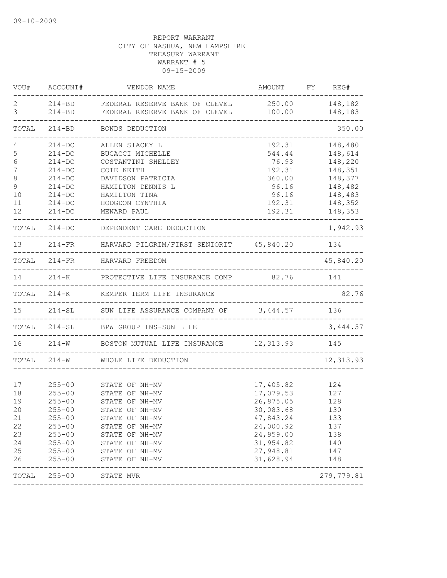| VOU#                                                     | ACCOUNT#                                                                                                                                 | VENDOR NAME                                                                                                                                                                      | AMOUNT                                                                                                                         | FY REG#                                                            |
|----------------------------------------------------------|------------------------------------------------------------------------------------------------------------------------------------------|----------------------------------------------------------------------------------------------------------------------------------------------------------------------------------|--------------------------------------------------------------------------------------------------------------------------------|--------------------------------------------------------------------|
| 2<br>3                                                   |                                                                                                                                          | 214-BD FEDERAL RESERVE BANK OF CLEVEL<br>214-BD FEDERAL RESERVE BANK OF CLEVEL<br>-------------------------------------                                                          | 250.00<br>100.00                                                                                                               | 148,182<br>148,183                                                 |
| TOTAL                                                    | $214 - BD$                                                                                                                               | BONDS DEDUCTION                                                                                                                                                                  |                                                                                                                                | 350.00                                                             |
| 4<br>5<br>6<br>7<br>8<br>9                               | $214 - DC$<br>$214 - DC$<br>$214 - DC$<br>$214 - DC$<br>$214 - DC$<br>$214-DC$                                                           | ALLEN STACEY L<br>BUCACCI MICHELLE<br>COSTANTINI SHELLEY<br>COTE KEITH<br>DAVIDSON PATRICIA<br>HAMILTON DENNIS L                                                                 | 192.31<br>544.44<br>76.93<br>192.31<br>360.00<br>96.16                                                                         | 148,480<br>148,614<br>148,220<br>148,351<br>148,377<br>148,482     |
| 10<br>11<br>12                                           | $214 - DC$<br>$214 - DC$<br>$214 - DC$                                                                                                   | HAMILTON TINA<br>HODGDON CYNTHIA<br>MENARD PAUL                                                                                                                                  | 96.16<br>192.31<br>192.31                                                                                                      | 148,483<br>148,352<br>148,353                                      |
|                                                          |                                                                                                                                          | TOTAL 214-DC DEPENDENT CARE DEDUCTION                                                                                                                                            |                                                                                                                                | 1,942.93                                                           |
| 13                                                       |                                                                                                                                          | 214-FR HARVARD PILGRIM/FIRST SENIORIT 45,840.20 134                                                                                                                              |                                                                                                                                |                                                                    |
|                                                          |                                                                                                                                          | TOTAL 214-FR HARVARD FREEDOM                                                                                                                                                     |                                                                                                                                | 45,840.20                                                          |
| 14                                                       |                                                                                                                                          | 214-K PROTECTIVE LIFE INSURANCE COMP 82.76                                                                                                                                       |                                                                                                                                | 141                                                                |
|                                                          |                                                                                                                                          | TOTAL 214-K KEMPER TERM LIFE INSURANCE                                                                                                                                           |                                                                                                                                | 82.76                                                              |
| 15                                                       |                                                                                                                                          | 214-SL SUN LIFE ASSURANCE COMPANY OF 3,444.57<br>___________________                                                                                                             |                                                                                                                                | 136                                                                |
|                                                          |                                                                                                                                          | TOTAL 214-SL BPW GROUP INS-SUN LIFE<br>-----------------------                                                                                                                   |                                                                                                                                | 3,444.57                                                           |
|                                                          |                                                                                                                                          | 16 214-W BOSTON MUTUAL LIFE INSURANCE 12,313.93 145<br>--------------------------------                                                                                          |                                                                                                                                |                                                                    |
|                                                          | TOTAL 214-W                                                                                                                              | WHOLE LIFE DEDUCTION<br>___________________                                                                                                                                      |                                                                                                                                | 12, 313.93                                                         |
| 17<br>18<br>19<br>20<br>21<br>22<br>23<br>24<br>25<br>26 | $255 - 00$<br>$255 - 00$<br>$255 - 00$<br>$255 - 00$<br>$255 - 00$<br>$255 - 00$<br>$255 - 00$<br>$255 - 00$<br>$255 - 00$<br>$255 - 00$ | STATE OF NH-MV<br>STATE OF NH-MV<br>STATE OF NH-MV<br>STATE OF NH-MV<br>STATE OF NH-MV<br>STATE OF NH-MV<br>STATE OF NH-MV<br>STATE OF NH-MV<br>STATE OF NH-MV<br>STATE OF NH-MV | 17,405.82<br>17,079.53<br>26,875.05<br>30,083.68<br>47,843.24<br>24,000.92<br>24,959.00<br>31,954.82<br>27,948.81<br>31,628.94 | 124<br>127<br>128<br>130<br>133<br>137<br>138<br>140<br>147<br>148 |
| TOTAL                                                    | $255 - 00$                                                                                                                               | STATE MVR                                                                                                                                                                        |                                                                                                                                | 279,779.81                                                         |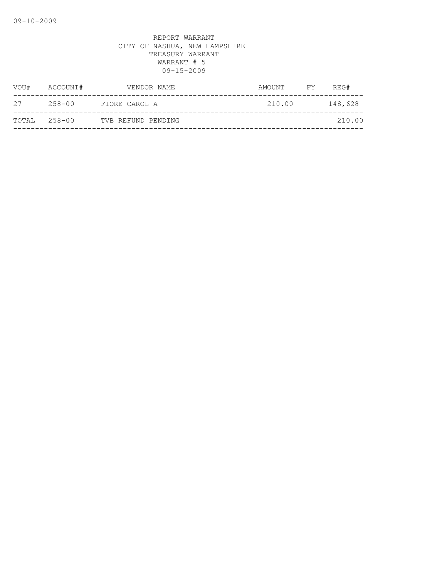| VOU#         | ACCOUNT# | VENDOR NAME        | AMOUNT | FY | REG#    |
|--------------|----------|--------------------|--------|----|---------|
| 27           | 258-00   | FIORE CAROL A      | 210.00 |    | 148,628 |
| TOTAL 258-00 |          | TVB REFUND PENDING |        |    | 210.00  |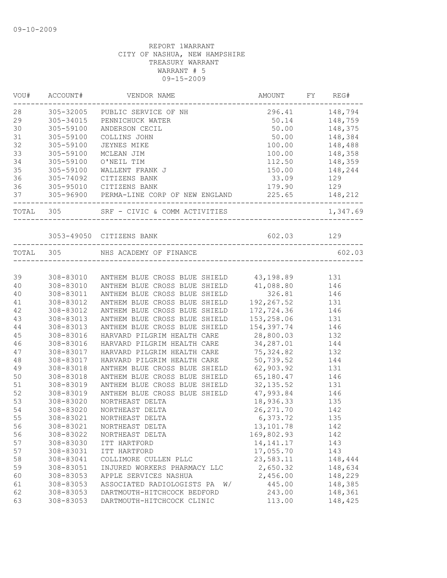| VOU#   | ACCOUNT#  | VENDOR NAME                                                        | AMOUNT                                 | FY | REG#             |
|--------|-----------|--------------------------------------------------------------------|----------------------------------------|----|------------------|
| 28     |           | 305-32005 PUBLIC SERVICE OF NH                                     |                                        |    | 296.41 148,794   |
| 29     | 305-34015 | PENNICHUCK WATER                                                   | 50.14 148,759                          |    |                  |
| 30     | 305-59100 | ANDERSON CECIL                                                     |                                        |    | 50.00    148,375 |
| 31     | 305-59100 | COLLINS JOHN                                                       | 50.00                                  |    | 148,384          |
| 32     | 305-59100 | <b>JEYNES MIKE</b>                                                 | 100.00                                 |    | 148,488          |
| 33     | 305-59100 | MCLEAN JIM                                                         | 100.00                                 |    | 148,358          |
| 34     | 305-59100 | O'NEIL TIM                                                         | 112.50                                 |    | 148,359          |
| 35     | 305-59100 | WALLENT FRANK J                                                    | 150.00                                 |    | 148,244          |
| 36     | 305-74092 | CITIZENS BANK                                                      | 33.09 129                              |    |                  |
| 36     |           | 305-95010 CITIZENS BANK                                            | 179.90 129                             |    |                  |
| 37     |           | 305-96900 PERMA-LINE CORP OF NEW ENGLAND 225.65 148,212            | ______________________                 |    |                  |
|        | TOTAL 305 | SRF - CIVIC & COMM ACTIVITIES                                      |                                        |    | 1,347.69         |
|        |           | 3053-49050 CITIZENS BANK 602.03 129                                |                                        |    |                  |
|        |           | TOTAL 305 NHS ACADEMY OF FINANCE                                   |                                        |    | 602.03           |
|        |           |                                                                    | ______________________________________ |    |                  |
| 39     |           | 308-83010 ANTHEM BLUE CROSS BLUE SHIELD 43,198.89 131              |                                        |    |                  |
| 40     | 308-83010 | ANTHEM BLUE CROSS BLUE SHIELD 41,088.80 146                        |                                        |    |                  |
| 40     | 308-83011 | ANTHEM BLUE CROSS BLUE SHIELD<br>ANTHEM BLUE CROSS BLUE SHIELD 192 | 326.81                                 |    | 146              |
| 41     | 308-83012 |                                                                    | 192, 267.52                            |    | $\frac{131}{1}$  |
| 42     | 308-83012 | ANTHEM BLUE CROSS BLUE SHIELD                                      | 172,724.36                             |    | 146              |
| 43     | 308-83013 | ANTHEM BLUE CROSS BLUE SHIELD                                      | 153, 258.06 131                        |    |                  |
| $4\,4$ | 308-83013 | ANTHEM BLUE CROSS BLUE SHIELD                                      | 154,397.74 146                         |    |                  |
| 45     | 308-83016 | HARVARD PILGRIM HEALTH CARE                                        | 28,800.03 132                          |    |                  |
| 46     | 308-83016 | HARVARD PILGRIM HEALTH CARE                                        | 34, 287.01 144                         |    |                  |
| 47     | 308-83017 | HARVARD PILGRIM HEALTH CARE                                        | 75, 324.82 132                         |    |                  |
| 48     | 308-83017 | HARVARD PILGRIM HEALTH CARE                                        | 50,739.52                              |    | 144              |
| 49     | 308-83018 | ANTHEM BLUE CROSS BLUE SHIELD                                      | 62,903.92                              |    | 131              |
| 50     | 308-83018 | ANTHEM BLUE CROSS BLUE SHIELD                                      | 65,180.47                              |    | 146              |
| 51     | 308-83019 | ANTHEM BLUE CROSS BLUE SHIELD                                      | 32, 135.52                             |    | 131              |
| 52     | 308-83019 | ANTHEM BLUE CROSS BLUE SHIELD                                      | 47,993.84                              |    | 146              |
| 53     | 308-83020 | NORTHEAST DELTA                                                    | 18,936.33 135                          |    |                  |
| 54     | 308-83020 | NORTHEAST DELTA                                                    | 26, 271.70 142                         |    |                  |
| 55     | 308-83021 | NORTHEAST DELTA                                                    | 6,373.72                               |    | 135              |
| 56     | 308-83021 | NORTHEAST DELTA                                                    | 13,101.78                              |    | 142              |
| 56     | 308-83022 | NORTHEAST DELTA                                                    | 169,802.93                             |    | 142              |
| 57     | 308-83030 | ITT HARTFORD                                                       | 14, 141. 17                            |    | 143              |
| 57     | 308-83031 | ITT HARTFORD                                                       | 17,055.70                              |    | 143              |
| 58     | 308-83041 | COLLIMORE CULLEN PLLC                                              | 23,583.11                              |    | 148,444          |
| 59     | 308-83051 | INJURED WORKERS PHARMACY LLC                                       | 2,650.32                               |    | 148,634          |
| 60     | 308-83053 | APPLE SERVICES NASHUA                                              | 2,456.00                               |    | 148,229          |
| 61     | 308-83053 | ASSOCIATED RADIOLOGISTS PA<br>W/                                   | 445.00                                 |    | 148,385          |
| 62     | 308-83053 | DARTMOUTH-HITCHCOCK BEDFORD                                        | 243.00                                 |    | 148,361          |
| 63     | 308-83053 | DARTMOUTH-HITCHCOCK CLINIC                                         | 113.00                                 |    | 148,425          |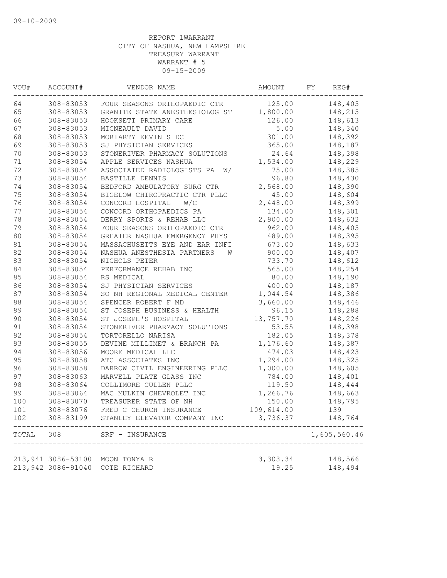| VOU#   | ACCOUNT#           | VENDOR NAME                      | AMOUNT     | FΥ | REG#         |
|--------|--------------------|----------------------------------|------------|----|--------------|
| 64     | 308-83053          | FOUR SEASONS ORTHOPAEDIC CTR     | 125.00     |    | 148,405      |
| 65     | 308-83053          | GRANITE STATE ANESTHESIOLOGIST   | 1,800.00   |    | 148,215      |
| 66     | 308-83053          | HOOKSETT PRIMARY CARE            | 126.00     |    | 148,613      |
| 67     | 308-83053          | MIGNEAULT DAVID                  | 5.00       |    | 148,340      |
| 68     | 308-83053          | MORIARTY KEVIN S DC              | 301.00     |    | 148,392      |
| 69     | 308-83053          | SJ PHYSICIAN SERVICES            | 365.00     |    | 148,187      |
| $70$   | 308-83053          | STONERIVER PHARMACY SOLUTIONS    | 24.64      |    | 148,398      |
| 71     | 308-83054          | APPLE SERVICES NASHUA            | 1,534.00   |    | 148,229      |
| 72     | 308-83054          | ASSOCIATED RADIOLOGISTS PA<br>W/ | 75.00      |    | 148,385      |
| 73     | 308-83054          | BASTILLE DENNIS                  | 96.80      |    | 148,430      |
| 74     | 308-83054          | BEDFORD AMBULATORY SURG CTR      | 2,568.00   |    | 148,390      |
| 75     | 308-83054          | BIGELOW CHIROPRACTIC CTR PLLC    | 45.00      |    | 148,604      |
| 76     | 308-83054          | W/C<br>CONCORD HOSPITAL          | 2,448.00   |    | 148,399      |
| 77     | 308-83054          | CONCORD ORTHOPAEDICS PA          | 134.00     |    | 148,301      |
| 78     | 308-83054          | DERRY SPORTS & REHAB LLC         | 2,900.00   |    | 148,632      |
| 79     | 308-83054          | FOUR SEASONS ORTHOPAEDIC CTR     | 962.00     |    | 148,405      |
| 80     | 308-83054          | GREATER NASHUA EMERGENCY PHYS    | 489.00     |    | 148,395      |
| 81     | 308-83054          | MASSACHUSETTS EYE AND EAR INFI   | 673.00     |    | 148,633      |
| 82     | 308-83054          | NASHUA ANESTHESIA PARTNERS<br>W  | 900.00     |    | 148,407      |
| 83     | 308-83054          | NICHOLS PETER                    | 733.70     |    | 148,612      |
| 84     | 308-83054          | PERFORMANCE REHAB INC            | 565.00     |    | 148,254      |
| 85     | 308-83054          | RS MEDICAL                       | 80.00      |    | 148,190      |
| 86     | 308-83054          | SJ PHYSICIAN SERVICES            | 400.00     |    | 148,187      |
| 87     | 308-83054          | SO NH REGIONAL MEDICAL CENTER    | 1,044.54   |    | 148,386      |
| $8\,8$ | 308-83054          | SPENCER ROBERT F MD              | 3,660.00   |    | 148,446      |
| 89     | 308-83054          | ST JOSEPH BUSINESS & HEALTH      | 96.15      |    | 148,288      |
| $90$   | 308-83054          | ST JOSEPH'S HOSPITAL             | 13,757.70  |    | 148,226      |
| 91     | 308-83054          | STONERIVER PHARMACY SOLUTIONS    | 53.55      |    | 148,398      |
| 92     | 308-83054          | TORTORELLO NARISA                | 182.05     |    | 148,378      |
| 93     | 308-83055          | DEVINE MILLIMET & BRANCH PA      | 1,176.60   |    | 148,387      |
| 94     | 308-83056          | MOORE MEDICAL LLC                | 474.03     |    | 148,423      |
| 95     | 308-83058          | ATC ASSOCIATES INC               | 1,294.00   |    | 148,325      |
| 96     | 308-83058          | DARROW CIVIL ENGINEERING PLLC    | 1,000.00   |    | 148,605      |
| 97     | 308-83063          | MARVELL PLATE GLASS INC          | 784.00     |    | 148,401      |
| 98     | 308-83064          | COLLIMORE CULLEN PLLC            | 119.50     |    | 148,444      |
| 99     | 308-83064          | MAC MULKIN CHEVROLET INC         | 1,266.76   |    | 148,663      |
| 100    | 308-83070          | TREASURER STATE OF NH            | 150.00     |    | 148,795      |
| 101    | 308-83076          | FRED C CHURCH INSURANCE          | 109,614.00 |    | 139          |
| 102    | 308-83199          | STANLEY ELEVATOR COMPANY INC     | 3,736.37   |    | 148,764      |
| TOTAL  | 308                | SRF - INSURANCE                  |            |    | 1,605,560.46 |
|        |                    |                                  |            |    |              |
|        | 213,941 3086-53100 | MOON TONYA R                     | 3,303.34   |    | 148,566      |
|        | 213,942 3086-91040 | COTE RICHARD                     | 19.25      |    | 148,494      |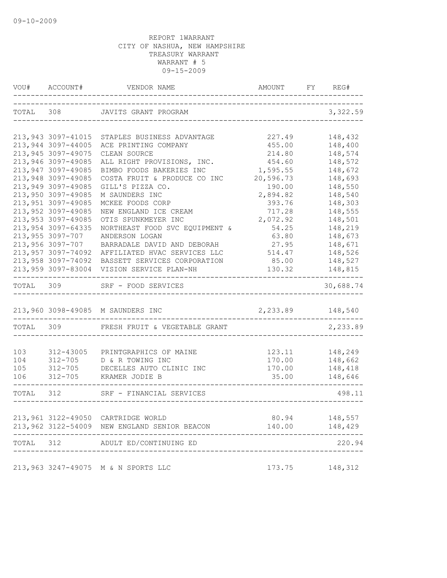| VOU#      | ACCOUNT#           | VENDOR NAME                                  | AMOUNT             | FY REG#             |
|-----------|--------------------|----------------------------------------------|--------------------|---------------------|
| TOTAL     |                    | 308 JAVITS GRANT PROGRAM                     |                    | 3,322.59            |
|           |                    |                                              |                    |                     |
|           | 213,943 3097-41015 | STAPLES BUSINESS ADVANTAGE                   | 227.49             | 148,432             |
|           | 213,944 3097-44005 | ACE PRINTING COMPANY                         | 455.00             | 148,400             |
|           | 213,945 3097-49075 | CLEAN SOURCE                                 | 214.80             | 148,574             |
|           | 213,946 3097-49085 | ALL RIGHT PROVISIONS, INC.                   | 454.60             | 148,572             |
|           | 213,947 3097-49085 | BIMBO FOODS BAKERIES INC                     | 1,595.55           | 148,672             |
|           | 213,948 3097-49085 | COSTA FRUIT & PRODUCE CO INC                 | 20,596.73          | 148,693             |
|           | 213,949 3097-49085 | GILL'S PIZZA CO.                             | 190.00             | 148,550             |
|           | 213,950 3097-49085 | M SAUNDERS INC                               | 2,894.82           | 148,540             |
|           | 213,951 3097-49085 | MCKEE FOODS CORP                             | 393.76             | 148,303             |
|           | 213,952 3097-49085 | NEW ENGLAND ICE CREAM                        | 717.28             | 148,555             |
|           | 213,953 3097-49085 | OTIS SPUNKMEYER INC                          | 2,072.92           | 148,501             |
|           | 213,954 3097-64335 | NORTHEAST FOOD SVC EQUIPMENT &               | 54.25              | 148,219             |
|           | 213,955 3097-707   | ANDERSON LOGAN                               | 63.80              | 148,673             |
|           | 213,956 3097-707   | BARRADALE DAVID AND DEBORAH                  | 27.95              | 148,671             |
|           | 213,957 3097-74092 | AFFILIATED HVAC SERVICES LLC                 | 514.47             | 148,526             |
|           | 213,958 3097-74092 | BASSETT SERVICES CORPORATION                 | 85.00              | 148,527             |
|           | 213,959 3097-83004 | VISION SERVICE PLAN-NH                       | 130.32             | 148,815<br>$------$ |
| TOTAL     |                    | 309 SRF - FOOD SERVICES                      |                    | 30,688.74           |
|           |                    | 213,960 3098-49085 M SAUNDERS INC            | 2, 233.89 148, 540 |                     |
|           |                    | TOTAL 309 FRESH FRUIT & VEGETABLE GRANT      |                    | 2,233.89            |
|           |                    |                                              |                    |                     |
| 103       | 312-43005          | PRINTGRAPHICS OF MAINE                       | 123.11             | 148,249             |
| 104       | $312 - 705$        | D & R TOWING INC                             | 170.00             | 148,662             |
| 105       |                    | 312-705 DECELLES AUTO CLINIC INC             | 170.00             | 148,418             |
| 106       | 312-705            | KRAMER JODIE B                               | 35.00              | 148,646             |
| TOTAL 312 |                    | SRF - FINANCIAL SERVICES                     |                    | 498.11              |
|           |                    |                                              |                    |                     |
|           |                    | 213,961 3122-49050 CARTRIDGE WORLD           | 80.94              | 148,557             |
|           |                    | 213,962 3122-54009 NEW ENGLAND SENIOR BEACON | 140.00             | 148,429             |
| TOTAL 312 |                    | ADULT ED/CONTINUING ED                       |                    | 220.94              |
|           |                    |                                              |                    |                     |
|           |                    | 213,963 3247-49075 M & N SPORTS LLC          | 173.75             | 148,312             |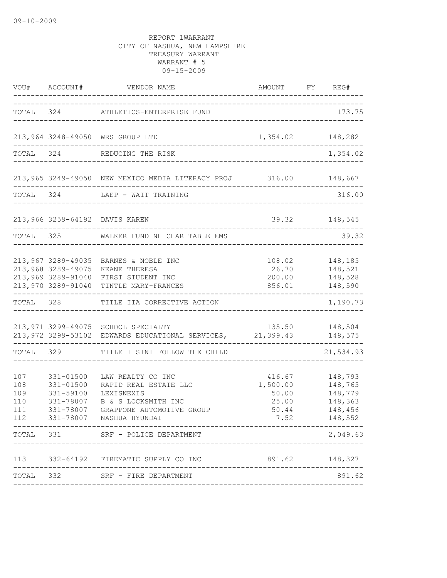|                                        |                                                                   | VOU# ACCOUNT# VENDOR NAME                                                                                                                | AMOUNT FY REG#                                        |                                                                |
|----------------------------------------|-------------------------------------------------------------------|------------------------------------------------------------------------------------------------------------------------------------------|-------------------------------------------------------|----------------------------------------------------------------|
|                                        |                                                                   | TOTAL 324 ATHLETICS-ENTERPRISE FUND                                                                                                      |                                                       | 173.75                                                         |
|                                        |                                                                   | 213,964 3248-49050 WRS GROUP LTD<br>---------------------                                                                                | 1,354.02 148,282                                      |                                                                |
|                                        |                                                                   | TOTAL 324 REDUCING THE RISK                                                                                                              |                                                       | 1,354.02                                                       |
|                                        |                                                                   | 213,965 3249-49050 NEW MEXICO MEDIA LITERACY PROJ 316.00 148,667                                                                         | ------------------------------                        |                                                                |
| TOTAL 324                              |                                                                   | LAEP - WAIT TRAINING                                                                                                                     | ____________________________________                  | 316.00                                                         |
|                                        |                                                                   | 213,966 3259-64192 DAVIS KAREN                                                                                                           |                                                       | 39.32 148,545                                                  |
| TOTAL 325                              |                                                                   | WALKER FUND NH CHARITABLE EMS                                                                                                            |                                                       | 39.32                                                          |
|                                        | 213,968 3289-49075                                                | 213,967 3289-49035 BARNES & NOBLE INC<br>KEANE THERESA<br>213,969 3289-91040 FIRST STUDENT INC<br>213,970 3289-91040 TINTLE MARY-FRANCES | 200.00<br>856.01                                      | 108.02 148,185<br>26.70 148,521<br>148,528<br>148,590          |
| TOTAL                                  | 328                                                               | TITLE IIA CORRECTIVE ACTION                                                                                                              |                                                       | ---------<br>1,190.73                                          |
|                                        |                                                                   | 213,971 3299-49075 SCHOOL SPECIALTY<br>213,972 3299-53102 EDWARDS EDUCATIONAL SERVICES, 21,399.43                                        |                                                       | 135.50 148,504<br>148,575                                      |
|                                        | TOTAL 329                                                         | TITLE I SINI FOLLOW THE CHILD                                                                                                            |                                                       | 21,534.93                                                      |
| 107<br>108<br>109<br>110<br>111<br>112 | 331-01500<br>$331 - 01500$<br>331-59100<br>331-78007<br>331-78007 | LAW REALTY CO INC<br>RAPID REAL ESTATE LLC<br>LEXISNEXIS<br>B & S LOCKSMITH INC<br>GRAPPONE AUTOMOTIVE GROUP<br>331-78007 NASHUA HYUNDAI | 416.67<br>1,500.00<br>50.00<br>25.00<br>50.44<br>7.52 | 148,793<br>148,765<br>148,779<br>148,363<br>148,456<br>148,552 |
| TOTAL 331                              |                                                                   | __________________<br>SRF - POLICE DEPARTMENT                                                                                            |                                                       | 2,049.63                                                       |
|                                        |                                                                   | 113 332-64192 FIREMATIC SUPPLY CO INC                                                                                                    | 891.62 148,327                                        |                                                                |
|                                        |                                                                   | TOTAL 332 SRF - FIRE DEPARTMENT                                                                                                          |                                                       | 891.62                                                         |
|                                        |                                                                   |                                                                                                                                          |                                                       |                                                                |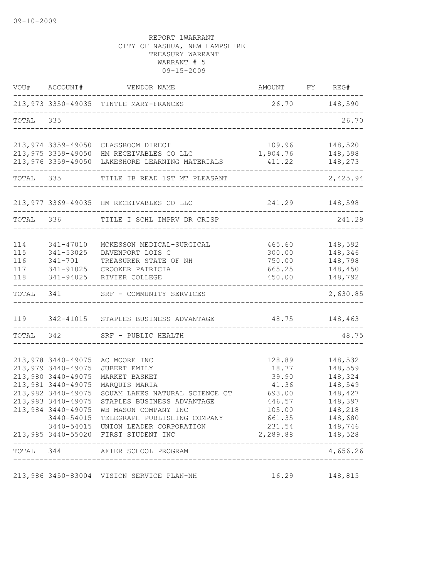|           | VOU# ACCOUNT#                            | VENDOR NAME                                                                                                                             | AMOUNT FY REG#     |                             |
|-----------|------------------------------------------|-----------------------------------------------------------------------------------------------------------------------------------------|--------------------|-----------------------------|
|           |                                          | 213,973 3350-49035 TINTLE MARY-FRANCES                                                                                                  | 26.70 148,590      |                             |
| TOTAL 335 |                                          |                                                                                                                                         |                    | 26.70                       |
|           |                                          | 213,974 3359-49050 CLASSROOM DIRECT                                                                                                     | 109.96             | 148,520                     |
|           |                                          | 213,975 3359-49050 HM RECEIVABLES CO LLC<br>213,976 3359-49050 HM RECEIVABLES CO LLC<br>213,976 3359-49050 LAKESHORE LEARNING MATERIALS | 1,904.76<br>411.22 | 148,598<br>148,273          |
|           | TOTAL 335                                | TITLE IB READ 1ST MT PLEASANT                                                                                                           | __________________ | 2,425.94                    |
|           |                                          | 213,977 3369-49035 HM RECEIVABLES CO LLC                                                                                                | 241.29 148,598     |                             |
|           | TOTAL 336                                | TITLE I SCHL IMPRV DR CRISP                                                                                                             |                    | 241.29                      |
| 114       | 341-47010                                | MCKESSON MEDICAL-SURGICAL                                                                                                               | 465.60             | 148,592                     |
| 115       | 341-53025                                | DAVENPORT LOIS C                                                                                                                        | 300.00             | 148,346                     |
| 116       | 341-701                                  | TREASURER STATE OF NH                                                                                                                   | 750.00             | 148,798                     |
|           |                                          | 117 341-91025 CROOKER PATRICIA                                                                                                          | 665.25             | 148,450                     |
| 118       | 341-94025                                | RIVIER COLLEGE                                                                                                                          | 450.00             | 148,792<br>---------------- |
|           |                                          | TOTAL 341 SRF - COMMUNITY SERVICES                                                                                                      |                    | 2,630.85                    |
|           |                                          | 119 342-41015 STAPLES BUSINESS ADVANTAGE 48.75 148,463                                                                                  |                    |                             |
|           |                                          | TOTAL 342 SRF - PUBLIC HEALTH                                                                                                           |                    | 48.75                       |
|           |                                          |                                                                                                                                         |                    |                             |
|           | 213,978 3440-49075                       | AC MOORE INC                                                                                                                            | 128.89             | 148,532                     |
|           | 213,979 3440-49075                       | JUBERT EMILY                                                                                                                            | 18.77              | 148,559                     |
|           | 213,980 3440-49075                       | MARKET BASKET                                                                                                                           | 39.90              | 148,324                     |
|           | 213,981 3440-49075<br>213,982 3440-49075 | MARQUIS MARIA                                                                                                                           | 41.36              | 148,549                     |
|           | 213,983 3440-49075                       | SQUAM LAKES NATURAL SCIENCE CT<br>STAPLES BUSINESS ADVANTAGE                                                                            | 693.00<br>446.57   | 148,427<br>148,397          |
|           | 213,984 3440-49075                       | WB MASON COMPANY INC                                                                                                                    | 105.00             | 148,218                     |
|           |                                          | 3440-54015 TELEGRAPH PUBLISHING COMPANY                                                                                                 | 661.35             | 148,680                     |
|           |                                          | 3440-54015 UNION LEADER CORPORATION                                                                                                     |                    | 231.54 148,746              |
|           |                                          | 213,985 3440-55020 FIRST STUDENT INC                                                                                                    | 2,289.88 148,528   |                             |
|           |                                          | TOTAL 344 AFTER SCHOOL PROGRAM<br>------------------------                                                                              |                    | ------<br>4,656.26          |
|           |                                          |                                                                                                                                         |                    |                             |
|           |                                          | 213,986 3450-83004 VISION SERVICE PLAN-NH                                                                                               | 16.29              | 148,815                     |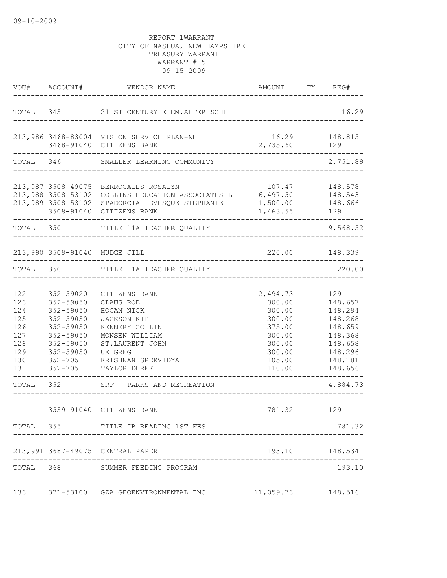|                                                                    | VOU# ACCOUNT#                                                                                                                      | VENDOR NAME                                                                                                                                                           | AMOUNT FY REG#                                                                                     |                                                                                                        |
|--------------------------------------------------------------------|------------------------------------------------------------------------------------------------------------------------------------|-----------------------------------------------------------------------------------------------------------------------------------------------------------------------|----------------------------------------------------------------------------------------------------|--------------------------------------------------------------------------------------------------------|
|                                                                    |                                                                                                                                    | TOTAL 345 21 ST CENTURY ELEM.AFTER SCHL                                                                                                                               |                                                                                                    | 16.29                                                                                                  |
|                                                                    |                                                                                                                                    | 213,986 3468-83004 VISION SERVICE PLAN-NH<br>3468-91040 CITIZENS BANK                                                                                                 | 16.29 148,815<br>2,735.60                                                                          | 129                                                                                                    |
|                                                                    |                                                                                                                                    | TOTAL 346 SMALLER LEARNING COMMUNITY                                                                                                                                  |                                                                                                    | 2,751.89                                                                                               |
|                                                                    | 213,989 3508-53102<br>3508-91040                                                                                                   | 213,987 3508-49075 BERROCALES ROSALYN<br>213,988 3508-53102 COLLINS EDUCATION ASSOCIATES L 6,497.50 148,543<br>SPADORCIA LEVESQUE STEPHANIE 1,500.00<br>CITIZENS BANK | 107.47<br>1,463.55                                                                                 | 148,578<br>148,666<br>129                                                                              |
| TOTAL 350                                                          |                                                                                                                                    | TITLE 11A TEACHER QUALITY                                                                                                                                             |                                                                                                    | 9,568.52                                                                                               |
|                                                                    |                                                                                                                                    | 213,990 3509-91040 MUDGE JILL                                                                                                                                         |                                                                                                    | 220.00 148,339                                                                                         |
| TOTAL 350                                                          |                                                                                                                                    | TITLE 11A TEACHER QUALITY                                                                                                                                             | ----------------                                                                                   | 220.00                                                                                                 |
| 122<br>123<br>124<br>125<br>126<br>127<br>128<br>129<br>130<br>131 | 352-59020<br>352-59050<br>352-59050<br>352-59050<br>352-59050<br>352-59050<br>352-59050<br>352-59050<br>$352 - 705$<br>$352 - 705$ | CITIZENS BANK<br>CLAUS ROB<br>HOGAN NICK<br>JACKSON KIP<br>KENNERY COLLIN<br>MONSEN WILLIAM<br>ST.LAURENT JOHN<br>UX GREG<br>KRISHNAN SREEVIDYA<br>TAYLOR DEREK       | 2,494.73<br>300.00<br>300.00<br>300.00<br>375.00<br>300.00<br>300.00<br>300.00<br>105.00<br>110.00 | 129<br>148,657<br>148,294<br>148,268<br>148,659<br>148,368<br>148,658<br>148,296<br>148,181<br>148,656 |
| TOTAL 352                                                          |                                                                                                                                    | SRF - PARKS AND RECREATION                                                                                                                                            |                                                                                                    | 4,884.73                                                                                               |
|                                                                    |                                                                                                                                    | 3559-91040 CITIZENS BANK                                                                                                                                              | 781.32 129                                                                                         |                                                                                                        |
|                                                                    |                                                                                                                                    | TOTAL 355 TITLE IB READING 1ST FES                                                                                                                                    |                                                                                                    | 781.32                                                                                                 |
|                                                                    |                                                                                                                                    | 213,991 3687-49075 CENTRAL PAPER                                                                                                                                      |                                                                                                    | 193.10 148,534                                                                                         |
|                                                                    |                                                                                                                                    | TOTAL 368 SUMMER FEEDING PROGRAM                                                                                                                                      |                                                                                                    | 193.10                                                                                                 |
| 133                                                                |                                                                                                                                    | 371-53100 GZA GEOENVIRONMENTAL INC                                                                                                                                    | $11,059.73$ 148,516                                                                                |                                                                                                        |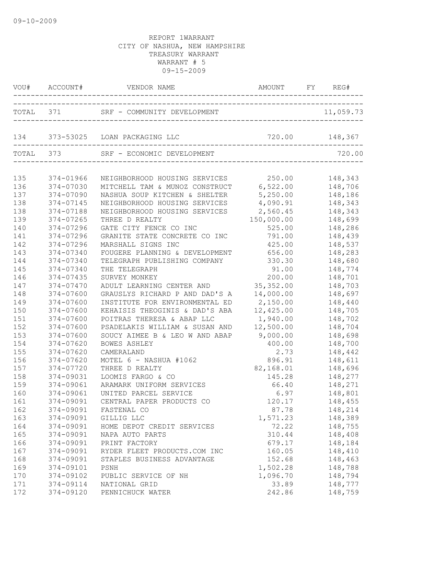|     |           | VOU# ACCOUNT# VENDOR NAME                                                       | AMOUNT FY REG# |         |
|-----|-----------|---------------------------------------------------------------------------------|----------------|---------|
|     |           |                                                                                 |                |         |
|     |           | 134 373-53025 LOAN PACKAGING LLC                                                | 720.00 148,367 |         |
|     |           | TOTAL 373 SRF - ECONOMIC DEVELOPMENT                                            |                | 720.00  |
| 135 | 374-01966 | NEIGHBORHOOD HOUSING SERVICES 250.00<br>MITCHELL TAM & MUNOZ CONSTRUCT 6,522.00 |                | 148,343 |
| 136 | 374-07030 |                                                                                 |                | 148,706 |
| 137 | 374-07090 | NASHUA SOUP KITCHEN & SHELTER                                                   | 5,250.00       | 148,186 |
| 138 | 374-07145 | NEIGHBORHOOD HOUSING SERVICES                                                   | 4,090.91       | 148,343 |
| 138 | 374-07188 | NEIGHBORHOOD HOUSING SERVICES                                                   | 2,560.45       | 148,343 |
| 139 | 374-07265 | THREE D REALTY                                                                  | 150,000.00     | 148,699 |
| 140 | 374-07296 | GATE CITY FENCE CO INC                                                          | 525.00         | 148,286 |
| 141 | 374-07296 | GRANITE STATE CONCRETE CO INC                                                   | 791.00         | 148,439 |
| 142 | 374-07296 | MARSHALL SIGNS INC                                                              | 425.00         | 148,537 |
| 143 | 374-07340 | FOUGERE PLANNING & DEVELOPMENT                                                  | 656.00         | 148,283 |
| 144 | 374-07340 | TELEGRAPH PUBLISHING COMPANY                                                    | 330.30         | 148,680 |
| 145 | 374-07340 | THE TELEGRAPH                                                                   | 91.00          | 148,774 |
| 146 | 374-07435 | SURVEY MONKEY                                                                   | 200.00         | 148,701 |
| 147 | 374-07470 | ADULT LEARNING CENTER AND                                                       | 35, 352.00     | 148,703 |
| 148 | 374-07600 | GRAUSLYS RICHARD P AND DAD'S A                                                  | 14,000.00      | 148,697 |
| 149 | 374-07600 | INSTITUTE FOR ENVIRONMENTAL ED                                                  | 2,150.00       | 148,440 |
| 150 | 374-07600 | KEHAISIS THEOGINIS & DAD'S ABA                                                  | 12,425.00      | 148,705 |
| 151 | 374-07600 | POITRAS THERESA & ABAP LLC                                                      | 1,940.00       | 148,702 |
| 152 | 374-07600 | PSADELAKIS WILLIAM & SUSAN AND                                                  | 12,500.00      | 148,704 |
| 153 | 374-07600 | SOUCY AIMEE B & LEO W AND ABAP                                                  | 9,000.00       | 148,698 |
| 154 | 374-07620 | BOWES ASHLEY                                                                    | 400.00         | 148,700 |
| 155 | 374-07620 | CAMERALAND                                                                      | 2.73           | 148,442 |
| 156 | 374-07620 | MOTEL 6 - NASHUA #1062                                                          | 896.91         | 148,611 |
| 157 | 374-07720 | THREE D REALTY                                                                  | 82,168.01      | 148,696 |
| 158 | 374-09031 | LOOMIS FARGO & CO                                                               | 145.28         | 148,277 |
| 159 | 374-09061 | ARAMARK UNIFORM SERVICES                                                        | 66.40          | 148,271 |
| 160 | 374-09061 | UNITED PARCEL SERVICE                                                           | 6.97           | 148,801 |
| 161 | 374-09091 | CENTRAL PAPER PRODUCTS CO                                                       | 120.17         | 148,455 |
| 162 |           | 374-09091 FASTENAL CO                                                           | 87.78          | 148,214 |
| 163 | 374-09091 | GILLIG LLC                                                                      | 1,571.23       | 148,389 |
| 164 | 374-09091 | HOME DEPOT CREDIT SERVICES                                                      | 72.22          | 148,755 |
| 165 | 374-09091 | NAPA AUTO PARTS                                                                 | 310.44         | 148,408 |
| 166 | 374-09091 | PRINT FACTORY                                                                   | 679.17         | 148,184 |
| 167 | 374-09091 | RYDER FLEET PRODUCTS.COM INC                                                    | 160.05         | 148,410 |
| 168 | 374-09091 | STAPLES BUSINESS ADVANTAGE                                                      | 152.68         | 148,463 |
| 169 | 374-09101 | PSNH                                                                            | 1,502.28       | 148,788 |
| 170 | 374-09102 | PUBLIC SERVICE OF NH                                                            | 1,096.70       | 148,794 |
| 171 | 374-09114 | NATIONAL GRID                                                                   | 33.89          | 148,777 |
| 172 | 374-09120 | PENNICHUCK WATER                                                                | 242.86         | 148,759 |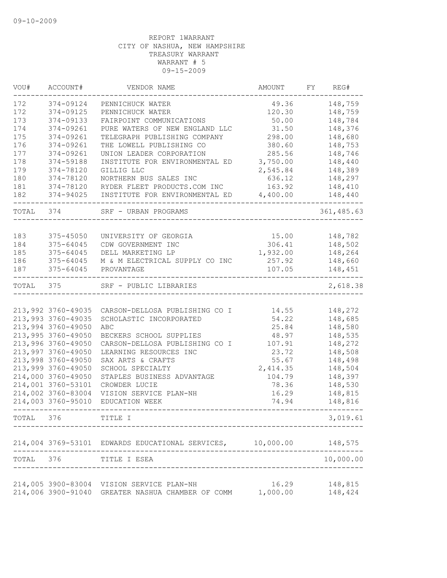| VOU#      | ACCOUNT#                                 | VENDOR NAME                                                | AMOUNT          | FY | REG#               |
|-----------|------------------------------------------|------------------------------------------------------------|-----------------|----|--------------------|
| 172       | 374-09124                                | PENNICHUCK WATER                                           | 49.36           |    | 148,759            |
| 172       | 374-09125                                | PENNICHUCK WATER                                           | 120.30          |    | 148,759            |
| 173       | 374-09133                                | FAIRPOINT COMMUNICATIONS                                   | 50.00           |    | 148,784            |
| 174       | 374-09261                                | PURE WATERS OF NEW ENGLAND LLC                             | 31.50           |    | 148,376            |
| 175       | 374-09261                                | TELEGRAPH PUBLISHING COMPANY                               | 298.00          |    | 148,680            |
| 176       | 374-09261                                | THE LOWELL PUBLISHING CO                                   | 380.60          |    | 148,753            |
| 177       | 374-09261                                | UNION LEADER CORPORATION                                   | 285.56          |    | 148,746            |
| 178       | 374-59188                                | INSTITUTE FOR ENVIRONMENTAL ED                             | 3,750.00        |    | 148,440            |
| 179       | 374-78120                                | GILLIG LLC                                                 | 2,545.84        |    | 148,389            |
| 180       | 374-78120                                | NORTHERN BUS SALES INC                                     | 636.12          |    | 148,297            |
| 181       | 374-78120                                | RYDER FLEET PRODUCTS.COM INC                               | 163.92          |    | 148,410            |
| 182       | 374-94025                                | INSTITUTE FOR ENVIRONMENTAL ED                             | 4,400.00        |    | 148,440            |
| TOTAL     | 374                                      | SRF - URBAN PROGRAMS                                       |                 |    | 361, 485.63        |
|           |                                          |                                                            |                 |    |                    |
| 183       | 375-45050                                | UNIVERSITY OF GEORGIA                                      | 15.00           |    | 148,782            |
| 184       | 375-64045                                | CDW GOVERNMENT INC                                         | 306.41          |    | 148,502            |
| 185       | 375-64045                                | DELL MARKETING LP                                          | 1,932.00        |    | 148,264            |
| 186       | 375-64045                                | M & M ELECTRICAL SUPPLY CO INC                             | 257.92          |    | 148,660            |
| 187       | 375-64045                                | PROVANTAGE                                                 | 107.05          |    | 148,451            |
| TOTAL     | 375                                      | SRF - PUBLIC LIBRARIES                                     |                 |    | 2,618.38           |
|           |                                          |                                                            |                 |    |                    |
|           | 213,992 3760-49035                       | CARSON-DELLOSA PUBLISHING CO I                             | 14.55           |    | 148,272            |
|           | 213,993 3760-49035<br>213,994 3760-49050 | SCHOLASTIC INCORPORATED<br>ABC                             | 54.22           |    | 148,685<br>148,580 |
|           | 213,995 3760-49050                       |                                                            | 25.84<br>48.97  |    | 148,535            |
|           | 213,996 3760-49050                       | BECKERS SCHOOL SUPPLIES<br>CARSON-DELLOSA PUBLISHING CO I  |                 |    | 148,272            |
|           | 213,997 3760-49050                       | LEARNING RESOURCES INC                                     | 107.91<br>23.72 |    | 148,508            |
|           | 213,998 3760-49050                       | SAX ARTS & CRAFTS                                          | 55.67           |    | 148,498            |
|           | 213,999 3760-49050                       | SCHOOL SPECIALTY                                           | 2,414.35        |    | 148,504            |
|           | 214,000 3760-49050                       | STAPLES BUSINESS ADVANTAGE                                 | 104.79          |    | 148,397            |
|           | 214,001 3760-53101                       | CROWDER LUCIE                                              | 78.36           |    | 148,530            |
|           | 214,002 3760-83004                       | VISION SERVICE PLAN-NH                                     | 16.29           |    | 148,815            |
|           | 214,003 3760-95010                       | EDUCATION WEEK                                             | 74.94           |    | 148,816            |
| TOTAL     | 376                                      | TITLE I                                                    |                 |    | 3,019.61           |
|           |                                          |                                                            |                 |    |                    |
|           |                                          | 214,004 3769-53101 EDWARDS EDUCATIONAL SERVICES, 10,000.00 |                 |    | 148,575            |
| TOTAL 376 |                                          | TITLE I ESEA                                               |                 |    | 10,000.00          |
|           |                                          | 214,005 3900-83004 VISION SERVICE PLAN-NH                  | 16.29           |    | 148,815            |
|           | 214,006 3900-91040                       | GREATER NASHUA CHAMBER OF COMM                             | 1,000.00        |    | 148,424            |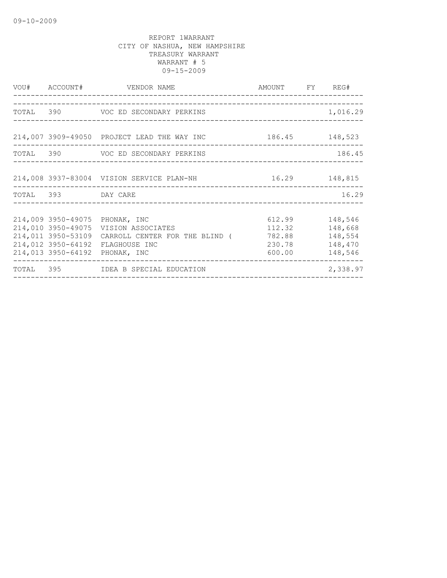|                                                                | VOU# ACCOUNT# VENDOR NAME                                                                                                                | AMOUNT FY REG#                                         |                                          |
|----------------------------------------------------------------|------------------------------------------------------------------------------------------------------------------------------------------|--------------------------------------------------------|------------------------------------------|
|                                                                |                                                                                                                                          |                                                        |                                          |
|                                                                | TOTAL 390 VOC ED SECONDARY PERKINS                                                                                                       |                                                        | 1,016.29                                 |
|                                                                | 214,007 3909-49050 PROJECT LEAD THE WAY INC $186.45$ 186.45                                                                              |                                                        |                                          |
|                                                                | TOTAL 390 VOC ED SECONDARY PERKINS                                                                                                       |                                                        | 186.45                                   |
|                                                                | 214,008 3937-83004 VISION SERVICE PLAN-NH 16.29 148,815                                                                                  |                                                        |                                          |
| TOTAL 393 DAY CARE                                             |                                                                                                                                          |                                                        | 16.29                                    |
| 214,011 3950-53109<br>214,012 3950-64192<br>214,013 3950-64192 | 214,009 3950-49075 PHONAK, INC<br>214,010 3950-49075 VISION ASSOCIATES<br>CARROLL CENTER FOR THE BLIND (<br>FLAGHOUSE INC<br>PHONAK, INC | 612.99 148,546<br>112.32<br>782.88<br>230.78<br>600.00 | 148,668<br>148,554<br>148,470<br>148,546 |
|                                                                | TOTAL 395 IDEA B SPECIAL EDUCATION<br>________________________________                                                                   |                                                        | 2,338.97                                 |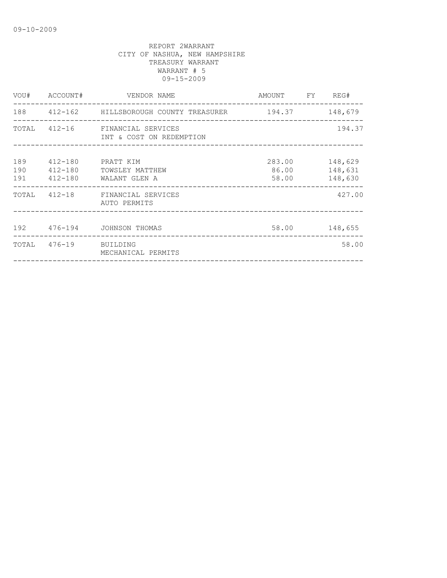|            | VOU# ACCOUNT#                         | VENDOR NAME                                                  | AMOUNT FY REG#           |                               |
|------------|---------------------------------------|--------------------------------------------------------------|--------------------------|-------------------------------|
|            |                                       | 188  412-162  HILLSBOROUGH COUNTY TREASURER  194.37  148,679 |                          |                               |
|            |                                       | TOTAL 412-16 FINANCIAL SERVICES<br>INT & COST ON REDEMPTION  |                          | 194.37                        |
| 189<br>190 | 412-180<br>$412 - 180$<br>191 412-180 | PRATT KIM<br>TOWSLEY MATTHEW<br>WALANT GLEN A                | 283.00<br>86.00<br>58.00 | 148,629<br>148,631<br>148,630 |
|            |                                       | TOTAL 412-18 FINANCIAL SERVICES<br>AUTO PERMITS              |                          | 427.00                        |
|            |                                       | 192 476-194 JOHNSON THOMAS                                   |                          | 58.00 148,655                 |
|            | TOTAL 476-19 BUILDING                 | MECHANICAL PERMITS                                           |                          | 58.00                         |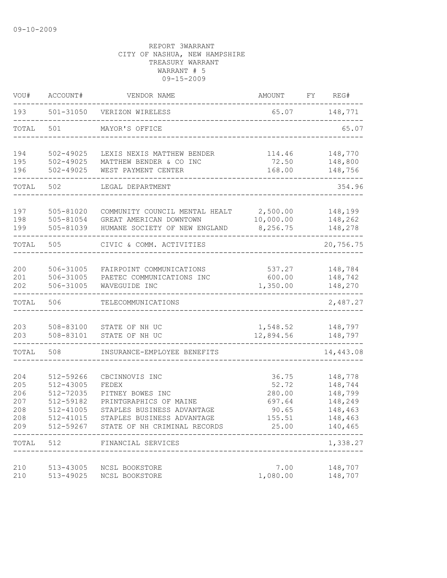| VOU#              | ACCOUNT#                            | VENDOR NAME                                                              | AMOUNT                    | FY | REG#                          |
|-------------------|-------------------------------------|--------------------------------------------------------------------------|---------------------------|----|-------------------------------|
| 193               | 501-31050                           | VERIZON WIRELESS                                                         | 65.07                     |    | 148,771                       |
| TOTAL             | 501                                 | MAYOR'S OFFICE                                                           |                           |    | 65.07                         |
| 194               | 502-49025                           | LEXIS NEXIS MATTHEW BENDER                                               | 114.46                    |    | 148,770                       |
| 195<br>196        | $502 - 49025$<br>$502 - 49025$      | MATTHEW BENDER & CO INC<br>WEST PAYMENT CENTER                           | 72.50<br>168.00           |    | 148,800<br>148,756            |
| TOTAL             | 502                                 | LEGAL DEPARTMENT                                                         |                           |    | 354.96                        |
| 197               | 505-81020                           | COMMUNITY COUNCIL MENTAL HEALT                                           | 2,500.00                  |    | 148,199                       |
| 198<br>199        | 505-81054<br>505-81039              | GREAT AMERICAN DOWNTOWN<br>HUMANE SOCIETY OF NEW ENGLAND                 | 10,000.00<br>8,256.75     |    | 148,262<br>148,278            |
| TOTAL             | 505                                 | CIVIC & COMM. ACTIVITIES                                                 |                           |    | 20,756.75                     |
| 200               | 506-31005                           | FAIRPOINT COMMUNICATIONS                                                 | 537.27                    |    | 148,784                       |
| 201<br>202        | 506-31005<br>506-31005              | PAETEC COMMUNICATIONS INC<br>WAVEGUIDE INC                               | 600.00<br>1,350.00        |    | 148,742<br>148,270            |
| TOTAL             | 506                                 | TELECOMMUNICATIONS                                                       |                           |    | 2,487.27                      |
| 203               | 508-83100                           | STATE OF NH UC                                                           | 1,548.52                  |    | 148,797                       |
| 203               | 508-83101                           | STATE OF NH UC                                                           | 12,894.56                 |    | 148,797                       |
| TOTAL             | 508                                 | INSURANCE-EMPLOYEE BENEFITS                                              |                           |    | 14,443.08                     |
| 204<br>205        | 512-59266<br>512-43005              | CBCINNOVIS INC<br>FEDEX                                                  | 36.75<br>52.72            |    | 148,778<br>148,744            |
| 206<br>207<br>208 | 512-72035<br>512-59182<br>512-41005 | PITNEY BOWES INC<br>PRINTGRAPHICS OF MAINE<br>STAPLES BUSINESS ADVANTAGE | 280.00<br>697.64<br>90.65 |    | 148,799<br>148,249<br>148,463 |
| 208<br>209        | 512-41015<br>512-59267              | STAPLES BUSINESS ADVANTAGE<br>STATE OF NH CRIMINAL RECORDS               | 155.51<br>25.00           |    | 148,463<br>140,465            |
| $\tt TOTAL$       | 512                                 | FINANCIAL SERVICES                                                       |                           |    | 1,338.27                      |
| 210<br>210        |                                     | 513-43005 NCSL BOOKSTORE<br>513-49025 NCSL BOOKSTORE                     | 7.00<br>1,080.00          |    | 148,707<br>148,707            |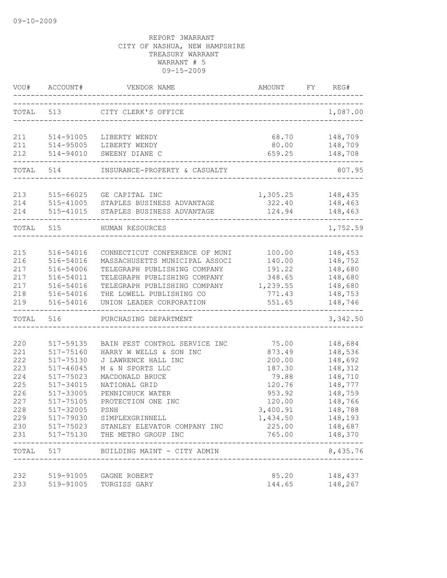|            | VOU# ACCOUNT# | VENDOR NAME                                                             | AMOUNT                        | FY | REG#                    |
|------------|---------------|-------------------------------------------------------------------------|-------------------------------|----|-------------------------|
| TOTAL 513  |               | CITY CLERK'S OFFICE                                                     | _____________________________ |    | 1,087.00                |
| 211        | 514-91005     | LIBERTY WENDY                                                           | 68.70                         |    | 148,709                 |
|            | 211 514-95005 | LIBERTY WENDY                                                           | 80.00                         |    | 148,709                 |
| 212        | 514-94010     | SWEENY DIANE C                                                          | 659.25                        |    | 148,708                 |
|            | TOTAL 514     | INSURANCE-PROPERTY & CASUALTY                                           |                               |    | 807.95                  |
| 213        | 515-66025     | GE CAPITAL INC                                                          | 1,305.25                      |    | 148,435                 |
| 214        |               | 515-41005 STAPLES BUSINESS ADVANTAGE                                    | 322.40                        |    | 148,463                 |
| 214        | 515-41015     | STAPLES BUSINESS ADVANTAGE                                              | 124.94                        |    | 148,463                 |
| TOTAL 515  |               | HUMAN RESOURCES                                                         |                               |    | 1,752.59                |
|            |               |                                                                         |                               |    |                         |
| 215        | 516-54016     | CONNECTICUT CONFERENCE OF MUNI                                          | 100.00                        |    | 148,453                 |
| 216        | 516-54016     | MASSACHUSETTS MUNICIPAL ASSOCI                                          | 140.00                        |    | 148,752                 |
| 217        | 516-54006     | TELEGRAPH PUBLISHING COMPANY                                            | 191.22                        |    | 148,680                 |
| 217        | 516-54011     | TELEGRAPH PUBLISHING COMPANY                                            | 348.65                        |    | 148,680                 |
| 217        | 516-54016     | TELEGRAPH PUBLISHING COMPANY 1,239.55                                   |                               |    | 148,680                 |
| 218        | 516-54016     | THE LOWELL PUBLISHING CO                                                | 771.43                        |    | 148,753                 |
| 219        | 516-54016     | UNION LEADER CORPORATION                                                | 551.65                        |    | 148,746                 |
| TOTAL 516  |               | PURCHASING DEPARTMENT                                                   |                               |    | 3,342.50                |
|            |               |                                                                         |                               |    |                         |
| 220        | 517-59135     | BAIN PEST CONTROL SERVICE INC                                           | 75.00                         |    | 148,684                 |
| 221        | 517-75160     | HARRY W WELLS & SON INC                                                 | 873.49                        |    | 148,536                 |
| 222        | 517-75130     | J LAWRENCE HALL INC                                                     | 200.00                        |    | 148,692                 |
| 223        | 517-46045     | M & N SPORTS LLC                                                        | 187.30                        |    | 148,312                 |
| 224        | 517-75023     | MACDONALD BRUCE                                                         | 79.88                         |    | 148,710                 |
| 225        | 517-34015     | NATIONAL GRID                                                           | 120.76                        |    | 148,777                 |
| 226        | 517-33005     | PENNICHUCK WATER<br>PROTECTION ONE INC                                  | 953.92<br>120.00              |    | 148,759                 |
| 227        | 517-75105     |                                                                         |                               |    | 148,766                 |
| 228        | 517-32005     | <b>PSNH</b>                                                             | 3,400.91                      |    | 148,788                 |
| 229        |               | 517-79030 SIMPLEXGRINNELL                                               | 1,434.50                      |    | 148,193                 |
| 230<br>231 |               | 517-75023 STANLEY ELEVATOR COMPANY INC<br>517-75130 THE METRO GROUP INC | 225.00<br>765.00              |    | 148,687<br>148,370      |
|            |               | TOTAL 517 BUILDING MAINT - CITY ADMIN                                   |                               |    | -----------<br>8,435.76 |
|            |               |                                                                         |                               |    |                         |
| 232<br>233 | 519-91005     | 519-91005 GAGNE ROBERT<br>TURGISS GARY                                  | 85.20<br>144.65               |    | 148,437<br>148,267      |
|            |               |                                                                         |                               |    |                         |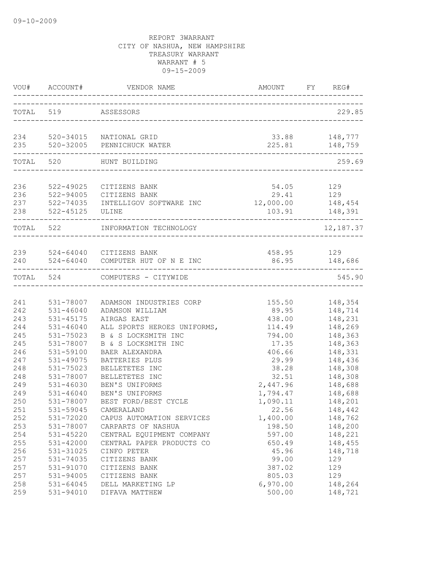|                          | VOU# ACCOUNT#                                    |                                                                                                     |                                           | FY REG#                                  |
|--------------------------|--------------------------------------------------|-----------------------------------------------------------------------------------------------------|-------------------------------------------|------------------------------------------|
|                          | TOTAL 519 ASSESSORS                              |                                                                                                     |                                           | 229.85                                   |
|                          |                                                  | 234 520-34015 NATIONAL GRID<br>235 520-32005 PENNICHUCK WATER                                       |                                           | 33.88 148,777<br>225.81 148,759          |
| TOTAL 520                |                                                  | HUNT BUILDING<br>____________________                                                               |                                           | 259.69                                   |
| 236<br>236<br>238        | 522-49025<br>522-45125 ULINE                     | CITIZENS BANK<br>522-94005 CITIZENS BANK<br>237 522-74035 INTELLIGOV SOFTWARE INC 12,000.00 148,454 |                                           | 54.05 129<br>29.41 129<br>103.91 148,391 |
| TOTAL 522                |                                                  | INFORMATION TECHNOLOGY                                                                              |                                           | 12,187.37                                |
| 240                      |                                                  | 239 524-64040 CITIZENS BANK<br>524-64040 COMPUTER HUT OF N E INC                                    | 458.95 129<br>--------------------------  | 86.95 148,686                            |
|                          |                                                  | TOTAL 524 COMPUTERS - CITYWIDE                                                                      |                                           | 545.90                                   |
| 241<br>242<br>243        | 531-78007<br>$531 - 46040$<br>531-45175          | ADAMSON INDUSTRIES CORP<br>ADAMSON WILLIAM<br>AIRGAS EAST                                           | 155.50<br>89.95<br>438.00                 | 148,354<br>148,714<br>148,231            |
| 244<br>245<br>245        | 531-46040<br>531-75023<br>531-78007              | ALL SPORTS HEROES UNIFORMS,<br>B & S LOCKSMITH INC<br>B & S LOCKSMITH INC                           | 114.49<br>794.00<br>17.35                 | 148,269<br>148,363<br>148,363            |
| 246<br>247<br>248        | 531-59100<br>531-49075<br>531-75023              | BAER ALEXANDRA<br>BATTERIES PLUS<br>BELLETETES INC                                                  | 406.66<br>29.99<br>38.28                  | 148,331<br>148,436<br>148,308            |
| 248<br>249<br>249<br>250 | 531-78007<br>531-46030<br>531-46040<br>531-78007 | BELLETETES INC<br>BEN'S UNIFORMS<br>BEN'S UNIFORMS<br>BEST FORD/BEST CYCLE                          | 32.51<br>2,447.96<br>1,794.47<br>1,090.11 | 148,308<br>148,688<br>148,688<br>148,201 |
| 251<br>252<br>253        | 531-59045<br>531-72020<br>531-78007              | CAMERALAND<br>CAPUS AUTOMATION SERVICES<br>CARPARTS OF NASHUA                                       | 22.56<br>1,400.00<br>198.50               | 148,442<br>148,762<br>148,200            |
| 254<br>255<br>256<br>257 | 531-45220<br>531-42000<br>531-31025<br>531-74035 | CENTRAL EQUIPMENT COMPANY<br>CENTRAL PAPER PRODUCTS CO<br>CINFO PETER<br>CITIZENS BANK              | 597.00<br>650.49<br>45.96<br>99.00        | 148,221<br>148,455<br>148,718<br>129     |
| 257<br>257<br>258<br>259 | 531-91070<br>531-94005<br>531-64045<br>531-94010 | CITIZENS BANK<br>CITIZENS BANK<br>DELL MARKETING LP<br>DIFAVA MATTHEW                               | 387.02<br>805.03<br>6,970.00<br>500.00    | 129<br>129<br>148,264<br>148,721         |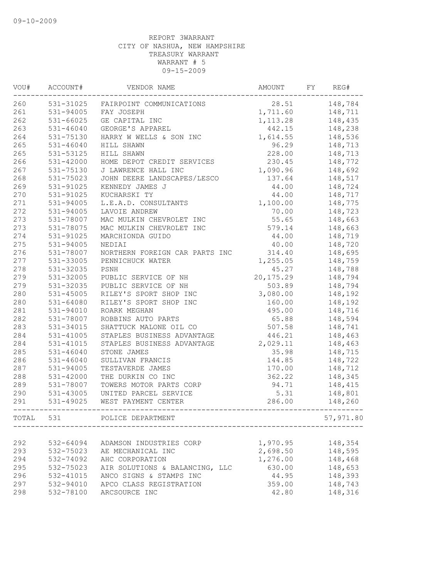| WOU#  | ACCOUNT#      | VENDOR NAME                    | AMOUNT    | FY | REG#      |
|-------|---------------|--------------------------------|-----------|----|-----------|
| 260   | 531-31025     | FAIRPOINT COMMUNICATIONS       | 28.51     |    | 148,784   |
| 261   | $531 - 94005$ | FAY JOSEPH                     | 1,711.60  |    | 148,711   |
| 262   | 531-66025     | GE CAPITAL INC                 | 1, 113.28 |    | 148,435   |
| 263   | $531 - 46040$ | GEORGE'S APPAREL               | 442.15    |    | 148,238   |
| 264   | 531-75130     | HARRY W WELLS & SON INC        | 1,614.55  |    | 148,536   |
| 265   | $531 - 46040$ | HILL SHAWN                     | 96.29     |    | 148,713   |
| 265   | 531-53125     | HILL SHAWN                     | 228.00    |    | 148,713   |
| 266   | $531 - 42000$ | HOME DEPOT CREDIT SERVICES     | 230.45    |    | 148,772   |
| 267   | 531-75130     | J LAWRENCE HALL INC            | 1,090.96  |    | 148,692   |
| 268   | 531-75023     | JOHN DEERE LANDSCAPES/LESCO    | 137.64    |    | 148,517   |
| 269   | 531-91025     | KENNEDY JAMES J                | 44.00     |    | 148,724   |
| 270   | 531-91025     | KUCHARSKI TY                   | 44.00     |    | 148,717   |
| 271   | 531-94005     | L.E.A.D. CONSULTANTS           | 1,100.00  |    | 148,775   |
| 272   | 531-94005     | LAVOIE ANDREW                  | 70.00     |    | 148,723   |
| 273   | 531-78007     | MAC MULKIN CHEVROLET INC       | 55.65     |    | 148,663   |
| 273   | 531-78075     | MAC MULKIN CHEVROLET INC       | 579.14    |    | 148,663   |
| 274   | 531-91025     | MARCHIONDA GUIDO               | 44.00     |    | 148,719   |
| 275   | 531-94005     | NEDIAI                         | 40.00     |    | 148,720   |
| 276   | 531-78007     | NORTHERN FOREIGN CAR PARTS INC | 314.40    |    | 148,695   |
| 277   | 531-33005     | PENNICHUCK WATER               | 1,255.05  |    | 148,759   |
| 278   | 531-32035     | PSNH                           | 45.27     |    | 148,788   |
| 279   | 531-32005     | PUBLIC SERVICE OF NH           | 20,175.29 |    | 148,794   |
| 279   | 531-32035     | PUBLIC SERVICE OF NH           | 503.89    |    | 148,794   |
| 280   | $531 - 45005$ | RILEY'S SPORT SHOP INC         | 3,080.00  |    | 148,192   |
| 280   | 531-64080     | RILEY'S SPORT SHOP INC         | 160.00    |    | 148,192   |
| 281   | 531-94010     | ROARK MEGHAN                   | 495.00    |    | 148,716   |
| 282   | 531-78007     | ROBBINS AUTO PARTS             | 65.88     |    | 148,594   |
| 283   | 531-34015     | SHATTUCK MALONE OIL CO         | 507.58    |    | 148,741   |
| 284   | $531 - 41005$ | STAPLES BUSINESS ADVANTAGE     | 446.21    |    | 148,463   |
| 284   | 531-41015     | STAPLES BUSINESS ADVANTAGE     | 2,029.11  |    | 148,463   |
| 285   | $531 - 46040$ | STONE JAMES                    | 35.98     |    | 148,715   |
| 286   | $531 - 46040$ | SULLIVAN FRANCIS               | 144.85    |    | 148,722   |
| 287   | 531-94005     | TESTAVERDE JAMES               | 170.00    |    | 148,712   |
| 288   | $531 - 42000$ | THE DURKIN CO INC              | 362.22    |    | 148,345   |
| 289   | 531-78007     | TOWERS MOTOR PARTS CORP        | 94.71     |    | 148,415   |
| 290   | 531-43005     | UNITED PARCEL SERVICE          | 5.31      |    | 148,801   |
| 291   | 531-49025     | WEST PAYMENT CENTER            | 286.00    |    | 148,260   |
| TOTAL | 531           | POLICE DEPARTMENT              |           |    | 57,971.80 |
|       |               |                                |           |    |           |
| 292   | 532-64094     | ADAMSON INDUSTRIES CORP        | 1,970.95  |    | 148,354   |
| 293   | 532-75023     | AE MECHANICAL INC              | 2,698.50  |    | 148,595   |
| 294   | 532-74092     | AHC CORPORATION                | 1,276.00  |    | 148,468   |
| 295   | 532-75023     | AIR SOLUTIONS & BALANCING, LLC | 630.00    |    | 148,653   |
| 296   | 532-41015     | ANCO SIGNS & STAMPS INC        | 44.95     |    | 148,393   |
| 297   | 532-94010     | APCO CLASS REGISTRATION        | 359.00    |    | 148,743   |
| 298   | 532-78100     | ARCSOURCE INC                  | 42.80     |    | 148,316   |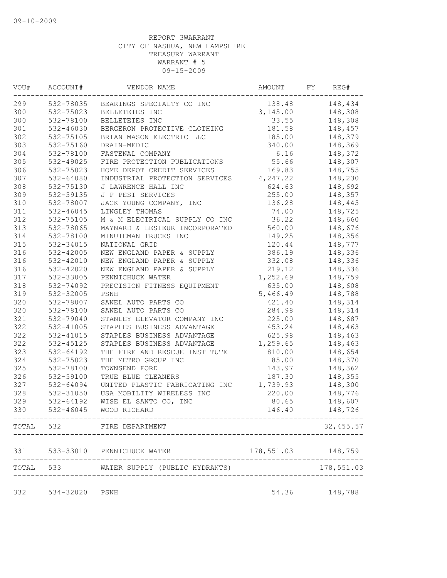| WOU# | ACCOUNT#      | VENDOR NAME                              | AMOUNT              | FY | REG#       |
|------|---------------|------------------------------------------|---------------------|----|------------|
| 299  |               | 532-78035 BEARINGS SPECIALTY CO INC      | 138.48              |    | 148,434    |
| 300  | 532-75023     | BELLETETES INC                           | 3,145.00            |    | 148,308    |
| 300  | 532-78100     | BELLETETES INC                           | 33.55               |    | 148,308    |
| 301  | 532-46030     | BERGERON PROTECTIVE CLOTHING             | 181.58              |    | 148,457    |
| 302  | 532-75105     | BRIAN MASON ELECTRIC LLC                 | 185.00              |    | 148,379    |
| 303  | 532-75160     | DRAIN-MEDIC                              | 340.00              |    | 148,369    |
| 304  | 532-78100     | FASTENAL COMPANY                         | 6.16                |    | 148,372    |
| 305  | 532-49025     | FIRE PROTECTION PUBLICATIONS             | 55.66               |    | 148,307    |
| 306  | 532-75023     | HOME DEPOT CREDIT SERVICES               | 169.83              |    | 148,755    |
| 307  | 532-64080     | INDUSTRIAL PROTECTION SERVICES 4, 247.22 |                     |    | 148,230    |
| 308  | 532-75130     | J LAWRENCE HALL INC                      | 624.63              |    | 148,692    |
| 309  | 532-59135     | J P PEST SERVICES                        | 255.00              |    | 148,357    |
| 310  | 532-78007     | JACK YOUNG COMPANY, INC                  | 136.28              |    | 148,445    |
| 311  | $532 - 46045$ | LINGLEY THOMAS                           | 74.00               |    | 148,725    |
| 312  | 532-75105     | M & M ELECTRICAL SUPPLY CO INC           | 36.22               |    | 148,660    |
| 313  | 532-78065     | MAYNARD & LESIEUR INCORPORATED           | 560.00              |    | 148,676    |
| 314  | 532-78100     | MINUTEMAN TRUCKS INC                     | 149.25              |    | 148,356    |
| 315  | 532-34015     | NATIONAL GRID                            | 120.44              |    | 148,777    |
| 316  | 532-42005     | NEW ENGLAND PAPER & SUPPLY               | 386.19              |    | 148,336    |
| 316  | 532-42010     | NEW ENGLAND PAPER & SUPPLY               | 332.08              |    | 148,336    |
| 316  | 532-42020     | NEW ENGLAND PAPER & SUPPLY               | 219.12              |    | 148,336    |
| 317  | 532-33005     | PENNICHUCK WATER                         | 1,252.69            |    | 148,759    |
| 318  | 532-74092     | PRECISION FITNESS EQUIPMENT              | 635.00              |    | 148,608    |
| 319  | 532-32005     | PSNH                                     | 5,466.49            |    | 148,788    |
| 320  | 532-78007     | SANEL AUTO PARTS CO                      | 421.40              |    | 148,314    |
| 320  | 532-78100     | SANEL AUTO PARTS CO                      | 284.98              |    | 148,314    |
| 321  | 532-79040     | STANLEY ELEVATOR COMPANY INC             | 225.00              |    | 148,687    |
| 322  | 532-41005     | STAPLES BUSINESS ADVANTAGE               |                     |    |            |
|      |               |                                          | 453.24              |    | 148,463    |
| 322  | 532-41015     | STAPLES BUSINESS ADVANTAGE               | 625.98              |    | 148,463    |
| 322  | 532-45125     | STAPLES BUSINESS ADVANTAGE               | 1,259.65            |    | 148,463    |
| 323  | 532-64192     | THE FIRE AND RESCUE INSTITUTE            | 810.00              |    | 148,654    |
| 324  | 532-75023     | THE METRO GROUP INC                      | 85.00               |    | 148,370    |
| 325  | 532-78100     | TOWNSEND FORD                            | 143.97              |    | 148,362    |
| 326  | 532-59100     | TRUE BLUE CLEANERS                       | 187.30              |    | 148,355    |
| 327  | 532-64094     | UNITED PLASTIC FABRICATING INC           | 1,739.93            |    | 148,300    |
| 328  | 532-31050     | USA MOBILITY WIRELESS INC                | 220.00              |    | 148,776    |
| 329  | 532-64192     | WISE EL SANTO CO, INC                    | 80.65               |    | 148,607    |
| 330  | 532-46045     | WOOD RICHARD                             | 146.40              |    | 148,726    |
|      |               | TOTAL 532 FIRE DEPARTMENT                |                     |    | 32, 455.57 |
| 331  |               | 533-33010 PENNICHUCK WATER               | 178,551.03 148,759  |    |            |
|      |               | TOTAL 533 WATER SUPPLY (PUBLIC HYDRANTS) |                     |    | 178,551.03 |
|      |               |                                          | ------------------- |    |            |
| 332  | 534-32020     | PSNH                                     | 54.36               |    | 148,788    |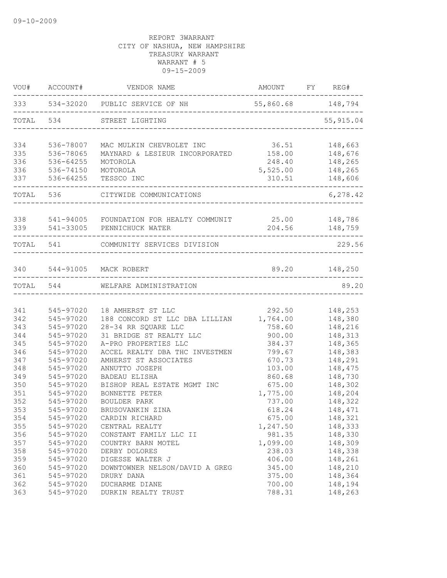| VOU#      | ACCOUNT#  | VENDOR NAME                                              | AMOUNT FY REG# |               |
|-----------|-----------|----------------------------------------------------------|----------------|---------------|
|           |           | 333 534-32020 PUBLIC SERVICE OF NH 55,860.68 148,794     |                |               |
| TOTAL 534 |           | STREET LIGHTING<br>_____________________________________ |                | 55, 915.04    |
| 334       | 536-78007 | MAC MULKIN CHEVROLET INC                                 | 36.51          | 148,663       |
| 335       | 536-78065 | MAYNARD & LESIEUR INCORPORATED                           | 158.00         | 148,676       |
| 336       | 536-64255 | MOTOROLA                                                 | 248.40         | 148,265       |
| 336       | 536-74150 | MOTOROLA                                                 | 5,525.00       | 148,265       |
| 337       | 536-64255 | TESSCO INC                                               | 310.51         | 148,606       |
|           | TOTAL 536 | CITYWIDE COMMUNICATIONS                                  |                | 6,278.42      |
|           |           | 338 541-94005 FOUNDATION FOR HEALTY COMMUNIT 25.00       |                | 148,786       |
| 339       |           | 541-33005 PENNICHUCK WATER                               | 204.56         | 148,759       |
|           | TOTAL 541 | COMMUNITY SERVICES DIVISION                              |                | 229.56        |
| 340       |           | 544-91005 MACK ROBERT                                    |                | 89.20 148,250 |
| TOTAL 544 |           | WELFARE ADMINISTRATION                                   |                | 89.20         |
|           |           |                                                          |                |               |
| 341       | 545-97020 | 18 AMHERST ST LLC                                        | 292.50         | 148,253       |
| 342       | 545-97020 | 188 CONCORD ST LLC DBA LILLIAN                           | 1,764.00       | 148,380       |
| 343       | 545-97020 | 28-34 RR SQUARE LLC                                      | 758.60         | 148,216       |
| 344       | 545-97020 | 31 BRIDGE ST REALTY LLC                                  | 900.00         | 148,313       |
| 345       | 545-97020 | A-PRO PROPERTIES LLC                                     | 384.37         | 148,365       |
| 346       | 545-97020 | ACCEL REALTY DBA THC INVESTMEN                           | 799.67         | 148,383       |
| 347       | 545-97020 | AMHERST ST ASSOCIATES                                    | 670.73         | 148,291       |
| 348       | 545-97020 | ANNUTTO JOSEPH                                           | 103.00         | 148,475       |
| 349       | 545-97020 | <b>BADEAU ELISHA</b>                                     | 860.68         | 148,730       |
| 350       | 545-97020 | BISHOP REAL ESTATE MGMT INC                              | 675.00         | 148,302       |
| 351       | 545-97020 | BONNETTE PETER                                           | 1,775.00       | 148,204       |
| 352       | 545-97020 | <b>BOULDER PARK</b>                                      | 737.00         | 148,322       |
| 353       | 545-97020 | BRUSOVANKIN ZINA                                         | 618.24         | 148,471       |
| 354       | 545-97020 | CARDIN RICHARD                                           | 675.00         | 148,321       |
| 355       | 545-97020 | CENTRAL REALTY                                           | 1,247.50       | 148,333       |
| 356       | 545-97020 | CONSTANT FAMILY LLC II                                   | 981.35         | 148,330       |
| 357       | 545-97020 | COUNTRY BARN MOTEL                                       | 1,099.00       | 148,309       |
| 358       | 545-97020 | DERBY DOLORES                                            | 238.03         | 148,338       |
| 359       | 545-97020 | DIGESSE WALTER J                                         | 406.00         | 148,261       |
| 360       | 545-97020 | DOWNTOWNER NELSON/DAVID A GREG                           | 345.00         | 148,210       |
| 361       | 545-97020 | DRURY DANA                                               | 375.00         | 148,364       |
| 362       | 545-97020 | DUCHARME DIANE                                           | 700.00         | 148,194       |
| 363       | 545-97020 | DURKIN REALTY TRUST                                      | 788.31         | 148,263       |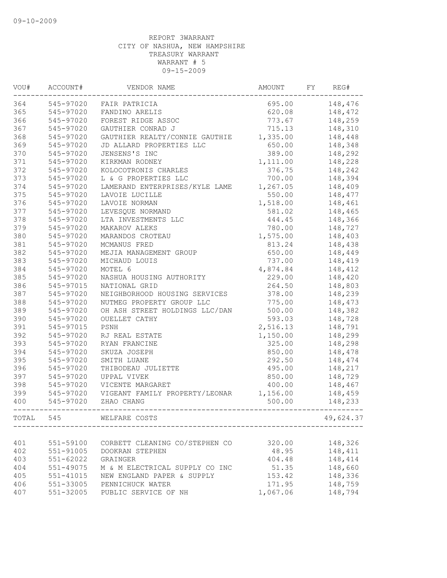| VOU#  | ACCOUNT#      | VENDOR NAME                    | AMOUNT   | FY | REG#      |
|-------|---------------|--------------------------------|----------|----|-----------|
| 364   | 545-97020     | FAIR PATRICIA                  | 695.00   |    | 148,476   |
| 365   | 545-97020     | FANDINO ARELIS                 | 620.08   |    | 148,472   |
| 366   | 545-97020     | FOREST RIDGE ASSOC             | 773.67   |    | 148,259   |
| 367   | 545-97020     | GAUTHIER CONRAD J              | 715.13   |    | 148,310   |
| 368   | 545-97020     | GAUTHIER REALTY/CONNIE GAUTHIE | 1,335.00 |    | 148,448   |
| 369   | 545-97020     | JD ALLARD PROPERTIES LLC       | 650.00   |    | 148,348   |
| 370   | 545-97020     | JENSENS'S INC                  | 389.00   |    | 148,292   |
| 371   | 545-97020     | KIRKMAN RODNEY                 | 1,111.00 |    | 148,228   |
| 372   | 545-97020     | KOLOCOTRONIS CHARLES           | 376.75   |    | 148,242   |
| 373   | 545-97020     | L & G PROPERTIES LLC           | 700.00   |    | 148,394   |
| 374   | 545-97020     | LAMERAND ENTERPRISES/KYLE LAME | 1,267.05 |    | 148,409   |
| 375   | 545-97020     | LAVOIE LUCILLE                 | 550.00   |    | 148,477   |
| 376   | 545-97020     | LAVOIE NORMAN                  | 1,518.00 |    | 148,461   |
| 377   | 545-97020     | LEVESQUE NORMAND               | 581.02   |    | 148,465   |
| 378   | 545-97020     | LTA INVESTMENTS LLC            | 444.45   |    | 148,366   |
| 379   | 545-97020     | MAKAROV ALEKS                  | 780.00   |    | 148,727   |
| 380   | 545-97020     | MARANDOS CROTEAU               | 1,575.00 |    | 148,403   |
| 381   | 545-97020     | MCMANUS FRED                   | 813.24   |    | 148,438   |
| 382   | 545-97020     | MEJIA MANAGEMENT GROUP         | 650.00   |    | 148,449   |
| 383   | 545-97020     | MICHAUD LOUIS                  | 737.00   |    | 148,419   |
| 384   | 545-97020     | MOTEL 6                        | 4,874.84 |    | 148,412   |
| 385   | 545-97020     | NASHUA HOUSING AUTHORITY       | 229.00   |    | 148,420   |
| 386   | 545-97015     | NATIONAL GRID                  | 264.50   |    | 148,803   |
| 387   | 545-97020     | NEIGHBORHOOD HOUSING SERVICES  | 378.00   |    | 148,239   |
| 388   | 545-97020     | NUTMEG PROPERTY GROUP LLC      | 775.00   |    | 148,473   |
| 389   | 545-97020     | OH ASH STREET HOLDINGS LLC/DAN | 500.00   |    | 148,382   |
| 390   | 545-97020     | OUELLET CATHY                  | 593.03   |    | 148,728   |
| 391   | 545-97015     | PSNH                           | 2,516.13 |    | 148,791   |
| 392   | 545-97020     | RJ REAL ESTATE                 | 1,150.00 |    | 148,299   |
| 393   | 545-97020     | RYAN FRANCINE                  | 325.00   |    | 148,298   |
| 394   | 545-97020     | SKUZA JOSEPH                   | 850.00   |    | 148,478   |
| 395   | 545-97020     | SMITH LUANE                    | 292.50   |    | 148,474   |
| 396   | 545-97020     | THIBODEAU JULIETTE             | 495.00   |    | 148,217   |
| 397   | 545-97020     | UPPAL VIVEK                    | 850.00   |    | 148,729   |
| 398   | 545-97020     | VICENTE MARGARET               | 400.00   |    | 148,467   |
| 399   | 545-97020     | VIGEANT FAMILY PROPERTY/LEONAR | 1,156.00 |    | 148,459   |
| 400   | 545-97020     | ZHAO CHANG                     | 500.00   |    | 148,233   |
| TOTAL | 545           | WELFARE COSTS                  |          |    | 49,624.37 |
|       |               |                                |          |    |           |
| 401   | 551-59100     | CORBETT CLEANING CO/STEPHEN CO | 320.00   |    | 148,326   |
| 402   | 551-91005     | DOOKRAN STEPHEN                | 48.95    |    | 148,411   |
| 403   | 551-62022     | GRAINGER                       | 404.48   |    | 148,414   |
| 404   | 551-49075     | M & M ELECTRICAL SUPPLY CO INC | 51.35    |    | 148,660   |
| 405   | 551-41015     | NEW ENGLAND PAPER & SUPPLY     | 153.42   |    | 148,336   |
| 406   | 551-33005     | PENNICHUCK WATER               | 171.95   |    | 148,759   |
| 407   | $551 - 32005$ | PUBLIC SERVICE OF NH           | 1,067.06 |    | 148,794   |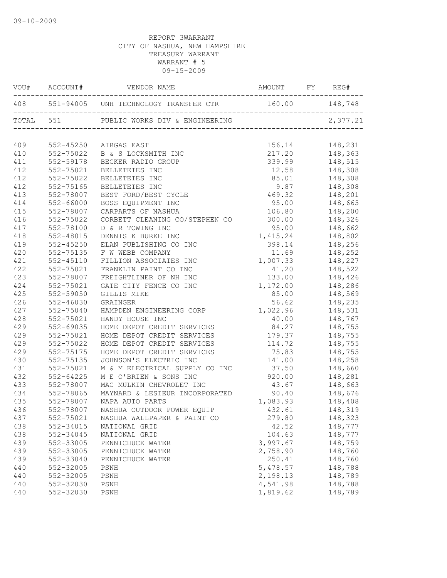|     |               | VOU# ACCOUNT# VENDOR NAME AMOUNT FY REG#                 |                                                                                           |                                                   |
|-----|---------------|----------------------------------------------------------|-------------------------------------------------------------------------------------------|---------------------------------------------------|
|     |               | 408 551-94005 UNH TECHNOLOGY TRANSFER CTR 160.00 148,748 |                                                                                           |                                                   |
|     |               | TOTAL 551 PUBLIC WORKS DIV & ENGINEERING 2,377.21        |                                                                                           |                                                   |
| 409 | 552-45250     | AIRGAS EAST<br>B & S LOCKSMITH INC<br>------ RADIO GROUP | 156.14                                                                                    | 148,231                                           |
| 410 | 552-75022     |                                                          |                                                                                           |                                                   |
| 411 | 552-59178     |                                                          |                                                                                           | 217.20 148,363<br>339.99 148,515<br>12.58 148,308 |
| 412 | 552-75021     | BELLETETES INC                                           |                                                                                           |                                                   |
| 412 | 552-75022     | BELLETETES INC                                           |                                                                                           | $85.01$ $148,308$                                 |
| 412 | 552-75165     | BELLETETES INC                                           |                                                                                           | 9.87 148,308                                      |
| 413 | 552-78007     | BEST FORD/BEST CYCLE                                     | 469.32 148,201                                                                            |                                                   |
| 414 | 552-66000     | BOSS EQUIPMENT INC                                       | 95.00 148,665                                                                             |                                                   |
| 415 | 552-78007     | CARPARTS OF NASHUA                                       | 106.80 148,200                                                                            |                                                   |
| 416 | 552-75022     | CORBETT CLEANING CO/STEPHEN CO                           | 300.00                                                                                    | 148,326                                           |
| 417 | 552-78100     | D & R TOWING INC                                         | 95.00                                                                                     | 148,662                                           |
| 418 | 552-48015     | DENNIS K BURKE INC                                       | 1,415.24                                                                                  |                                                   |
| 419 | $552 - 45250$ | ELAN PUBLISHING CO INC                                   | 398.14                                                                                    | 148,802<br>148,256                                |
| 420 | 552-75135     | F W WEBB COMPANY                                         | 11.69                                                                                     | 148,252                                           |
| 421 | $552 - 45110$ | FILLION ASSOCIATES INC                                   | 1,007.33 148,227                                                                          |                                                   |
| 422 | 552-75021     | FRANKLIN PAINT CO INC                                    | 41.20                                                                                     | 148,522                                           |
| 423 | 552-78007     | FREIGHTLINER OF NH INC                                   | 133.00                                                                                    | 148,426                                           |
| 424 | 552-75021     | GATE CITY FENCE CO INC                                   | 1, 172.00 148, 286                                                                        |                                                   |
| 425 | 552-59050     | GILLIS MIKE                                              |                                                                                           | 85.00 148,569                                     |
| 426 | 552-46030     | GRAINGER                                                 | 56.62                                                                                     | 148,235                                           |
| 427 | 552-75040     | HAMPDEN ENGINEERING CORP                                 | 1,022.96 148,531<br>40.00 148,767                                                         |                                                   |
| 428 | 552-75021     | HANDY HOUSE INC                                          | 40.00                                                                                     | 148,767                                           |
| 429 | 552-69035     | HOME DEPOT CREDIT SERVICES                               | 84.27 148,755                                                                             |                                                   |
| 429 | 552-75021     | HOME DEPOT CREDIT SERVICES                               | 179.37 148,755                                                                            |                                                   |
| 429 | 552-75022     | HOME DEPOT CREDIT SERVICES                               | 114.72 148,755                                                                            |                                                   |
| 429 | 552-75175     | HOME DEPOT CREDIT SERVICES                               | 75.83 148,755                                                                             |                                                   |
| 430 | 552-75135     | JOHNSON'S ELECTRIC INC                                   | 141.00 148,258                                                                            |                                                   |
| 431 | 552-75021     | M & M ELECTRICAL SUPPLY CO INC 37.50                     |                                                                                           | 148,660                                           |
| 432 | 552-64225     | M E O'BRIEN & SONS INC                                   |                                                                                           | $920.00$ $148,281$                                |
| 433 | 552-78007     | MAC MULKIN CHEVROLET INC                                 |                                                                                           |                                                   |
| 434 | 552-78065     | MAYNARD & LESIEUR INCORPORATED                           | $\begin{array}{ccc} 43.67 & 148,663 \\ 90.40 & 148,676 \\ 1,083.93 & 148,408 \end{array}$ |                                                   |
| 435 | 552-78007     | NAPA AUTO PARTS                                          |                                                                                           |                                                   |
| 436 |               | 552-78007 NASHUA OUTDOOR POWER EQUIP                     | 432.61                                                                                    | 148,319                                           |
| 437 | 552-75021     | NASHUA WALLPAPER & PAINT CO                              | 279.80                                                                                    | 148,323                                           |
| 438 | 552-34015     | NATIONAL GRID                                            | 42.52                                                                                     | 148,777                                           |
| 438 | 552-34045     | NATIONAL GRID                                            | 104.63                                                                                    | 148,777                                           |
| 439 | 552-33005     | PENNICHUCK WATER                                         | 3,997.67                                                                                  | 148,759                                           |
| 439 | 552-33005     | PENNICHUCK WATER                                         | 2,758.90                                                                                  | 148,760                                           |
| 439 | 552-33040     | PENNICHUCK WATER                                         | 250.41                                                                                    | 148,760                                           |
| 440 | 552-32005     | PSNH                                                     | 5,478.57                                                                                  | 148,788                                           |
| 440 | 552-32005     | PSNH                                                     | 2,198.13                                                                                  | 148,789                                           |
| 440 | 552-32030     | PSNH                                                     | 4,541.98                                                                                  | 148,788                                           |
| 440 | 552-32030     | $\texttt{PSNH}{}$                                        | 1,819.62                                                                                  | 148,789                                           |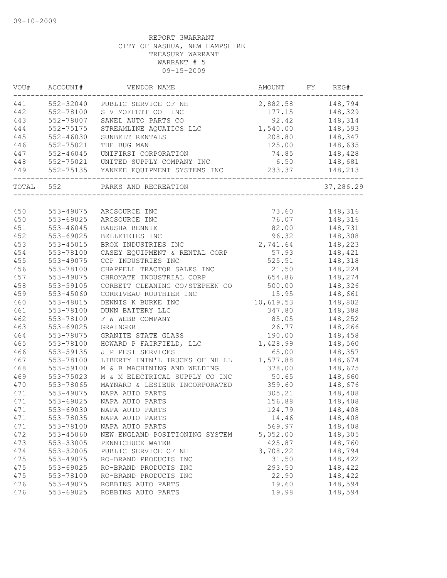| VOU#  | ACCOUNT#      | VENDOR NAME                            | AMOUNT           | FY | REG#           |
|-------|---------------|----------------------------------------|------------------|----|----------------|
| 441   |               | 552-32040 PUBLIC SERVICE OF NH         | 2,882.58 148,794 |    |                |
| 442   | 552-78100     | S V MOFFETT CO<br><b>INC</b>           |                  |    | 177.15 148,329 |
| 443   | 552-78007     | SANEL AUTO PARTS CO                    | 92.42            |    | 148,314        |
| 444   | 552-75175     | STREAMLINE AQUATICS LLC                | 1,540.00         |    | 148,593        |
| 445   | $552 - 46030$ | SUNBELT RENTALS                        | 208.80           |    | 148,347        |
| 446   | 552-75021     | THE BUG MAN                            | 125.00           |    | 148,635        |
| 447   | $552 - 46045$ | UNIFIRST CORPORATION                   | 74.85            |    | 148,428        |
| 448   |               | 552-75021 UNITED SUPPLY COMPANY INC    | 6.50             |    | 148,681        |
| 449   |               | 552-75135 YANKEE EQUIPMENT SYSTEMS INC | 233.37           |    | 148,213        |
| TOTAL | 552           | PARKS AND RECREATION                   |                  |    | 37,286.29      |
|       |               |                                        |                  |    |                |
| 450   | 553-49075     | ARCSOURCE INC                          | 73.60            |    | 148,316        |
| 450   | 553-69025     | ARCSOURCE INC                          | 76.07            |    | 148,316        |
| 451   | 553-46045     | BAUSHA BENNIE                          | 82.00            |    | 148,731        |
| 452   | 553-69025     | BELLETETES INC                         | 96.32            |    | 148,308        |
| 453   | 553-45015     | BROX INDUSTRIES INC                    | 2,741.64         |    | 148,223        |
| 454   | 553-78100     | CASEY EQUIPMENT & RENTAL CORP          | 57.93            |    | 148,421        |
| 455   | 553-49075     | CCP INDUSTRIES INC                     | 525.51           |    | 148,318        |
| 456   | 553-78100     | CHAPPELL TRACTOR SALES INC             | 21.50            |    | 148,224        |
| 457   | 553-49075     | CHROMATE INDUSTRIAL CORP               | 654.86           |    | 148,274        |
| 458   | 553-59105     | CORBETT CLEANING CO/STEPHEN CO         | 500.00           |    | 148,326        |
| 459   | 553-45060     | CORRIVEAU ROUTHIER INC                 | 15.95            |    | 148,661        |
| 460   | 553-48015     | DENNIS K BURKE INC                     | 10,619.53        |    | 148,802        |
| 461   | 553-78100     | DUNN BATTERY LLC                       | 347.80           |    | 148,388        |
| 462   | 553-78100     | F W WEBB COMPANY                       | 85.05            |    | 148,252        |
| 463   | 553-69025     | GRAINGER                               | 26.77            |    | 148,266        |
| 464   | 553-78075     | GRANITE STATE GLASS                    | 190.00           |    | 148,458        |
| 465   | 553-78100     | HOWARD P FAIRFIELD, LLC                | 1,428.99         |    | 148,560        |
| 466   | 553-59135     | J P PEST SERVICES                      | 65.00            |    | 148,357        |
| 467   | 553-78100     | LIBERTY INTN'L TRUCKS OF NH LL         | 1,577.88         |    | 148,674        |
| 468   | 553-59100     | M & B MACHINING AND WELDING            | 378.00           |    | 148,675        |
| 469   | 553-75023     | M & M ELECTRICAL SUPPLY CO INC         | 50.65            |    | 148,660        |
| 470   | 553-78065     | MAYNARD & LESIEUR INCORPORATED         | 359.60           |    | 148,676        |
| 471   | 553-49075     | NAPA AUTO PARTS                        | 305.21           |    | 148,408        |
| 471   | 553-69025     | NAPA AUTO PARTS                        | 156.88           |    | 148,408        |
| 471   | 553-69030     | NAPA AUTO PARTS                        | 124.79           |    | 148,408        |
| 471   | 553-78035     | NAPA AUTO PARTS                        | 14.46            |    | 148,408        |
| 471   | 553-78100     | NAPA AUTO PARTS                        | 569.97           |    | 148,408        |
| 472   | 553-45060     | NEW ENGLAND POSITIONING SYSTEM         | 5,052.00         |    | 148,305        |
| 473   | 553-33005     | PENNICHUCK WATER                       | 425.87           |    | 148,760        |
| 474   | 553-32005     | PUBLIC SERVICE OF NH                   | 3,708.22         |    | 148,794        |
| 475   | 553-49075     | RO-BRAND PRODUCTS INC                  | 31.50            |    | 148,422        |
| 475   | 553-69025     | RO-BRAND PRODUCTS INC                  | 293.50           |    | 148,422        |
| 475   | 553-78100     | RO-BRAND PRODUCTS INC                  | 22.90            |    | 148,422        |
| 476   | 553-49075     | ROBBINS AUTO PARTS                     | 19.60            |    | 148,594        |
| 476   | 553-69025     | ROBBINS AUTO PARTS                     | 19.98            |    | 148,594        |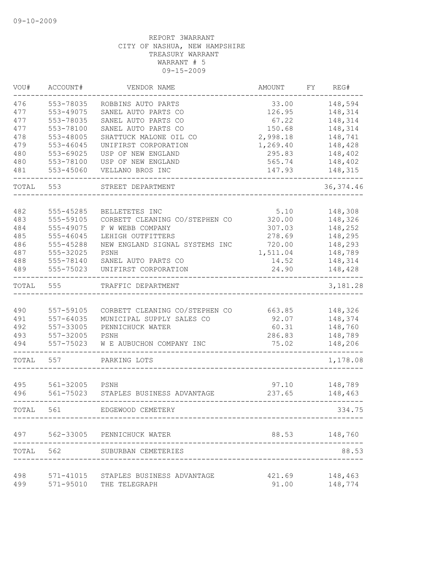| VOU#  | ACCOUNT#  | VENDOR NAME                          | AMOUNT            | FY | REG#       |
|-------|-----------|--------------------------------------|-------------------|----|------------|
| 476   | 553-78035 | ROBBINS AUTO PARTS                   | 33.00             |    | 148,594    |
| 477   | 553-49075 | SANEL AUTO PARTS CO                  | 126.95            |    | 148,314    |
| 477   | 553-78035 | SANEL AUTO PARTS CO                  | 67.22             |    | 148,314    |
| 477   | 553-78100 | SANEL AUTO PARTS CO                  | 150.68            |    | 148,314    |
| 478   | 553-48005 | SHATTUCK MALONE OIL CO               | 2,998.18          |    | 148,741    |
| 479   | 553-46045 | UNIFIRST CORPORATION                 | 1,269.40          |    | 148,428    |
| 480   | 553-69025 | USP OF NEW ENGLAND                   | 295.83            |    | 148,402    |
| 480   | 553-78100 | USP OF NEW ENGLAND                   | 565.74            |    | 148,402    |
| 481   | 553-45060 | VELLANO BROS INC                     | 147.93            |    | 148,315    |
| TOTAL | 553       | STREET DEPARTMENT                    |                   |    | 36, 374.46 |
| 482   | 555-45285 | BELLETETES INC                       | 5.10              |    | 148,308    |
| 483   | 555-59105 | CORBETT CLEANING CO/STEPHEN CO       | 320.00            |    | 148,326    |
| 484   | 555-49075 | F W WEBB COMPANY                     | 307.03            |    | 148,252    |
| 485   | 555-46045 | LEHIGH OUTFITTERS                    | 278.69            |    | 148,295    |
| 486   | 555-45288 | NEW ENGLAND SIGNAL SYSTEMS INC       | 720.00            |    | 148,293    |
| 487   | 555-32025 | PSNH                                 |                   |    | 148,789    |
| 488   | 555-78140 | SANEL AUTO PARTS CO                  | 1,511.04<br>14.52 |    | 148,314    |
|       | 555-75023 | UNIFIRST CORPORATION                 | 24.90             |    |            |
| 489   |           |                                      |                   |    | 148,428    |
| TOTAL | 555       | TRAFFIC DEPARTMENT                   |                   |    | 3,181.28   |
| 490   | 557-59105 | CORBETT CLEANING CO/STEPHEN CO       | 663.85            |    | 148,326    |
| 491   | 557-64035 | MUNICIPAL SUPPLY SALES CO            | 92.07             |    | 148,374    |
| 492   | 557-33005 | PENNICHUCK WATER                     | 60.31             |    | 148,760    |
| 493   | 557-32005 | PSNH                                 | 286.83            |    | 148,789    |
| 494   | 557-75023 | W E AUBUCHON COMPANY INC             | 75.02             |    | 148,206    |
| TOTAL | 557       | PARKING LOTS                         |                   |    | 1,178.08   |
|       |           |                                      |                   |    |            |
| 495   | 561-32005 | PSNH                                 | 97.10             |    | 148,789    |
| 496   | 561-75023 | STAPLES BUSINESS ADVANTAGE           | 237.65            |    | 148,463    |
| TOTAL | 561       | EDGEWOOD CEMETERY                    |                   |    | 334.75     |
| 497   | 562-33005 | PENNICHUCK WATER                     | 88.53             |    | 148,760    |
| TOTAL | 562       | SUBURBAN CEMETERIES                  |                   |    | 88.53      |
|       |           |                                      |                   |    |            |
| 498   |           | 571-41015 STAPLES BUSINESS ADVANTAGE | 421.69            |    | 148,463    |
| 499   | 571-95010 | THE TELEGRAPH                        | 91.00             |    | 148,774    |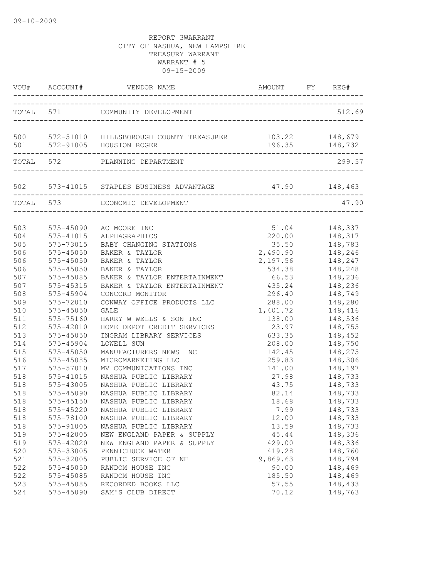|            |                        | VOU# ACCOUNT# VENDOR NAME AMOUNT FY REG#                                                  |                      |                     |
|------------|------------------------|-------------------------------------------------------------------------------------------|----------------------|---------------------|
|            |                        | TOTAL 571 COMMUNITY DEVELOPMENT                                                           |                      | 512.69              |
|            |                        | 500 572-51010 HILLSBOROUGH COUNTY TREASURER 103.22 148,679<br>501 572-91005 HOUSTON ROGER |                      | 196.35 148,732      |
|            | TOTAL 572              | PLANNING DEPARTMENT                                                                       |                      | 299.57              |
|            | ---------------------  | 502 573-41015 STAPLES BUSINESS ADVANTAGE 47.90 148,463                                    |                      |                     |
|            |                        | TOTAL 573 ECONOMIC DEVELOPMENT                                                            |                      | 47.90               |
| 503        | $575 - 45090$          | AC MOORE INC                                                                              | 51.04                | 148,337             |
| 504        | 575-41015              | ALPHAGRAPHICS                                                                             | 220.00               | 148,317             |
| 505        | 575-73015              | BABY CHANGING STATIONS<br>BAKER & TAYLOR                                                  | 35.50                | 148,783<br>148, 246 |
| 506<br>506 | 575-45050<br>575-45050 | BAKER & TAYLOR                                                                            | 2,490.90<br>2,197.56 | 148,247             |
| 506        | 575-45050              | BAKER & TAYLOR                                                                            | 534.38               | 148,248             |
| 507        | 575-45085              | BAKER & TAYLOR ENTERTAINMENT                                                              | 66.53                | 148,236             |
| 507        | 575-45315              | BAKER & TAYLOR ENTERTAINMENT                                                              | 435.24               | 148,236             |
| 508        | 575-45904              | CONCORD MONITOR                                                                           |                      | 296.40 148,749      |
| 509        | 575-72010              | CONWAY OFFICE PRODUCTS LLC                                                                | 288.00               | 148,280             |
| 510        | 575-45050              | GALE                                                                                      | 1,401.72             | 148,416             |
| 511        | 575-75160              | HARRY W WELLS & SON INC                                                                   | 138.00               | 148,536             |
| 512        | 575-42010              | HOME DEPOT CREDIT SERVICES                                                                | 23.97                | 148,755             |
| 513        | $575 - 45050$          | INGRAM LIBRARY SERVICES                                                                   | 633.35               | 148,452             |
| 514        | 575-45904              | LOWELL SUN                                                                                | 208.00               | 148,750             |
| 515        | $575 - 45050$          | MANUFACTURERS NEWS INC                                                                    |                      | 142.45 148,275      |
| 516        | 575-45085              | MICROMARKETING LLC                                                                        |                      | 259.83 148,306      |
| 517        | 575-57010              | MV COMMUNICATIONS INC                                                                     |                      | 141.00 148,197      |
| 518        | 575-41015              | NASHUA PUBLIC LIBRARY                                                                     | 27.98                | 148,733             |
| 518        | 575-43005              | NASHUA PUBLIC LIBRARY                                                                     | 43.75                | 148,733             |
| 518        | 575-45090              | NASHUA PUBLIC LIBRARY                                                                     | 82.14                | 148,733             |
| 518        | $575 - 45150$          | NASHUA PUBLIC LIBRARY                                                                     | 18.68                | 148,733             |
| 518        |                        | 575-45220 NASHUA PUBLIC LIBRARY                                                           | 7.99                 | 148,733             |
| 518        | 575-78100              | NASHUA PUBLIC LIBRARY                                                                     | 12.00                | 148,733             |
| 518        | 575-91005              | NASHUA PUBLIC LIBRARY                                                                     | 13.59                | 148,733             |
| 519        | 575-42005              | NEW ENGLAND PAPER & SUPPLY                                                                | 45.44                | 148,336             |
| 519        | $575 - 42020$          | NEW ENGLAND PAPER & SUPPLY                                                                | 429.00               | 148,336             |
| 520        | 575-33005              | PENNICHUCK WATER                                                                          | 419.28               | 148,760             |
| 521        | 575-32005              | PUBLIC SERVICE OF NH                                                                      | 9,869.63             | 148,794             |
| 522        | 575-45050              | RANDOM HOUSE INC                                                                          | 90.00                | 148,469             |
| 522        | 575-45085              | RANDOM HOUSE INC                                                                          | 185.50               | 148,469             |
| 523        | 575-45085              | RECORDED BOOKS LLC                                                                        | 57.55                | 148,433             |
| 524        | 575-45090              | SAM'S CLUB DIRECT                                                                         | 70.12                | 148,763             |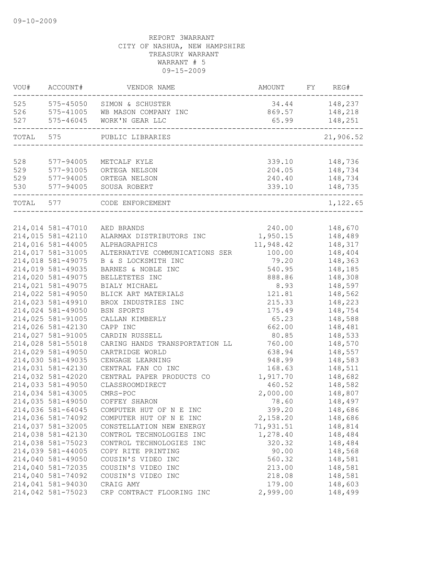| VOU#      | ACCOUNT#                               | VENDOR NAME                    | AMOUNT          | FY | REG#               |
|-----------|----------------------------------------|--------------------------------|-----------------|----|--------------------|
| 525       | 575-45050                              | SIMON & SCHUSTER               |                 |    | 34.44 148,237      |
|           | 526 575-41005                          | WB MASON COMPANY INC           |                 |    | 869.57 148,218     |
| 527       | 575-46045                              | WORK'N GEAR LLC                | 65.99           |    | 148,251            |
| TOTAL 575 |                                        | PUBLIC LIBRARIES               |                 |    | 21,906.52          |
|           |                                        |                                |                 |    |                    |
| 528       | $577 - 94005$                          | METCALF KYLE                   | 339.10          |    | 148,736            |
| 529       | 577-91005                              | ORTEGA NELSON                  | 204.05          |    | 148,734            |
| 529       | 577-94005                              | ORTEGA NELSON                  | 240.40          |    | 148,734            |
| 530       | 577-94005                              | SOUSA ROBERT                   | 339.10          |    | 148,735            |
| TOTAL 577 |                                        | CODE ENFORCEMENT               |                 |    | 1,122.65           |
|           |                                        |                                |                 |    |                    |
|           | 214,014 581-47010                      | AED BRANDS                     | 240.00          |    | 148,670            |
|           | 214,015 581-42110                      | ALARMAX DISTRIBUTORS INC       | 1,950.15        |    | 148,489            |
|           | 214,016 581-44005                      | ALPHAGRAPHICS                  | 11,948.42       |    | 148,317            |
|           | 214,017 581-31005                      | ALTERNATIVE COMMUNICATIONS SER | 100.00          |    | 148,404            |
|           | 214,018 581-49075                      | B & S LOCKSMITH INC            | 79.20           |    | 148,363            |
|           | 214,019 581-49035                      | BARNES & NOBLE INC             | 540.95          |    | 148,185            |
|           | 214,020 581-49075                      | BELLETETES INC                 | 888.86          |    | 148,308            |
|           | 214,021 581-49075                      | BIALY MICHAEL                  | 8.93            |    | 148,597            |
|           | 214,022 581-49050                      | BLICK ART MATERIALS            | 121.81          |    | 148,562            |
|           | 214,023 581-49910<br>214,024 581-49050 | BROX INDUSTRIES INC            | 215.33          |    | 148,223<br>148,754 |
|           | 214,025 581-91005                      | BSN SPORTS<br>CALLAN KIMBERLY  | 175.49<br>65.23 |    | 148,588            |
|           | 214,026 581-42130                      | CAPP INC                       | 662.00          |    | 148,481            |
|           | 214,027 581-91005                      | CARDIN RUSSELL                 | 80.85           |    | 148,533            |
|           | 214,028 581-55018                      | CARING HANDS TRANSPORTATION LL | 760.00          |    | 148,570            |
|           | 214,029 581-49050                      | CARTRIDGE WORLD                | 638.94          |    | 148,557            |
|           | 214,030 581-49035                      | CENGAGE LEARNING               | 948.99          |    | 148,583            |
|           | 214,031 581-42130                      | CENTRAL FAN CO INC             | 168.63          |    | 148,511            |
|           | 214,032 581-42020                      | CENTRAL PAPER PRODUCTS CO      | 1,917.70        |    | 148,682            |
|           | 214,033 581-49050                      | CLASSROOMDIRECT                | 460.52          |    | 148,582            |
|           | 214,034 581-43005                      | $CMRS - POC$                   | 2,000.00        |    | 148,807            |
|           | 214,035 581-49050                      | COFFEY SHARON                  | 78.60           |    | 148,497            |
|           | 214,036 581-64045                      | COMPUTER HUT OF N E INC        | 399.20          |    | 148,686            |
|           | 214,036 581-74092                      | COMPUTER HUT OF N E INC        | 2,158.20        |    | 148,686            |
|           | 214,037 581-32005                      | CONSTELLATION NEW ENERGY       | 71,931.51       |    | 148,814            |
|           | 214,038 581-42130                      | CONTROL TECHNOLOGIES INC       | 1,278.40        |    | 148,484            |
|           | 214,038 581-75023                      | CONTROL TECHNOLOGIES INC       | 320.32          |    | 148,484            |
|           | 214,039 581-44005                      | COPY RITE PRINTING             | 90.00           |    | 148,568            |
|           | 214,040 581-49050                      | COUSIN'S VIDEO INC             | 560.32          |    | 148,581            |
|           | 214,040 581-72035                      | COUSIN'S VIDEO INC             | 213.00          |    | 148,581            |
|           | 214,040 581-74092                      | COUSIN'S VIDEO INC             | 218.08          |    | 148,581            |
|           | 214,041 581-94030                      | CRAIG AMY                      | 179.00          |    | 148,603            |
|           | 214,042 581-75023                      | CRP CONTRACT FLOORING INC      | 2,999.00        |    | 148,499            |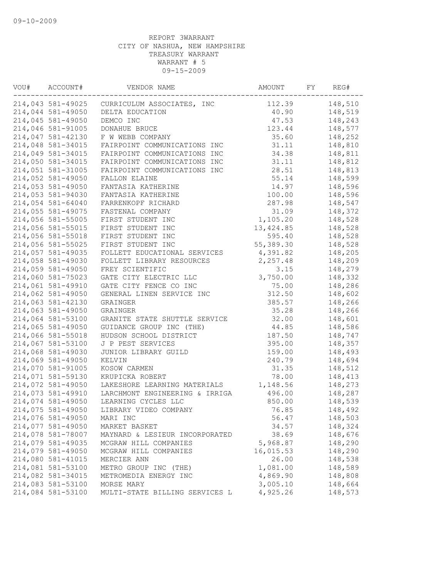| VOU# | ACCOUNT#<br>VENDOR NAME |                                | AMOUNT     | FY | REG#    |  |
|------|-------------------------|--------------------------------|------------|----|---------|--|
|      | 214,043 581-49025       | CURRICULUM ASSOCIATES, INC     | 112.39     |    | 148,510 |  |
|      | 214,044 581-49050       | DELTA EDUCATION                | 40.90      |    | 148,519 |  |
|      | 214,045 581-49050       | DEMCO INC                      | 47.53      |    | 148,243 |  |
|      | 214,046 581-91005       | DONAHUE BRUCE                  | 123.44     |    | 148,577 |  |
|      | 214,047 581-42130       | F W WEBB COMPANY               | 35.60      |    | 148,252 |  |
|      | 214,048 581-34015       | FAIRPOINT COMMUNICATIONS INC   | 31.11      |    | 148,810 |  |
|      | 214,049 581-34015       | FAIRPOINT COMMUNICATIONS INC   | 34.38      |    | 148,811 |  |
|      | 214,050 581-34015       | FAIRPOINT COMMUNICATIONS INC   | 31.11      |    | 148,812 |  |
|      | 214,051 581-31005       | FAIRPOINT COMMUNICATIONS INC   | 28.51      |    | 148,813 |  |
|      | 214,052 581-49050       | FALLON ELAINE                  | 55.14      |    | 148,599 |  |
|      | 214,053 581-49050       | FANTASIA KATHERINE             | 14.97      |    | 148,596 |  |
|      | 214,053 581-94030       | FANTASIA KATHERINE             | 100.00     |    | 148,596 |  |
|      | 214,054 581-64040       | FARRENKOPF RICHARD             | 287.98     |    | 148,547 |  |
|      | 214,055 581-49075       | FASTENAL COMPANY               | 31.09      |    | 148,372 |  |
|      | 214,056 581-55005       | FIRST STUDENT INC              | 1,105.20   |    | 148,528 |  |
|      | 214,056 581-55015       | FIRST STUDENT INC              | 13, 424.85 |    | 148,528 |  |
|      | 214,056 581-55018       | FIRST STUDENT INC              | 595.40     |    | 148,528 |  |
|      | 214,056 581-55025       | FIRST STUDENT INC              | 55,389.30  |    | 148,528 |  |
|      | 214,057 581-49035       | FOLLETT EDUCATIONAL SERVICES   | 4,391.82   |    | 148,205 |  |
|      | 214,058 581-49030       | FOLLETT LIBRARY RESOURCES      | 2,257.48   |    | 148,209 |  |
|      | 214,059 581-49050       | FREY SCIENTIFIC                | 3.15       |    | 148,279 |  |
|      | 214,060 581-75023       | GATE CITY ELECTRIC LLC         | 3,750.00   |    | 148,332 |  |
|      | 214,061 581-49910       | GATE CITY FENCE CO INC         | 75.00      |    | 148,286 |  |
|      | 214,062 581-49050       | GENERAL LINEN SERVICE INC      | 312.50     |    | 148,602 |  |
|      | 214,063 581-42130       | GRAINGER                       | 385.57     |    | 148,266 |  |
|      | 214,063 581-49050       | GRAINGER                       | 35.28      |    | 148,266 |  |
|      | 214,064 581-53100       | GRANITE STATE SHUTTLE SERVICE  | 32.00      |    | 148,601 |  |
|      | 214,065 581-49050       | GUIDANCE GROUP INC (THE)       | 44.85      |    | 148,586 |  |
|      | 214,066 581-55018       | HUDSON SCHOOL DISTRICT         | 187.50     |    | 148,747 |  |
|      | 214,067 581-53100       | J P PEST SERVICES              | 395.00     |    | 148,357 |  |
|      | 214,068 581-49030       |                                | 159.00     |    | 148,493 |  |
|      |                         | JUNIOR LIBRARY GUILD           |            |    |         |  |
|      | 214,069 581-49050       | KELVIN                         | 240.79     |    | 148,694 |  |
|      | 214,070 581-91005       | KOSOW CARMEN                   | 31.35      |    | 148,512 |  |
|      | 214,071 581-59130       | KRUPICKA ROBERT                | 78.00      |    | 148,413 |  |
|      | 214,072 581-49050       | LAKESHORE LEARNING MATERIALS   | 1,148.56   |    | 148,273 |  |
|      | 214,073 581-49910       | LARCHMONT ENGINEERING & IRRIGA | 496.00     |    | 148,287 |  |
|      | 214,074 581-49050       | LEARNING CYCLES LLC            | 850.00     |    | 148,539 |  |
|      | 214,075 581-49050       | LIBRARY VIDEO COMPANY          | 76.85      |    | 148,492 |  |
|      | 214,076 581-49050       | MARI INC                       | 56.47      |    | 148,503 |  |
|      | 214,077 581-49050       | MARKET BASKET                  | 34.57      |    | 148,324 |  |
|      | 214,078 581-78007       | MAYNARD & LESIEUR INCORPORATED | 38.69      |    | 148,676 |  |
|      | 214,079 581-49035       | MCGRAW HILL COMPANIES          | 5,968.87   |    | 148,290 |  |
|      | 214,079 581-49050       | MCGRAW HILL COMPANIES          | 16,015.53  |    | 148,290 |  |
|      | 214,080 581-41015       | MERCIER ANN                    | 26.00      |    | 148,538 |  |
|      | 214,081 581-53100       | METRO GROUP INC (THE)          | 1,081.00   |    | 148,589 |  |
|      | 214,082 581-34015       | METROMEDIA ENERGY INC          | 4,869.90   |    | 148,808 |  |
|      | 214,083 581-53100       | MORSE MARY                     | 3,005.10   |    | 148,664 |  |
|      | 214,084 581-53100       | MULTI-STATE BILLING SERVICES L | 4,925.26   |    | 148,573 |  |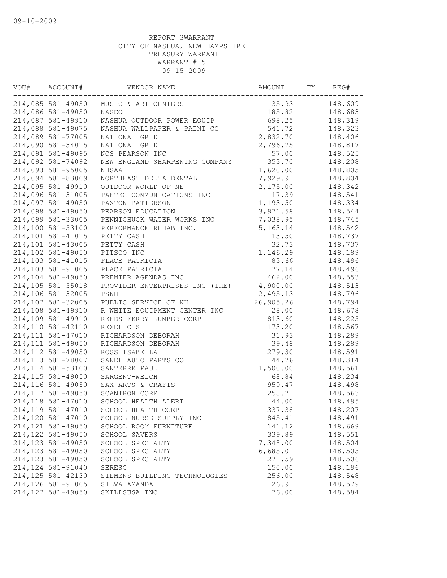| VOU# | ACCOUNT#<br>VENDOR NAME                  |                                | AMOUNT     | FY | REG#    |
|------|------------------------------------------|--------------------------------|------------|----|---------|
|      | 214,085 581-49050                        | MUSIC & ART CENTERS            | 35.93      |    | 148,609 |
|      | 214,086 581-49050                        | <b>NASCO</b>                   | 185.82     |    | 148,683 |
|      | 214,087 581-49910                        | NASHUA OUTDOOR POWER EQUIP     | 698.25     |    | 148,319 |
|      | 214,088 581-49075                        | NASHUA WALLPAPER & PAINT CO    | 541.72     |    | 148,323 |
|      | 214,089 581-77005                        | NATIONAL GRID                  | 2,832.70   |    | 148,406 |
|      | 214,090 581-34015                        | NATIONAL GRID                  | 2,796.75   |    | 148,817 |
|      | 214,091 581-49095                        | NCS PEARSON INC                | 57.00      |    | 148,525 |
|      | 214,092 581-74092                        | NEW ENGLAND SHARPENING COMPANY | 353.70     |    | 148,208 |
|      | 214,093 581-95005                        | NHSAA                          | 1,620.00   |    | 148,805 |
|      | 214,094 581-83009                        | NORTHEAST DELTA DENTAL         | 7,929.91   |    | 148,804 |
|      | 214,095 581-49910                        | OUTDOOR WORLD OF NE            | 2,175.00   |    | 148,342 |
|      | 214,096 581-31005                        | PAETEC COMMUNICATIONS INC      | 17.39      |    | 148,541 |
|      | 214,097 581-49050                        | PAXTON-PATTERSON               | 1,193.50   |    | 148,334 |
|      | 214,098 581-49050                        | PEARSON EDUCATION              | 3,971.58   |    | 148,544 |
|      | 214,099 581-33005                        | PENNICHUCK WATER WORKS INC     | 7,038.95   |    | 148,745 |
|      | 214,100 581-53100                        | PERFORMANCE REHAB INC.         | 5, 163. 14 |    | 148,542 |
|      | 214,101 581-41015                        | PETTY CASH                     | 13.50      |    | 148,737 |
|      | 214,101 581-43005                        | PETTY CASH                     | 32.73      |    | 148,737 |
|      | 214,102 581-49050                        | PITSCO INC                     | 1,146.29   |    | 148,189 |
|      | 214,103 581-41015                        | PLACE PATRICIA                 | 83.66      |    | 148,496 |
|      | 214,103 581-91005                        | PLACE PATRICIA                 | 77.14      |    | 148,496 |
|      | 214,104 581-49050                        | PREMIER AGENDAS INC            | 462.00     |    | 148,553 |
|      | 214,105 581-55018                        | PROVIDER ENTERPRISES INC (THE) | 4,900.00   |    | 148,513 |
|      | 214,106 581-32005                        | PSNH                           | 2,495.13   |    | 148,796 |
|      | 214,107 581-32005                        | PUBLIC SERVICE OF NH           | 26,905.26  |    | 148,794 |
|      | 214,108 581-49910                        | R WHITE EQUIPMENT CENTER INC   | 28.00      |    | 148,678 |
|      | 214,109 581-49910                        | REEDS FERRY LUMBER CORP        | 813.60     |    | 148,225 |
|      | 214,110 581-42110                        | REXEL CLS                      | 173.20     |    | 148,567 |
|      | 214, 111 581-47010                       | RICHARDSON DEBORAH             | 31.93      |    | 148,289 |
|      | 214, 111 581-49050                       | RICHARDSON DEBORAH             | 39.48      |    | 148,289 |
|      | 214, 112 581-49050                       | ROSS ISABELLA                  | 279.30     |    | 148,591 |
|      | 214, 113 581-78007                       | SANEL AUTO PARTS CO            | 44.76      |    | 148,314 |
|      | 214, 114 581-53100                       | SANTERRE PAUL                  | 1,500.00   |    | 148,561 |
|      | 214, 115 581-49050                       | SARGENT-WELCH                  | 68.84      |    | 148,234 |
|      | 214,116 581-49050                        | SAX ARTS & CRAFTS              | 959.47     |    | 148,498 |
|      | 214, 117 581-49050                       | SCANTRON CORP                  | 258.71     |    | 148,563 |
|      | 214,118 581-47010                        | SCHOOL HEALTH ALERT            | 44.00      |    | 148,495 |
|      | 214,119 581-47010                        | SCHOOL HEALTH CORP             | 337.38     |    | 148,207 |
|      | 214,120 581-47010                        | SCHOOL NURSE SUPPLY INC        | 845.41     |    | 148,491 |
|      | 214, 121 581-49050                       | SCHOOL ROOM FURNITURE          | 141.12     |    | 148,669 |
|      | 214,122 581-49050                        | SCHOOL SAVERS                  | 339.89     |    | 148,551 |
|      | 214, 123 581-49050                       | SCHOOL SPECIALTY               | 7,348.00   |    | 148,504 |
|      | 214, 123 581-49050                       | SCHOOL SPECIALTY               | 6,685.01   |    | 148,505 |
|      |                                          |                                |            |    |         |
|      | 214, 123 581-49050                       | SCHOOL SPECIALTY               | 271.59     |    | 148,506 |
|      | 214, 124 581-91040<br>214, 125 581-42130 | SERESC                         | 150.00     |    | 148,196 |
|      |                                          | SIEMENS BUILDING TECHNOLOGIES  | 256.00     |    | 148,548 |
|      | 214,126 581-91005                        | SILVA AMANDA                   | 26.91      |    | 148,579 |
|      | 214, 127 581-49050                       | SKILLSUSA INC                  | 76.00      |    | 148,584 |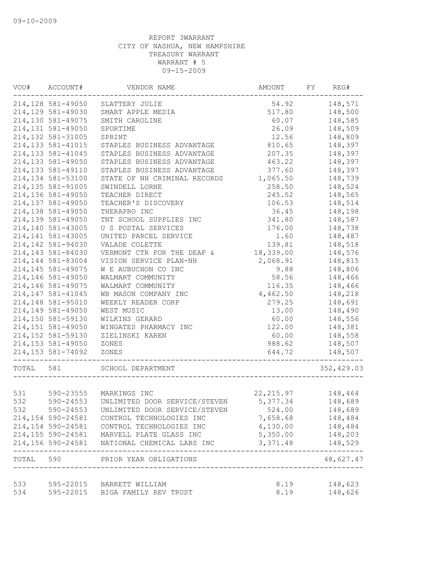| VOU#      | ACCOUNT#           | VENDOR NAME                     | AMOUNT<br>FY    |  | REG#       |  |
|-----------|--------------------|---------------------------------|-----------------|--|------------|--|
|           | 214,128 581-49050  | SLATTERY JULIE                  | 54.92           |  | 148,571    |  |
|           | 214,129 581-49030  | SMART APPLE MEDIA               | 517.80          |  | 148,500    |  |
|           | 214,130 581-49075  | SMITH CAROLINE                  | 60.07           |  |            |  |
|           | 214,131 581-49050  | SPORTIME                        | 26.09           |  | 148,509    |  |
|           | 214,132 581-31005  | SPRINT                          | 12.56           |  | 148,809    |  |
|           | 214, 133 581-41015 | STAPLES BUSINESS ADVANTAGE      | 810.65          |  | 148,397    |  |
|           | 214, 133 581-41045 | STAPLES BUSINESS ADVANTAGE      | 207.35          |  | 148,397    |  |
|           | 214, 133 581-49050 | STAPLES BUSINESS ADVANTAGE      | 463.22          |  | 148,397    |  |
|           | 214, 133 581-49110 | STAPLES BUSINESS ADVANTAGE      | 377.60          |  | 148,397    |  |
|           | 214,134 581-53100  | STATE OF NH CRIMINAL RECORDS    | 1,065.50        |  | 148,739    |  |
|           | 214, 135 581-91005 | SWINDELL LORNE                  | 258.50          |  | 148,524    |  |
|           | 214,136 581-49050  | TEACHER DIRECT                  | 245.52          |  | 148,565    |  |
|           | 214,137 581-49050  | TEACHER'S DISCOVERY             | 106.53          |  | 148,514    |  |
|           | 214,138 581-49050  | THERAPRO INC                    | 36.45           |  | 148,198    |  |
|           | 214,139 581-49050  | TNT SCHOOL SUPPLIES INC         | 341.80          |  | 148,587    |  |
|           | 214,140 581-43005  | U S POSTAL SERVICES             | 176.00          |  | 148,738    |  |
|           | 214, 141 581-43005 | UNITED PARCEL SERVICE           | 1.60            |  | 148,487    |  |
|           | 214,142 581-94030  | VALADE COLETTE                  | 139.81          |  | 148,518    |  |
|           | 214, 143 581-84030 | VERMONT CTR FOR THE DEAF &      | 18,339.00       |  | 148,576    |  |
|           | 214, 144 581-83004 | VISION SERVICE PLAN-NH          | 2,068.91        |  | 148,815    |  |
|           | 214, 145 581-49075 | W E AUBUCHON CO INC             | 9.88            |  | 148,806    |  |
|           | 214,146 581-49050  | WALMART COMMUNITY               | 58.56           |  | 148,466    |  |
|           | 214,146 581-49075  | WALMART COMMUNITY               | 116.35          |  | 148,466    |  |
|           | 214, 147 581-41045 | WB MASON COMPANY INC            | 4,462.50        |  | 148,218    |  |
|           | 214,148 581-95010  | WEEKLY READER CORP              | 279.25          |  | 148,691    |  |
|           | 214,149 581-49050  | WEST MUSIC                      | 13.00           |  | 148,490    |  |
|           | 214,150 581-59130  |                                 |                 |  | 148,556    |  |
|           | 214, 151 581-49050 | WILKINS GERARD                  | 60.00<br>122.00 |  | 148,381    |  |
|           |                    | WINGATES PHARMACY INC           |                 |  |            |  |
|           | 214,152 581-59130  | ZIELINSKI KAREN                 | 60.00           |  | 148,558    |  |
|           | 214, 153 581-49050 | ZONES                           | 988.62          |  | 148,507    |  |
|           | 214, 153 581-74092 | ZONES                           | 644.72          |  | 148,507    |  |
| TOTAL     | 581                | SCHOOL DEPARTMENT               |                 |  | 352,429.03 |  |
|           |                    |                                 |                 |  |            |  |
| 531       |                    | 590-23555 MARKINGS INC          | 22, 215.97      |  | 148,464    |  |
| 532       | 590-24553          | UNLIMITED DOOR SERVICE/STEVEN   | 5,377.34        |  | 148,689    |  |
| 532       | 590-24553          | UNLIMITED DOOR SERVICE/STEVEN   | 524.00          |  | 148,689    |  |
|           | 214,154 590-24581  | CONTROL TECHNOLOGIES INC        | 7,658.68        |  | 148,484    |  |
|           | 214,154 590-24581  | CONTROL TECHNOLOGIES INC        | 4,130.00        |  | 148,484    |  |
|           | 214,155 590-24581  | MARVELL PLATE GLASS INC         | 5,350.00        |  | 148,203    |  |
|           | 214,156 590-24581  | NATIONAL CHEMICAL LABS INC      | 3,371.48        |  | 148,529    |  |
| TOTAL 590 |                    | PRIOR YEAR OBLIGATIONS          |                 |  | 48,627.47  |  |
|           |                    |                                 |                 |  |            |  |
| 533       |                    | 595-22015 BARRETT WILLIAM       | 8.19            |  | 148,623    |  |
| 534       |                    | 595-22015 BIGA FAMILY REV TRUST | 8.19            |  | 148,626    |  |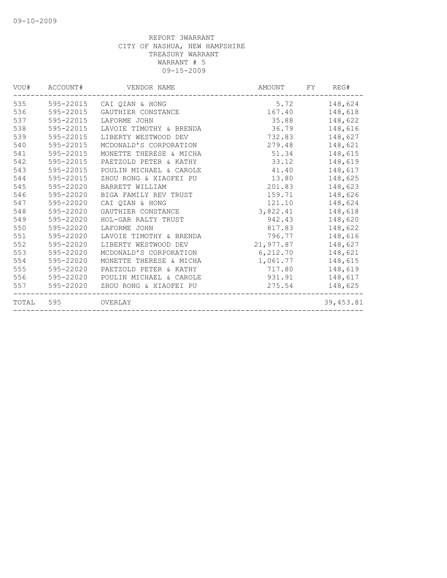| VOU#  | ACCOUNT#  | VENDOR NAME             | AMOUNT    | FY<br>REG# |
|-------|-----------|-------------------------|-----------|------------|
| 535   | 595-22015 | CAI OIAN & HONG         | 5.72      | 148,624    |
| 536   | 595-22015 | GAUTHIER CONSTANCE      | 167.40    | 148,618    |
| 537   | 595-22015 | LAFORME JOHN            | 35.88     | 148,622    |
| 538   | 595-22015 | LAVOIE TIMOTHY & BRENDA | 36.79     | 148,616    |
| 539   | 595-22015 | LIBERTY WESTWOOD DEV    | 732.83    | 148,627    |
| 540   | 595-22015 | MCDONALD'S CORPORATION  | 279.48    | 148,621    |
| 541   | 595-22015 | MONETTE THERESE & MICHA | 51.34     | 148,615    |
| 542   | 595-22015 | PAETZOLD PETER & KATHY  | 33.12     | 148,619    |
| 543   | 595-22015 | POULIN MICHAEL & CAROLE | 41.40     | 148,617    |
| 544   | 595-22015 | ZHOU RONG & XIAOFEI PU  | 13.80     | 148,625    |
| 545   | 595-22020 | BARRETT WILLIAM         | 201.83    | 148,623    |
| 546   | 595-22020 | BIGA FAMILY REV TRUST   | 159.71    | 148,626    |
| 547   | 595-22020 | CAI QIAN & HONG         | 121.10    | 148,624    |
| 548   | 595-22020 | GAUTHIER CONSTANCE      | 3,822.41  | 148,618    |
| 549   | 595-22020 | HOL-GAR RALTY TRUST     | 942.43    | 148,620    |
| 550   | 595-22020 | LAFORME JOHN            | 817.83    | 148,622    |
| 551   | 595-22020 | LAVOIE TIMOTHY & BRENDA | 796.77    | 148,616    |
| 552   | 595-22020 | LIBERTY WESTWOOD DEV    | 21,977.87 | 148,627    |
| 553   | 595-22020 | MCDONALD'S CORPORATION  | 6,212.70  | 148,621    |
| 554   | 595-22020 | MONETTE THERESE & MICHA | 1,061.77  | 148,615    |
| 555   | 595-22020 | PAETZOLD PETER & KATHY  | 717.80    | 148,619    |
| 556   | 595-22020 | POULIN MICHAEL & CAROLE | 931.91    | 148,617    |
| 557   | 595-22020 | ZHOU RONG & XIAOFEI PU  | 275.54    | 148,625    |
| TOTAL | 595       | OVERLAY                 |           | 39,453.81  |
|       |           |                         |           |            |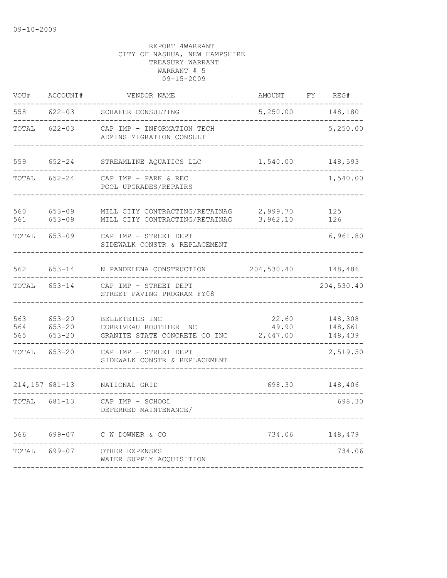| VOU#              | ACCOUNT#                               | VENDOR NAME                                                               | <b>AMOUNT</b>              | FY | REG#                          |
|-------------------|----------------------------------------|---------------------------------------------------------------------------|----------------------------|----|-------------------------------|
| 558               | $622 - 03$                             | SCHAFER CONSULTING                                                        | 5,250.00                   |    | 148,180                       |
| TOTAL             | $622 - 03$                             | CAP IMP - INFORMATION TECH<br>ADMINS MIGRATION CONSULT                    |                            |    | 5,250.00                      |
| 559               | $652 - 24$                             | STREAMLINE AQUATICS LLC                                                   | 1,540.00                   |    | 148,593                       |
| TOTAL             | $652 - 24$                             | CAP IMP - PARK & REC<br>POOL UPGRADES/REPAIRS                             |                            |    | 1,540.00                      |
| 560<br>561        | $653 - 09$<br>$653 - 09$               | MILL CITY CONTRACTING/RETAINAG<br>MILL CITY CONTRACTING/RETAINAG          | 2,999.70<br>3,962.10       |    | 125<br>126                    |
| TOTAL             | $653 - 09$                             | CAP IMP - STREET DEPT<br>SIDEWALK CONSTR & REPLACEMENT                    |                            |    | 6,961.80                      |
| 562               | $653 - 14$                             | N PANDELENA CONSTRUCTION                                                  | 204,530.40                 |    | 148,486                       |
| TOTAL             | $653 - 14$                             | CAP IMP - STREET DEPT<br>STREET PAVING PROGRAM FY08                       |                            |    | 204,530.40                    |
| 563<br>564<br>565 | $653 - 20$<br>$653 - 20$<br>$653 - 20$ | BELLETETES INC<br>CORRIVEAU ROUTHIER INC<br>GRANITE STATE CONCRETE CO INC | 22.60<br>49.90<br>2,447.00 |    | 148,308<br>148,661<br>148,439 |
| TOTAL             | $653 - 20$                             | CAP IMP - STREET DEPT<br>SIDEWALK CONSTR & REPLACEMENT                    |                            |    | 2,519.50                      |
| 214,157 681-13    |                                        | NATIONAL GRID                                                             | 698.30                     |    | 148,406                       |
| TOTAL             | 681-13                                 | CAP IMP - SCHOOL<br>DEFERRED MAINTENANCE/                                 |                            |    | 698.30                        |
| 566               | 699-07                                 | C W DOWNER & CO                                                           | 734.06                     |    | 148,479                       |
| TOTAL             | 699-07                                 | OTHER EXPENSES<br>WATER SUPPLY ACQUISITION                                |                            |    | 734.06                        |
|                   |                                        |                                                                           |                            |    |                               |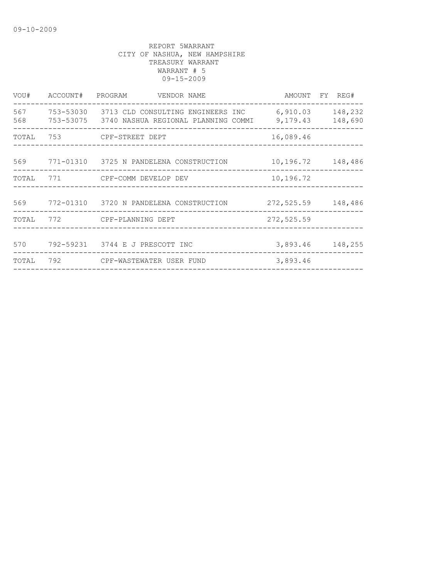| VOU#       | ACCOUNT#  | PROGRAM<br>VENDOR NAME                                                             | AMOUNT FY REG#       |                    |
|------------|-----------|------------------------------------------------------------------------------------|----------------------|--------------------|
| 567<br>568 | 753-53030 | 3713 CLD CONSULTING ENGINEERS INC<br>753-53075 3740 NASHUA REGIONAL PLANNING COMMI | 6,910.03<br>9,179.43 | 148,232<br>148,690 |
| TOTAL      | 753       | CPF-STREET DEPT                                                                    | 16,089.46            |                    |
| 569        |           | 771-01310 3725 N PANDELENA CONSTRUCTION                                            | 10,196.72            | 148,486            |
| TOTAL      |           | 771 CPF-COMM DEVELOP DEV                                                           | 10,196.72            |                    |
|            |           | 569 772-01310 3720 N PANDELENA CONSTRUCTION                                        | 272,525.59 148,486   |                    |
| TOTAL      |           | 772 CPF-PLANNING DEPT                                                              | 272,525.59           |                    |
| 570        |           | 792-59231 3744 E J PRESCOTT INC                                                    | 3,893.46             | 148,255            |
| TOTAL      | 792       | CPF-WASTEWATER USER FUND                                                           | 3,893.46             |                    |
|            |           |                                                                                    |                      |                    |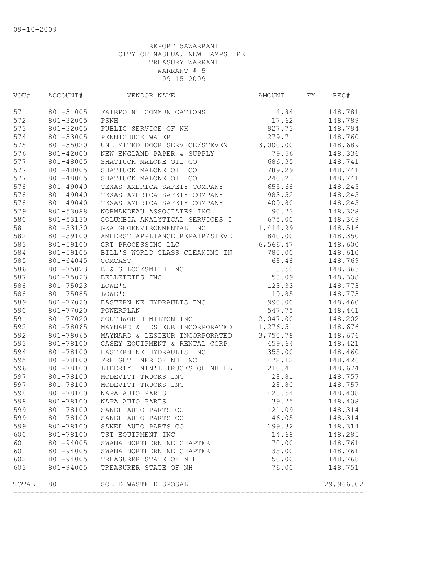| VOU#  | ACCOUNT#  | VENDOR NAME                    | FY<br>AMOUNT |  | REG#               |
|-------|-----------|--------------------------------|--------------|--|--------------------|
| 571   | 801-31005 | FAIRPOINT COMMUNICATIONS       | 4.84         |  | 148,781            |
| 572   | 801-32005 | PSNH                           | 17.62        |  | 148,789            |
| 573   | 801-32005 | PUBLIC SERVICE OF NH           | 927.73       |  | 148,794            |
| 574   | 801-33005 | PENNICHUCK WATER               | 279.71       |  | 148,760            |
| 575   | 801-35020 | UNLIMITED DOOR SERVICE/STEVEN  | 3,000.00     |  | 148,689            |
| 576   | 801-42000 | NEW ENGLAND PAPER & SUPPLY     | 79.56        |  | 148,336            |
| 577   | 801-48005 | SHATTUCK MALONE OIL CO         | 686.35       |  | 148,741            |
| 577   | 801-48005 | SHATTUCK MALONE OIL CO         | 789.29       |  | 148,741            |
| 577   | 801-48005 | SHATTUCK MALONE OIL CO         | 240.23       |  | 148,741            |
| 578   | 801-49040 | TEXAS AMERICA SAFETY COMPANY   | 655.68       |  | 148,245            |
| 578   | 801-49040 | TEXAS AMERICA SAFETY COMPANY   | 983.52       |  | 148,245            |
| 578   | 801-49040 | TEXAS AMERICA SAFETY COMPANY   | 409.80       |  | 148,245            |
| 579   | 801-53088 | NORMANDEAU ASSOCIATES INC      | 90.23        |  | 148,328            |
| 580   | 801-53130 | COLUMBIA ANALYTICAL SERVICES I | 675.00       |  | 148,349            |
| 581   | 801-53130 | GZA GEOENVIRONMENTAL INC       | 1,414.99     |  | 148,516            |
| 582   | 801-59100 | AMHERST APPLIANCE REPAIR/STEVE | 840.00       |  | 148,350            |
| 583   | 801-59100 | CRT PROCESSING LLC             | 6,566.47     |  | 148,600            |
| 584   | 801-59105 | BILL'S WORLD CLASS CLEANING IN | 780.00       |  | 148,610            |
| 585   | 801-64045 | COMCAST                        | 68.48        |  | 148,769            |
| 586   | 801-75023 | B & S LOCKSMITH INC            | 8.50         |  | 148,363            |
| 587   | 801-75023 | BELLETETES INC                 | 58.09        |  | 148,308            |
| 588   | 801-75023 | LOWE'S                         | 123.33       |  | 148,773            |
| 588   | 801-75085 | LOWE'S                         | 19.85        |  | 148,773            |
| 589   | 801-77020 | EASTERN NE HYDRAULIS INC       | 990.00       |  | 148,460            |
| 590   | 801-77020 | POWERPLAN                      | 547.75       |  | 148,441            |
| 591   | 801-77020 | SOUTHWORTH-MILTON INC          | 2,047.00     |  | 148,202            |
| 592   | 801-78065 | MAYNARD & LESIEUR INCORPORATED | 1,276.51     |  | 148,676            |
| 592   | 801-78065 | MAYNARD & LESIEUR INCORPORATED | 3,750.78     |  | 148,676            |
| 593   | 801-78100 | CASEY EQUIPMENT & RENTAL CORP  | 459.64       |  | 148,421            |
| 594   | 801-78100 | EASTERN NE HYDRAULIS INC       | 355.00       |  | 148,460            |
| 595   | 801-78100 | FREIGHTLINER OF NH INC         | 472.12       |  | 148,426            |
| 596   | 801-78100 | LIBERTY INTN'L TRUCKS OF NH LL | 210.41       |  | 148,674            |
| 597   | 801-78100 | MCDEVITT TRUCKS INC            | 28.81        |  | 148,757            |
| 597   | 801-78100 | MCDEVITT TRUCKS INC            | 28.80        |  | 148,757            |
| 598   | 801-78100 | NAPA AUTO PARTS                | 428.54       |  | 148,408            |
| 598   | 801-78100 | NAPA AUTO PARTS                | 39.25        |  | 148,408            |
| 599   | 801-78100 | SANEL AUTO PARTS CO            | 121.09       |  | 148,314            |
| 599   | 801-78100 | SANEL AUTO PARTS CO            | 46.05        |  | 148,314            |
| 599   | 801-78100 | SANEL AUTO PARTS CO            | 199.32       |  | 148,314            |
| 600   | 801-78100 | TST EQUIPMENT INC              | 14.68        |  | 148,285            |
| 601   | 801-94005 | SWANA NORTHERN NE CHAPTER      | 70.00        |  | 148,761            |
| 601   | 801-94005 | SWANA NORTHERN NE CHAPTER      | 35.00        |  | 148,761            |
| 602   | 801-94005 | TREASURER STATE OF N H         | 50.00        |  | 148,768            |
| 603   | 801-94005 | TREASURER STATE OF NH          | 76.00        |  | 148,751<br>------- |
| TOTAL | 801       | SOLID WASTE DISPOSAL           |              |  | 29,966.02          |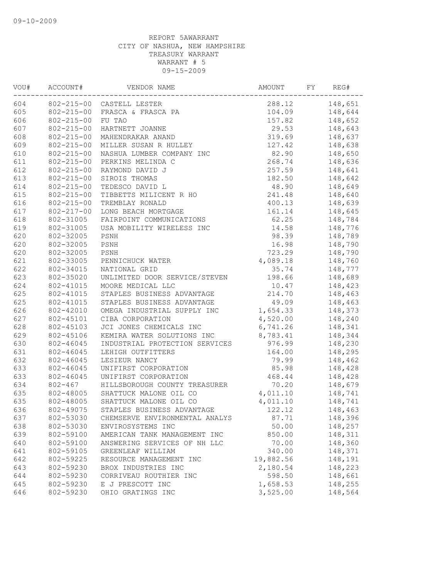| VOU# | ACCOUNT#<br>VENDOR NAME |                                | AMOUNT    | FY | REG#    |  |
|------|-------------------------|--------------------------------|-----------|----|---------|--|
| 604  |                         | 802-215-00 CASTELL LESTER      | 288.12    |    | 148,651 |  |
| 605  | 802-215-00              | FRASCA & FRASCA PA             | 104.09    |    | 148,644 |  |
| 606  | $802 - 215 - 00$        | FU TAO                         | 157.82    |    | 148,652 |  |
| 607  | $802 - 215 - 00$        | HARTNETT JOANNE                | 29.53     |    | 148,643 |  |
| 608  | $802 - 215 - 00$        | MAHENDRAKAR ANAND              | 319.69    |    | 148,637 |  |
| 609  | $802 - 215 - 00$        | MILLER SUSAN R HULLEY          | 127.42    |    | 148,638 |  |
| 610  | $802 - 215 - 00$        | NASHUA LUMBER COMPANY INC      | 82.90     |    | 148,650 |  |
| 611  | $802 - 215 - 00$        | PERKINS MELINDA C              | 268.74    |    | 148,636 |  |
| 612  | $802 - 215 - 00$        | RAYMOND DAVID J                | 257.59    |    | 148,641 |  |
| 613  | $802 - 215 - 00$        | SIROIS THOMAS                  | 182.50    |    | 148,642 |  |
| 614  | $802 - 215 - 00$        | TEDESCO DAVID L                | 48.90     |    | 148,649 |  |
| 615  | $802 - 215 - 00$        | TIBBETTS MILICENT R HO         | 241.48    |    | 148,640 |  |
| 616  | $802 - 215 - 00$        | TREMBLAY RONALD                | 400.13    |    | 148,639 |  |
| 617  | $802 - 217 - 00$        | LONG BEACH MORTGAGE            | 161.14    |    | 148,645 |  |
| 618  | 802-31005               | FAIRPOINT COMMUNICATIONS       | 62.25     |    | 148,784 |  |
| 619  | 802-31005               | USA MOBILITY WIRELESS INC      | 14.58     |    | 148,776 |  |
| 620  | 802-32005               | PSNH                           | 98.39     |    | 148,789 |  |
| 620  | 802-32005               | PSNH                           | 16.98     |    | 148,790 |  |
| 620  | 802-32005               | PSNH                           | 723.29    |    | 148,790 |  |
| 621  | 802-33005               | PENNICHUCK WATER               | 4,089.18  |    | 148,760 |  |
| 622  | 802-34015               | NATIONAL GRID                  | 35.74     |    | 148,777 |  |
| 623  | 802-35020               | UNLIMITED DOOR SERVICE/STEVEN  | 198.66    |    | 148,689 |  |
| 624  | 802-41015               | MOORE MEDICAL LLC              | 10.47     |    | 148,423 |  |
| 625  | 802-41015               | STAPLES BUSINESS ADVANTAGE     | 214.70    |    | 148,463 |  |
| 625  | 802-41015               | STAPLES BUSINESS ADVANTAGE     | 49.09     |    | 148,463 |  |
| 626  | 802-42010               | OMEGA INDUSTRIAL SUPPLY INC    | 1,654.33  |    | 148,373 |  |
| 627  | 802-45101               | CIBA CORPORATION               | 4,520.00  |    | 148,240 |  |
| 628  | 802-45103               | JCI JONES CHEMICALS INC        | 6,741.26  |    | 148,341 |  |
| 629  | 802-45106               | KEMIRA WATER SOLUTIONS INC     | 8,783.41  |    |         |  |
| 630  | 802-46045               | INDUSTRIAL PROTECTION SERVICES | 976.99    |    | 148,344 |  |
| 631  |                         |                                |           |    | 148,230 |  |
|      | 802-46045               | LEHIGH OUTFITTERS              | 164.00    |    | 148,295 |  |
| 632  | 802-46045               | LESIEUR NANCY                  | 79.99     |    | 148,462 |  |
| 633  | 802-46045               | UNIFIRST CORPORATION           | 85.98     |    | 148,428 |  |
| 633  | 802-46045               | UNIFIRST CORPORATION           | 468.44    |    | 148,428 |  |
| 634  | $802 - 467$             | HILLSBOROUGH COUNTY TREASURER  | 70.20     |    | 148,679 |  |
| 635  | 802-48005               | SHATTUCK MALONE OIL CO         | 4,011.10  |    | 148,741 |  |
| 635  | 802-48005               | SHATTUCK MALONE OIL CO         | 4,011.10  |    | 148,741 |  |
| 636  | 802-49075               | STAPLES BUSINESS ADVANTAGE     | 122.12    |    | 148,463 |  |
| 637  | 802-53030               | CHEMSERVE ENVIRONMENTAL ANALYS | 87.71     |    | 148,396 |  |
| 638  | 802-53030               | ENVIROSYSTEMS INC              | 50.00     |    | 148,257 |  |
| 639  | 802-59100               | AMERICAN TANK MANAGEMENT INC   | 850.00    |    | 148,311 |  |
| 640  | 802-59100               | ANSWERING SERVICES OF NH LLC   | 70.00     |    | 148,360 |  |
| 641  | 802-59105               | GREENLEAF WILLIAM              | 340.00    |    | 148,371 |  |
| 642  | 802-59225               | RESOURCE MANAGEMENT INC        | 19,882.56 |    | 148,191 |  |
| 643  | 802-59230               | BROX INDUSTRIES INC            | 2,180.54  |    | 148,223 |  |
| 644  | 802-59230               | CORRIVEAU ROUTHIER INC         | 598.50    |    | 148,661 |  |
| 645  | 802-59230               | E J PRESCOTT INC               | 1,658.53  |    | 148,255 |  |
| 646  | 802-59230               | OHIO GRATINGS INC              | 3,525.00  |    | 148,564 |  |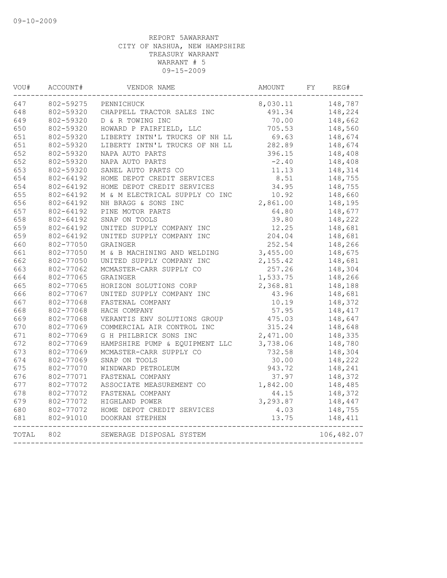| VOU#  | ACCOUNT#  | VENDOR NAME<br>AMOUNT          |          | FY | REG#       |  |
|-------|-----------|--------------------------------|----------|----|------------|--|
| 647   | 802-59275 | PENNICHUCK                     | 8,030.11 |    | 148,787    |  |
| 648   | 802-59320 | CHAPPELL TRACTOR SALES INC     | 491.34   |    | 148,224    |  |
| 649   | 802-59320 | D & R TOWING INC               | 70.00    |    | 148,662    |  |
| 650   | 802-59320 | HOWARD P FAIRFIELD, LLC        | 705.53   |    | 148,560    |  |
| 651   | 802-59320 | LIBERTY INTN'L TRUCKS OF NH LL | 69.63    |    | 148,674    |  |
| 651   | 802-59320 | LIBERTY INTN'L TRUCKS OF NH LL | 282.89   |    | 148,674    |  |
| 652   | 802-59320 | NAPA AUTO PARTS                | 396.15   |    | 148,408    |  |
| 652   | 802-59320 | NAPA AUTO PARTS                | $-2.40$  |    | 148,408    |  |
| 653   | 802-59320 | SANEL AUTO PARTS CO            | 11.13    |    | 148,314    |  |
| 654   | 802-64192 | HOME DEPOT CREDIT SERVICES     | 8.51     |    | 148,755    |  |
| 654   | 802-64192 | HOME DEPOT CREDIT SERVICES     | 34.95    |    | 148,755    |  |
| 655   | 802-64192 | M & M ELECTRICAL SUPPLY CO INC | 10.92    |    | 148,660    |  |
| 656   | 802-64192 | NH BRAGG & SONS INC            | 2,861.00 |    | 148,195    |  |
| 657   | 802-64192 | PINE MOTOR PARTS               | 64.80    |    | 148,677    |  |
| 658   | 802-64192 | SNAP ON TOOLS                  | 39.80    |    | 148,222    |  |
| 659   | 802-64192 | UNITED SUPPLY COMPANY INC      | 12.25    |    | 148,681    |  |
| 659   | 802-64192 | UNITED SUPPLY COMPANY INC      | 204.04   |    | 148,681    |  |
| 660   | 802-77050 | GRAINGER                       | 252.54   |    | 148,266    |  |
| 661   | 802-77050 | M & B MACHINING AND WELDING    | 3,455.00 |    | 148,675    |  |
| 662   | 802-77050 | UNITED SUPPLY COMPANY INC      | 2,155.42 |    | 148,681    |  |
| 663   | 802-77062 | MCMASTER-CARR SUPPLY CO        | 257.26   |    | 148,304    |  |
| 664   | 802-77065 | GRAINGER                       | 1,533.75 |    | 148,266    |  |
| 665   | 802-77065 | HORIZON SOLUTIONS CORP         | 2,368.81 |    | 148,188    |  |
| 666   | 802-77067 | UNITED SUPPLY COMPANY INC      | 43.96    |    | 148,681    |  |
| 667   | 802-77068 | FASTENAL COMPANY               | 10.19    |    | 148,372    |  |
| 668   | 802-77068 | HACH COMPANY                   | 57.95    |    | 148,417    |  |
| 669   | 802-77068 | VERANTIS ENV SOLUTIONS GROUP   | 475.03   |    | 148,647    |  |
| 670   | 802-77069 | COMMERCIAL AIR CONTROL INC     | 315.24   |    | 148,648    |  |
| 671   | 802-77069 | G H PHILBRICK SONS INC         | 2,471.00 |    | 148,335    |  |
| 672   | 802-77069 | HAMPSHIRE PUMP & EQUIPMENT LLC | 3,738.06 |    | 148,780    |  |
| 673   | 802-77069 | MCMASTER-CARR SUPPLY CO        | 732.58   |    | 148,304    |  |
| 674   | 802-77069 | SNAP ON TOOLS                  | 30.00    |    | 148,222    |  |
| 675   | 802-77070 | WINDWARD PETROLEUM             | 943.72   |    | 148,241    |  |
| 676   | 802-77071 | FASTENAL COMPANY               | 37.97    |    | 148,372    |  |
| 677   | 802-77072 | ASSOCIATE MEASUREMENT CO       | 1,842.00 |    | 148,485    |  |
| 678   | 802-77072 | FASTENAL COMPANY               | 44.15    |    | 148,372    |  |
| 679   | 802-77072 | HIGHLAND POWER                 | 3,293.87 |    | 148,447    |  |
| 680   | 802-77072 | HOME DEPOT CREDIT SERVICES     | 4.03     |    | 148,755    |  |
| 681   | 802-91010 | DOOKRAN STEPHEN                | 13.75    |    | 148,411    |  |
|       |           |                                |          |    |            |  |
| TOTAL | 802       | SEWERAGE DISPOSAL SYSTEM       |          |    | 106,482.07 |  |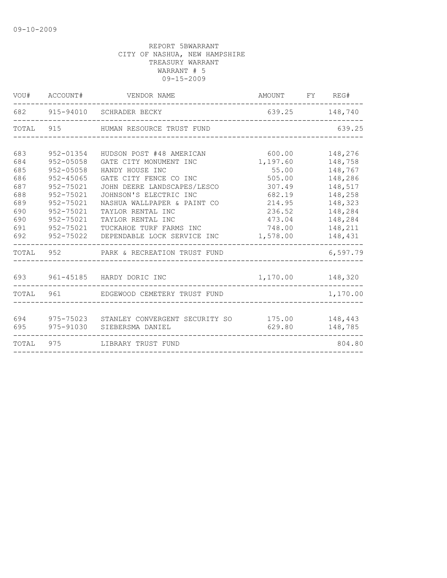|       | VOU# ACCOUNT# | VENDOR NAME                                   | AMOUNT FY REG#   |  |          |
|-------|---------------|-----------------------------------------------|------------------|--|----------|
|       |               | 682 915-94010 SCHRADER BECKY                  | 639.25 148,740   |  |          |
|       |               | TOTAL 915 HUMAN RESOURCE TRUST FUND           |                  |  | 639.25   |
|       |               |                                               |                  |  |          |
| 683   | $952 - 01354$ | HUDSON POST #48 AMERICAN                      | 600.00           |  | 148,276  |
| 684   | $952 - 05058$ | GATE CITY MONUMENT INC                        | 1,197.60         |  | 148,758  |
| 685   | 952-05058     | HANDY HOUSE INC                               | 55.00            |  | 148,767  |
| 686   | $952 - 45065$ | GATE CITY FENCE CO INC                        | 505.00           |  | 148,286  |
| 687   | 952-75021     | JOHN DEERE LANDSCAPES/LESCO                   | 307.49           |  | 148,517  |
| 688   | 952-75021     | JOHNSON'S ELECTRIC INC                        | 682.19           |  | 148,258  |
| 689   | 952-75021     | NASHUA WALLPAPER & PAINT CO                   | 214.95           |  | 148,323  |
| 690   | 952-75021     | TAYLOR RENTAL INC                             | 236.52           |  | 148,284  |
| 690   | 952-75021     | TAYLOR RENTAL INC                             | 473.04           |  | 148,284  |
| 691   | 952-75021     | TUCKAHOE TURF FARMS INC                       | 748.00           |  | 148,211  |
| 692   | 952-75022     | DEPENDABLE LOCK SERVICE INC                   | 1,578.00         |  | 148,431  |
|       |               | TOTAL 952 PARK & RECREATION TRUST FUND        |                  |  | 6,597.79 |
| 693   |               | 961-45185 HARDY DORIC INC                     | 1,170.00 148,320 |  |          |
|       |               |                                               |                  |  |          |
|       | TOTAL 961     | EDGEWOOD CEMETERY TRUST FUND                  |                  |  | 1,170.00 |
|       |               |                                               |                  |  |          |
| 694   | 975-75023     | STANLEY CONVERGENT SECURITY SO 175.00 148,443 |                  |  |          |
| 695   | 975-91030     | SIEBERSMA DANIEL                              | 629.80           |  | 148,785  |
| TOTAL | 975           | LIBRARY TRUST FUND                            |                  |  | 804.80   |
|       |               |                                               |                  |  |          |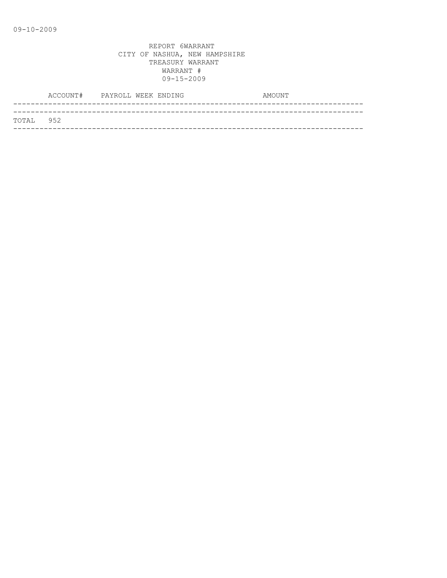|           | ACCOUNT# PAYROLL WEEK ENDING |  |  | AMOUNT |  |
|-----------|------------------------------|--|--|--------|--|
|           |                              |  |  |        |  |
| TOTAL 952 |                              |  |  |        |  |
|           |                              |  |  |        |  |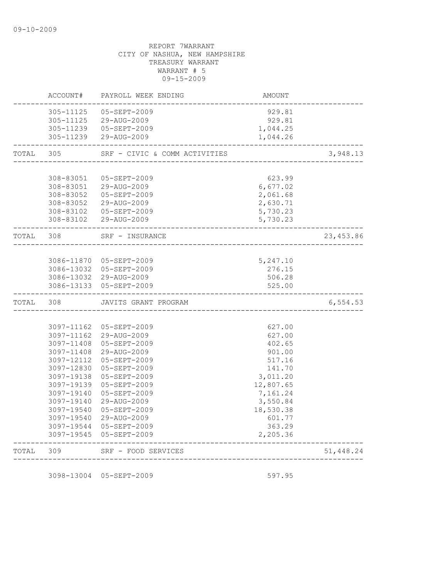# REPORT 7WARRANT CITY OF NASHUA, NEW HAMPSHIRE TREASURY WARRANT WARRANT # 5 09-15-2009 ACCOUNT# PAYROLL WEEK ENDING COUNT AMOUNT -------------------------------------------------------------------------------- 305-11125 05-SEPT-2009 929.81 305-11125 29-AUG-2009 929.81 305-11239 05-SEPT-2009 1,044.25 305-11239 29-AUG-2009 1,044.26 -------------------------------------------------------------------------------- TOTAL 305 SRF - CIVIC & COMM ACTIVITIES 3,948.13 -------------------------------------------------------------------------------- 308-83051 05-SEPT-2009 623.99 308-83051 29-AUG-2009 6,677.02 308-83052 05-SEPT-2009 2,061.68 308-83052 29-AUG-2009 2,630.71 308-83102 05-SEPT-2009 5,730.23 308-83102 29-AUG-2009 5,730.23 -------------------------------------------------------------------------------- TOTAL 308 SRF - INSURANCE 23,453.86 -------------------------------------------------------------------------------- 3086-11870 05-SEPT-2009 5,247.10 3086-13032 05-SEPT-2009 276.15 3086-13032 29-AUG-2009 506.28 3086-13133 05-SEPT-2009 525.00 -------------------------------------------------------------------------------- TOTAL 308 JAVITS GRANT PROGRAM 6,554.53 --------------------------------------------------------------------------------

| 309        | SRF - FOOD SERVICES      |                                                                  | 51,448.24 |
|------------|--------------------------|------------------------------------------------------------------|-----------|
|            |                          | 2,205.36                                                         |           |
|            |                          | 363.29                                                           |           |
| 3097-19540 | $29 - \text{AUG} - 2009$ | 601.77                                                           |           |
| 3097-19540 | 05-SEPT-2009             | 18,530.38                                                        |           |
| 3097-19140 | 29-AUG-2009              | 3,550.84                                                         |           |
| 3097-19140 | $05 - SEPT - 2009$       | 7,161.24                                                         |           |
| 3097-19139 | $05 - SEPT - 2009$       | 12,807.65                                                        |           |
| 3097-19138 | $05 - SEPT - 2009$       | 3,011.20                                                         |           |
| 3097-12830 | 05-SEPT-2009             | 141.70                                                           |           |
| 3097-12112 | 05-SEPT-2009             | 517.16                                                           |           |
| 3097-11408 | $29 - \text{AUG} - 2009$ | 901.00                                                           |           |
| 3097-11408 | $05 - SEPT - 2009$       | 402.65                                                           |           |
|            | $29 - \text{AUG} - 2009$ | 627.00                                                           |           |
| 3097-11162 | $05 - SEPT - 2009$       | 627.00                                                           |           |
|            |                          | 3097-11162<br>3097-19544 05-SEPT-2009<br>3097-19545 05-SEPT-2009 |           |

3098-13004 05-SEPT-2009 597.95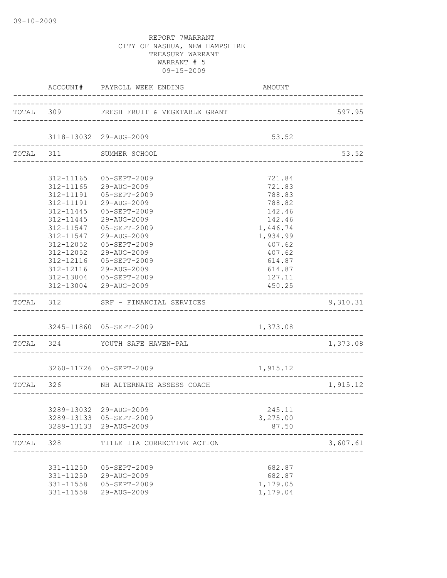|       |               | ACCOUNT# PAYROLL WEEK ENDING            | AMOUNT                        |          |
|-------|---------------|-----------------------------------------|-------------------------------|----------|
|       |               | TOTAL 309 FRESH FRUIT & VEGETABLE GRANT |                               | 597.95   |
|       |               | 3118-13032 29-AUG-2009                  | 53.52                         |          |
|       |               | TOTAL 311 SUMMER SCHOOL                 |                               | 53.52    |
|       |               |                                         |                               |          |
|       |               | 312-11165 05-SEPT-2009                  | 721.84                        |          |
|       |               | 312-11165 29-AUG-2009                   | 721.83                        |          |
|       |               | 312-11191  05-SEPT-2009                 | 788.83                        |          |
|       | 312-11191     | 29-AUG-2009                             | 788.82                        |          |
|       | 312-11445     | 05-SEPT-2009                            | 142.46                        |          |
|       | 312-11445     | 29-AUG-2009                             | 142.46                        |          |
|       | 312-11547     | 05-SEPT-2009                            | 1,446.74                      |          |
|       | 312-11547     | 29-AUG-2009                             | 1,934.99                      |          |
|       | 312-12052     | 05-SEPT-2009                            | 407.62                        |          |
|       | $312 - 12052$ | 29-AUG-2009                             | 407.62                        |          |
|       | 312-12116     | 05-SEPT-2009                            | 614.87                        |          |
|       |               | 312-12116 29-AUG-2009                   | 614.87                        |          |
|       |               | 312-13004 05-SEPT-2009                  | 127.11                        |          |
|       |               | 312-13004 29-AUG-2009                   | 450.25                        |          |
|       |               | TOTAL 312 SRF - FINANCIAL SERVICES      |                               | 9,310.31 |
|       |               | 3245-11860 05-SEPT-2009                 | 1,373.08                      |          |
|       |               |                                         |                               |          |
|       |               | TOTAL 324 YOUTH SAFE HAVEN-PAL          |                               | 1,373.08 |
|       |               | 3260-11726 05-SEPT-2009                 | 1,915.12                      |          |
|       |               | TOTAL 326 NH ALTERNATE ASSESS COACH     |                               | 1,915.12 |
|       |               |                                         | _____________________________ |          |
|       |               | 3289-13032 29-AUG-2009                  | 245.11                        |          |
|       |               | 3289-13133 05-SEPT-2009                 | 3,275.00                      |          |
|       |               | 3289-13133 29-AUG-2009                  | 87.50                         |          |
| TOTAL | 328           | TITLE IIA CORRECTIVE ACTION             |                               | 3,607.61 |
|       |               |                                         |                               |          |
|       | 331-11250     | 05-SEPT-2009                            | 682.87                        |          |
|       | 331-11250     | 29-AUG-2009                             | 682.87                        |          |
|       | 331-11558     | 05-SEPT-2009                            | 1,179.05                      |          |
|       | 331-11558     | 29-AUG-2009                             | 1,179.04                      |          |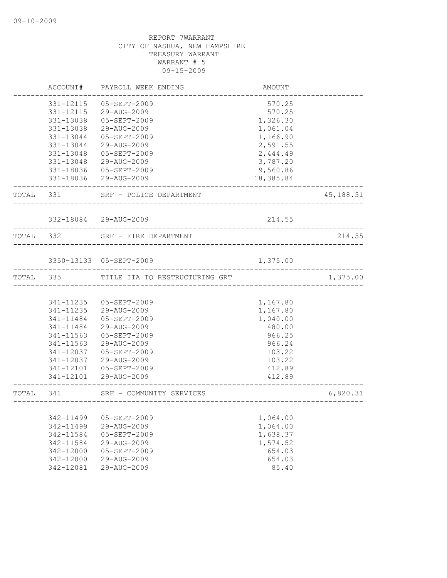|           | ACCOUNT#  | PAYROLL WEEK ENDING            | AMOUNT                                |           |
|-----------|-----------|--------------------------------|---------------------------------------|-----------|
|           | 331-12115 | $05 - SEPT - 2009$             | 570.25                                |           |
|           | 331-12115 | 29-AUG-2009                    | 570.25                                |           |
|           | 331-13038 | 05-SEPT-2009                   | 1,326.30                              |           |
|           | 331-13038 | 29-AUG-2009                    | 1,061.04                              |           |
|           | 331-13044 | 05-SEPT-2009                   | 1,166.90                              |           |
|           | 331-13044 | 29-AUG-2009                    | 2,591.55                              |           |
|           | 331-13048 | 05-SEPT-2009                   | 2,444.49                              |           |
|           | 331-13048 | 29-AUG-2009                    | 3,787.20                              |           |
|           | 331-18036 | 05-SEPT-2009                   | 9,560.86                              |           |
|           |           | 331-18036 29-AUG-2009          | 18,385.84                             |           |
| TOTAL 331 |           | SRF - POLICE DEPARTMENT        |                                       | 45,188.51 |
|           |           | 332-18084 29-AUG-2009          | 214.55                                |           |
|           |           |                                |                                       |           |
| TOTAL 332 |           | SRF - FIRE DEPARTMENT          | _____________________________________ | 214.55    |
|           |           | 3350-13133 05-SEPT-2009        | 1,375.00                              |           |
| TOTAL 335 |           | TITLE IIA TQ RESTRUCTURING GRT |                                       | 1,375.00  |
|           |           |                                |                                       |           |
|           | 341-11235 | 05-SEPT-2009                   | 1,167.80                              |           |
|           | 341-11235 | 29-AUG-2009                    | 1,167.80                              |           |
|           | 341-11484 | 05-SEPT-2009                   | 1,040.00                              |           |
|           | 341-11484 | 29-AUG-2009                    | 480.00                                |           |
|           | 341-11563 | 05-SEPT-2009                   | 966.25                                |           |
|           | 341-11563 | 29-AUG-2009                    | 966.24                                |           |
|           | 341-12037 | 05-SEPT-2009                   | 103.22                                |           |
|           | 341-12037 | 29-AUG-2009                    | 103.22                                |           |
|           | 341-12101 | 05-SEPT-2009                   | 412.89                                |           |
|           | 341-12101 | 29-AUG-2009                    | 412.89                                |           |
| TOTAL     | 341       | SRF - COMMUNITY SERVICES       | _______________________________       | 6,820.31  |
|           |           |                                |                                       |           |
|           | 342-11499 | 05-SEPT-2009                   | 1,064.00                              |           |
|           | 342-11499 | 29-AUG-2009                    | 1,064.00                              |           |
|           | 342-11584 | 05-SEPT-2009                   | 1,638.37                              |           |
|           | 342-11584 | 29-AUG-2009                    | 1,574.52                              |           |
|           | 342-12000 | 05-SEPT-2009                   | 654.03                                |           |
|           | 342-12000 | 29-AUG-2009                    | 654.03                                |           |
|           | 342-12081 | 29-AUG-2009                    | 85.40                                 |           |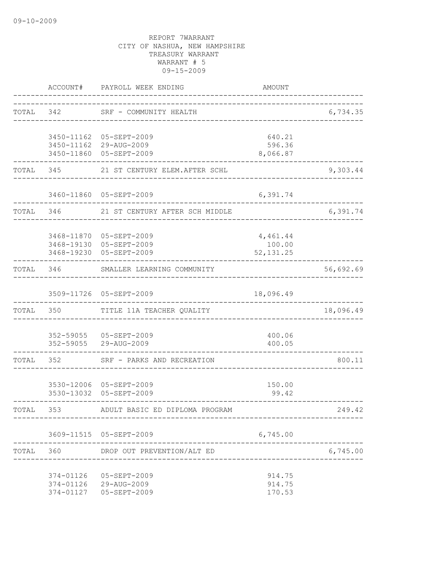|           | ACCOUNT#               | PAYROLL WEEK ENDING                                                           | <b>AMOUNT</b>                      |           |
|-----------|------------------------|-------------------------------------------------------------------------------|------------------------------------|-----------|
| TOTAL 342 |                        | SRF - COMMUNITY HEALTH                                                        | __________________________________ | 6,734.35  |
|           |                        | 3450-11162 05-SEPT-2009<br>3450-11162 29-AUG-2009<br>3450-11860 05-SEPT-2009  | 640.21<br>596.36<br>8,066.87       |           |
| TOTAL     | 345                    | 21 ST CENTURY ELEM.AFTER SCHL                                                 |                                    | 9,303.44  |
|           |                        | 3460-11860 05-SEPT-2009                                                       | 6,391.74                           |           |
| TOTAL 346 |                        | 21 ST CENTURY AFTER SCH MIDDLE                                                |                                    | 6,391.74  |
|           |                        | 3468-11870 05-SEPT-2009<br>3468-19130 05-SEPT-2009<br>3468-19230 05-SEPT-2009 | 4,461.44<br>100.00<br>52, 131.25   |           |
| TOTAL 346 |                        | SMALLER LEARNING COMMUNITY                                                    |                                    | 56,692.69 |
|           |                        | 3509-11726 05-SEPT-2009                                                       | 18,096.49                          |           |
| TOTAL     | 350                    | TITLE 11A TEACHER QUALITY                                                     |                                    | 18,096.49 |
|           |                        | 352-59055 05-SEPT-2009<br>352-59055 29-AUG-2009                               | 400.06<br>400.05                   |           |
| TOTAL     | 352                    | SRF - PARKS AND RECREATION                                                    |                                    | 800.11    |
|           |                        | 3530-12006 05-SEPT-2009<br>3530-13032 05-SEPT-2009                            | 150.00<br>99.42                    |           |
| TOTAL     | 353                    | ADULT BASIC ED DIPLOMA PROGRAM                                                |                                    | 249.42    |
|           |                        | 3609-11515 05-SEPT-2009                                                       | 6,745.00                           |           |
| TOTAL 360 |                        | DROP OUT PREVENTION/ALT ED                                                    |                                    | 6,745.00  |
|           | 374-01126<br>374-01127 | 05-SEPT-2009<br>374-01126 29-AUG-2009<br>05-SEPT-2009                         | 914.75<br>914.75<br>170.53         |           |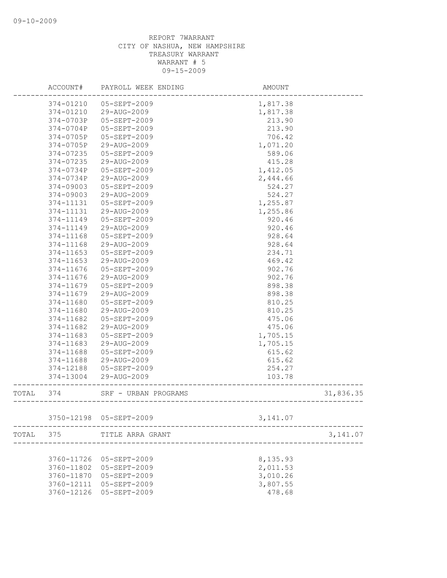|       | ACCOUNT#      | PAYROLL WEEK ENDING     | AMOUNT                         |           |
|-------|---------------|-------------------------|--------------------------------|-----------|
|       | 374-01210     | 05-SEPT-2009            | 1,817.38                       |           |
|       | 374-01210     | 29-AUG-2009             | 1,817.38                       |           |
|       | 374-0703P     | 05-SEPT-2009            | 213.90                         |           |
|       | 374-0704P     | 05-SEPT-2009            | 213.90                         |           |
|       | 374-0705P     | 05-SEPT-2009            | 706.42                         |           |
|       | 374-0705P     | 29-AUG-2009             | 1,071.20                       |           |
|       | 374-07235     | 05-SEPT-2009            | 589.06                         |           |
|       | 374-07235     | 29-AUG-2009             | 415.28                         |           |
|       | 374-0734P     | 05-SEPT-2009            | 1,412.05                       |           |
|       | $374 - 0734P$ | 29-AUG-2009             | 2,444.66                       |           |
|       | 374-09003     | 05-SEPT-2009            | 524.27                         |           |
|       | 374-09003     | 29-AUG-2009             | 524.27                         |           |
|       | 374-11131     | 05-SEPT-2009            | 1,255.87                       |           |
|       | 374-11131     | 29-AUG-2009             | 1,255.86                       |           |
|       | 374-11149     | 05-SEPT-2009            | 920.46                         |           |
|       | 374-11149     | 29-AUG-2009             | 920.46                         |           |
|       | 374-11168     | 05-SEPT-2009            | 928.64                         |           |
|       | $374 - 11168$ | 29-AUG-2009             | 928.64                         |           |
|       | $374 - 11653$ | $05 - SEPT - 2009$      | 234.71                         |           |
|       | $374 - 11653$ | 29-AUG-2009             | 469.42                         |           |
|       | 374-11676     | 05-SEPT-2009            | 902.76                         |           |
|       | 374-11676     | 29-AUG-2009             | 902.76                         |           |
|       | 374-11679     | 05-SEPT-2009            | 898.38                         |           |
|       | 374-11679     | 29-AUG-2009             | 898.38                         |           |
|       | 374-11680     | 05-SEPT-2009            | 810.25                         |           |
|       | 374-11680     | 29-AUG-2009             | 810.25                         |           |
|       | 374-11682     | 05-SEPT-2009            | 475.06                         |           |
|       | 374-11682     | 29-AUG-2009             | 475.06                         |           |
|       | 374-11683     | 05-SEPT-2009            | 1,705.15                       |           |
|       | 374-11683     | 29-AUG-2009             | 1,705.15                       |           |
|       | 374-11688     | 05-SEPT-2009            | 615.62                         |           |
|       | 374-11688     | 29-AUG-2009             | 615.62                         |           |
|       | 374-12188     | 05-SEPT-2009            | 254.27                         |           |
|       | 374-13004     | 29-AUG-2009             | 103.78                         |           |
| TOTAL | 374           | SRF - URBAN PROGRAMS    | ------------------------------ | 31,836.35 |
|       |               |                         |                                |           |
|       |               | 3750-12198 05-SEPT-2009 | 3, 141.07                      |           |
| TOTAL | 375           | TITLE ARRA GRANT        |                                | 3,141.07  |
|       |               |                         |                                |           |
|       | 3760-11726    | 05-SEPT-2009            | 8,135.93                       |           |
|       | 3760-11802    | 05-SEPT-2009            | 2,011.53                       |           |
|       | 3760-11870    | 05-SEPT-2009            | 3,010.26                       |           |
|       | 3760-12111    | 05-SEPT-2009            | 3,807.55                       |           |
|       | 3760-12126    | 05-SEPT-2009            | 478.68                         |           |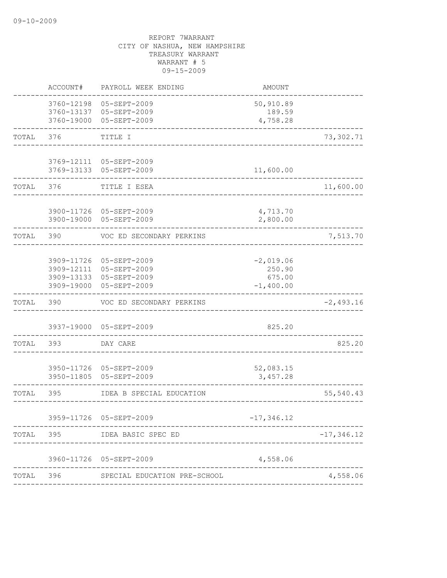|       | ACCOUNT#   | PAYROLL WEEK ENDING                                                                                      | AMOUNT                                         |               |
|-------|------------|----------------------------------------------------------------------------------------------------------|------------------------------------------------|---------------|
|       | 3760-12198 | 05-SEPT-2009<br>3760-13137 05-SEPT-2009<br>3760-19000 05-SEPT-2009                                       | 50,910.89<br>189.59<br>4,758.28                |               |
| TOTAL | 376        | TITLE I                                                                                                  |                                                | 73,302.71     |
|       |            | 3769-12111 05-SEPT-2009<br>3769-13133 05-SEPT-2009                                                       | 11,600.00                                      |               |
| TOTAL | 376        | TITLE I ESEA                                                                                             |                                                | 11,600.00     |
|       |            | 3900-11726 05-SEPT-2009<br>3900-19000 05-SEPT-2009                                                       | 4,713.70<br>2,800.00                           |               |
| TOTAL | 390        | VOC ED SECONDARY PERKINS                                                                                 |                                                | 7,513.70      |
|       |            | 3909-11726 05-SEPT-2009<br>3909-12111 05-SEPT-2009<br>3909-13133 05-SEPT-2009<br>3909-19000 05-SEPT-2009 | $-2,019.06$<br>250.90<br>675.00<br>$-1,400.00$ |               |
| TOTAL | 390        | VOC ED SECONDARY PERKINS                                                                                 |                                                | $-2,493.16$   |
|       |            | 3937-19000 05-SEPT-2009                                                                                  | 825.20                                         |               |
| TOTAL | 393        | DAY CARE                                                                                                 |                                                | 825.20        |
|       | 3950-11805 | 3950-11726 05-SEPT-2009<br>05-SEPT-2009                                                                  | 52,083.15<br>3,457.28                          |               |
| TOTAL | 395        | IDEA B SPECIAL EDUCATION                                                                                 |                                                | 55,540.43     |
|       |            | 3959-11726 05-SEPT-2009                                                                                  | $-17, 346.12$                                  |               |
| TOTAL | 395        | IDEA BASIC SPEC ED                                                                                       |                                                | $-17, 346.12$ |
|       | 3960-11726 | 05-SEPT-2009                                                                                             | 4,558.06                                       |               |
| TOTAL | 396        | SPECIAL EDUCATION PRE-SCHOOL                                                                             |                                                | 4,558.06      |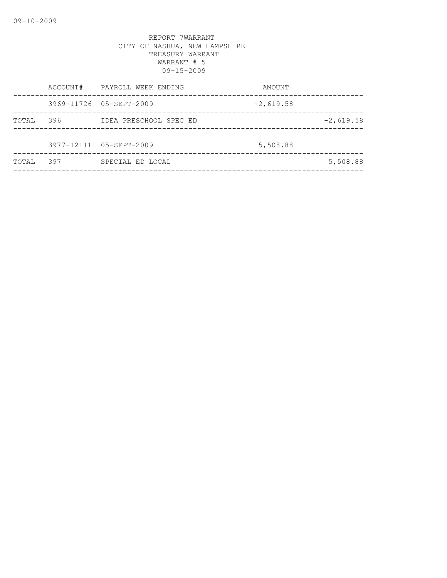|       |     | ACCOUNT# PAYROLL WEEK ENDING | AMOUNT      |             |
|-------|-----|------------------------------|-------------|-------------|
|       |     | 3969-11726 05-SEPT-2009      | $-2,619.58$ |             |
| TOTAL | 396 | IDEA PRESCHOOL SPEC ED       |             | $-2,619.58$ |
|       |     |                              |             |             |
|       |     | 3977-12111 05-SEPT-2009      | 5,508.88    |             |
| TOTAL | 397 | SPECIAL ED LOCAL             |             | 5,508.88    |
|       |     |                              |             |             |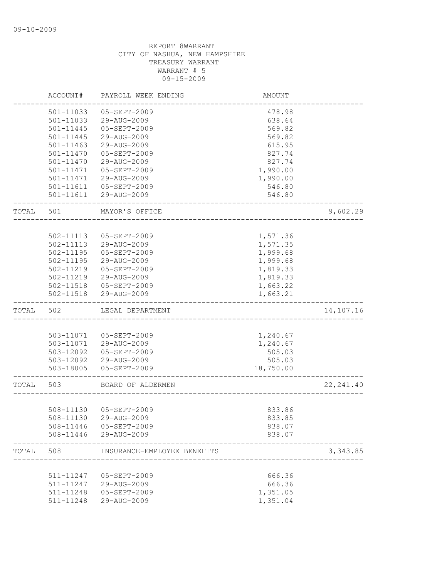|       | ACCOUNT#               | PAYROLL WEEK ENDING         | AMOUNT               |            |
|-------|------------------------|-----------------------------|----------------------|------------|
|       | 501-11033              | 05-SEPT-2009                | 478.98               |            |
|       | 501-11033              | 29-AUG-2009                 | 638.64               |            |
|       | $501 - 11445$          | 05-SEPT-2009                | 569.82               |            |
|       | $501 - 11445$          | 29-AUG-2009                 | 569.82               |            |
|       | $501 - 11463$          | 29-AUG-2009                 | 615.95               |            |
|       | 501-11470              | 05-SEPT-2009                | 827.74               |            |
|       | 501-11470              | 29-AUG-2009                 | 827.74               |            |
|       | 501-11471              | 05-SEPT-2009                | 1,990.00             |            |
|       | 501-11471              | 29-AUG-2009                 | 1,990.00             |            |
|       | 501-11611              | 05-SEPT-2009                | 546.80               |            |
|       |                        | 501-11611 29-AUG-2009       | 546.80               |            |
| TOTAL | 501                    | MAYOR'S OFFICE              |                      | 9,602.29   |
|       |                        |                             |                      |            |
|       | 502-11113              | 05-SEPT-2009                | 1,571.36             |            |
|       | 502-11113              | 29-AUG-2009                 | 1,571.35             |            |
|       | $502 - 11195$          | 05-SEPT-2009                | 1,999.68             |            |
|       | $502 - 11195$          | 29-AUG-2009                 | 1,999.68             |            |
|       | 502-11219              | 05-SEPT-2009                | 1,819.33             |            |
|       | 502-11219              | 29-AUG-2009                 | 1,819.33             |            |
|       | 502-11518              | 05-SEPT-2009                | 1,663.22             |            |
|       | 502-11518              | 29-AUG-2009                 | 1,663.21             |            |
| TOTAL | 502                    | LEGAL DEPARTMENT            |                      | 14,107.16  |
|       |                        |                             |                      |            |
|       | 503-11071              | 05-SEPT-2009                | 1,240.67             |            |
|       |                        | 503-11071 29-AUG-2009       | 1,240.67             |            |
|       | 503-12092              | 05-SEPT-2009                | 505.03               |            |
|       | 503-12092              | 29-AUG-2009                 | 505.03               |            |
|       | 503-18005              | 05-SEPT-2009                | 18,750.00            |            |
| TOTAL | 503                    | BOARD OF ALDERMEN           |                      | 22, 241.40 |
|       |                        |                             |                      |            |
|       | 508-11130              | 05-SEPT-2009                | 833.86               |            |
|       | 508-11130              | 29-AUG-2009                 | 833.85               |            |
|       |                        | 508-11446  05-SEPT-2009     | 838.07               |            |
|       |                        | 508-11446 29-AUG-2009       | 838.07               |            |
| TOTAL | 508                    | INSURANCE-EMPLOYEE BENEFITS |                      | 3, 343.85  |
|       |                        |                             |                      |            |
|       | 511-11247              | 05-SEPT-2009                | 666.36               |            |
|       | 511-11247              | 29-AUG-2009                 | 666.36               |            |
|       |                        |                             |                      |            |
|       | 511-11248<br>511-11248 | 05-SEPT-2009<br>29-AUG-2009 | 1,351.05<br>1,351.04 |            |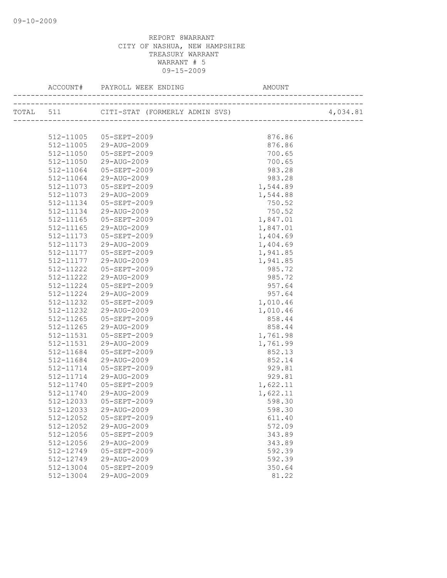|           |                                        | AMOUNT   |          |
|-----------|----------------------------------------|----------|----------|
|           |                                        |          | 4,034.81 |
|           |                                        |          |          |
|           | 512-11005 05-SEPT-2009                 | 876.86   |          |
|           | 512-11005 29-AUG-2009                  | 876.86   |          |
|           | 512-11050 05-SEPT-2009                 | 700.65   |          |
| 512-11050 | 29-AUG-2009                            | 700.65   |          |
| 512-11064 | 05-SEPT-2009                           | 983.28   |          |
|           | 512-11064 29-AUG-2009                  | 983.28   |          |
|           | 512-11073  05-SEPT-2009                | 1,544.89 |          |
|           | 512-11073 29-AUG-2009                  | 1,544.88 |          |
| 512-11134 | 05-SEPT-2009                           | 750.52   |          |
| 512-11134 | 29-AUG-2009                            | 750.52   |          |
| 512-11165 | 05-SEPT-2009                           | 1,847.01 |          |
| 512-11165 | 29-AUG-2009                            | 1,847.01 |          |
| 512-11173 | 05-SEPT-2009                           | 1,404.69 |          |
| 512-11173 | 29-AUG-2009                            | 1,404.69 |          |
| 512-11177 | 05-SEPT-2009                           | 1,941.85 |          |
| 512-11177 | 29-AUG-2009                            | 1,941.85 |          |
| 512-11222 | 05-SEPT-2009                           | 985.72   |          |
| 512-11222 | 29-AUG-2009                            | 985.72   |          |
| 512-11224 | 05-SEPT-2009                           | 957.64   |          |
| 512-11224 | 29-AUG-2009                            | 957.64   |          |
| 512-11232 | 05-SEPT-2009                           | 1,010.46 |          |
| 512-11232 | 29-AUG-2009                            | 1,010.46 |          |
| 512-11265 | 05-SEPT-2009                           | 858.44   |          |
| 512-11265 | 29-AUG-2009                            | 858.44   |          |
| 512-11531 | 05-SEPT-2009                           | 1,761.98 |          |
| 512-11531 | 29-AUG-2009                            | 1,761.99 |          |
| 512-11684 | 05-SEPT-2009                           | 852.13   |          |
| 512-11684 | 29-AUG-2009                            | 852.14   |          |
| 512-11714 | 05-SEPT-2009                           | 929.81   |          |
| 512-11714 | 29-AUG-2009                            | 929.81   |          |
| 512-11740 | 05-SEPT-2009                           | 1,622.11 |          |
| 512-11740 | 29-AUG-2009                            | 1,622.11 |          |
| 512-12033 | 05-SEPT-2009                           | 598.30   |          |
|           | $512 - 12033$ $29 - \text{AUG} - 2009$ | 598.30   |          |
| 512-12052 | 05-SEPT-2009                           | 611.40   |          |
| 512-12052 | 29-AUG-2009                            | 572.09   |          |
| 512-12056 | 05-SEPT-2009                           | 343.89   |          |
| 512-12056 | 29-AUG-2009                            | 343.89   |          |
| 512-12749 | 05-SEPT-2009                           | 592.39   |          |
| 512-12749 | 29-AUG-2009                            | 592.39   |          |
| 512-13004 | 05-SEPT-2009                           | 350.64   |          |
| 512-13004 | 29-AUG-2009                            | 81.22    |          |
|           |                                        |          |          |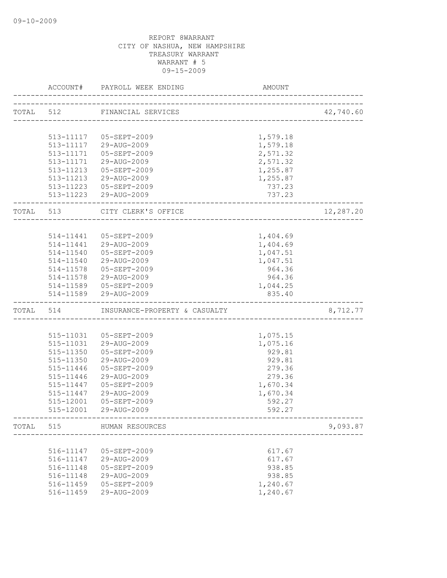|           | ACCOUNT#  | PAYROLL WEEK ENDING                   | AMOUNT   |           |
|-----------|-----------|---------------------------------------|----------|-----------|
|           |           | TOTAL 512 FINANCIAL SERVICES          |          | 42,740.60 |
|           |           | _____________________________________ |          |           |
|           |           |                                       |          |           |
|           |           | 513-11117 05-SEPT-2009                | 1,579.18 |           |
|           |           | 513-11117 29-AUG-2009                 | 1,579.18 |           |
|           | 513-11171 | 05-SEPT-2009                          | 2,571.32 |           |
|           | 513-11171 | 29-AUG-2009                           | 2,571.32 |           |
|           |           | 513-11213 05-SEPT-2009                | 1,255.87 |           |
|           |           | 513-11213 29-AUG-2009                 | 1,255.87 |           |
|           |           | 513-11223  05-SEPT-2009               | 737.23   |           |
|           |           | 513-11223 29-AUG-2009                 | 737.23   |           |
| TOTAL 513 |           | CITY CLERK'S OFFICE                   |          | 12,287.20 |
|           |           |                                       |          |           |
|           | 514-11441 | 05-SEPT-2009                          | 1,404.69 |           |
|           |           | 514-11441 29-AUG-2009                 | 1,404.69 |           |
|           | 514-11540 | 05-SEPT-2009                          | 1,047.51 |           |
|           |           | 514-11540 29-AUG-2009                 | 1,047.51 |           |
|           |           | 514-11578  05-SEPT-2009               | 964.36   |           |
|           | 514-11578 | 29-AUG-2009                           | 964.36   |           |
|           |           | 514-11589  05-SEPT-2009               | 1,044.25 |           |
|           |           | 514-11589 29-AUG-2009                 | 835.40   |           |
| TOTAL 514 |           | INSURANCE-PROPERTY & CASUALTY         |          | 8,712.77  |
|           |           |                                       |          |           |
|           |           | 515-11031  05-SEPT-2009               | 1,075.15 |           |
|           | 515-11031 | 29-AUG-2009                           | 1,075.16 |           |
|           | 515-11350 | 05-SEPT-2009                          | 929.81   |           |
|           | 515-11350 | 29-AUG-2009                           | 929.81   |           |
|           | 515-11446 | 05-SEPT-2009                          | 279.36   |           |
|           | 515-11446 | 29-AUG-2009                           | 279.36   |           |
|           | 515-11447 | 05-SEPT-2009                          | 1,670.34 |           |
|           | 515-11447 | 29-AUG-2009                           | 1,670.34 |           |
|           | 515-12001 | 05-SEPT-2009                          | 592.27   |           |
|           | 515-12001 | 29-AUG-2009                           | 592.27   |           |
| TOTAL     | 515       | HUMAN RESOURCES                       |          | 9,093.87  |
|           |           |                                       |          |           |
|           | 516-11147 | 05-SEPT-2009                          | 617.67   |           |
|           | 516-11147 | 29-AUG-2009                           | 617.67   |           |
|           | 516-11148 | 05-SEPT-2009                          | 938.85   |           |
|           | 516-11148 | 29-AUG-2009                           | 938.85   |           |
|           | 516-11459 | 05-SEPT-2009                          | 1,240.67 |           |
|           | 516-11459 | 29-AUG-2009                           | 1,240.67 |           |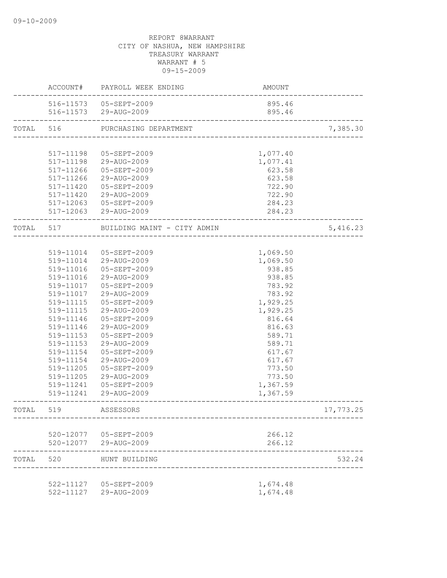|           |           | ACCOUNT# PAYROLL WEEK ENDING | AMOUNT                            |           |
|-----------|-----------|------------------------------|-----------------------------------|-----------|
|           |           | 516-11573  05-SEPT-2009      | 895.46                            |           |
|           |           | 516-11573 29-AUG-2009        | 895.46                            |           |
| TOTAL 516 |           | PURCHASING DEPARTMENT        | --------------------------------- | 7,385.30  |
|           |           |                              |                                   |           |
|           | 517-11198 | 05-SEPT-2009                 | 1,077.40                          |           |
|           |           | 517-11198 29-AUG-2009        | 1,077.41                          |           |
|           | 517-11266 | 05-SEPT-2009                 | 623.58                            |           |
|           | 517-11266 | 29-AUG-2009                  | 623.58                            |           |
|           |           | 517-11420 05-SEPT-2009       | 722.90                            |           |
|           |           | 517-11420 29-AUG-2009        | 722.90                            |           |
|           |           | 517-12063 05-SEPT-2009       | 284.23                            |           |
|           |           | 517-12063 29-AUG-2009        | 284.23                            |           |
|           | TOTAL 517 | BUILDING MAINT - CITY ADMIN  |                                   | 5,416.23  |
|           |           |                              |                                   |           |
|           |           | 519-11014 05-SEPT-2009       | 1,069.50                          |           |
|           |           | 519-11014 29-AUG-2009        | 1,069.50                          |           |
|           |           | 519-11016  05-SEPT-2009      | 938.85                            |           |
|           | 519-11016 | 29-AUG-2009                  | 938.85                            |           |
|           | 519-11017 | 05-SEPT-2009                 | 783.92                            |           |
|           | 519-11017 | 29-AUG-2009                  | 783.92                            |           |
|           | 519-11115 | 05-SEPT-2009                 | 1,929.25                          |           |
|           | 519-11115 | 29-AUG-2009                  | 1,929.25                          |           |
|           | 519-11146 | 05-SEPT-2009                 | 816.64                            |           |
|           | 519-11146 | 29-AUG-2009                  | 816.63                            |           |
|           | 519-11153 | 05-SEPT-2009                 | 589.71                            |           |
|           | 519-11153 | 29-AUG-2009                  | 589.71                            |           |
|           | 519-11154 | 05-SEPT-2009                 | 617.67                            |           |
|           | 519-11154 | 29-AUG-2009                  | 617.67                            |           |
|           | 519-11205 | 05-SEPT-2009                 | 773.50                            |           |
|           | 519-11205 | 29-AUG-2009                  | 773.50                            |           |
|           | 519-11241 | $05 - SEPT - 2009$           | 1,367.59                          |           |
|           |           | 519-11241 29-AUG-2009        | 1,367.59                          |           |
| TOTAL     | 519       | ASSESSORS                    |                                   | 17,773.25 |
|           |           |                              |                                   |           |
|           |           | 520-12077  05-SEPT-2009      | 266.12                            |           |
|           |           | 520-12077 29-AUG-2009        | 266.12                            |           |
| TOTAL     | 520       | HUNT BUILDING                |                                   | 532.24    |
|           |           | 522-11127  05-SEPT-2009      | 1,674.48                          |           |
|           |           | 522-11127 29-AUG-2009        | 1,674.48                          |           |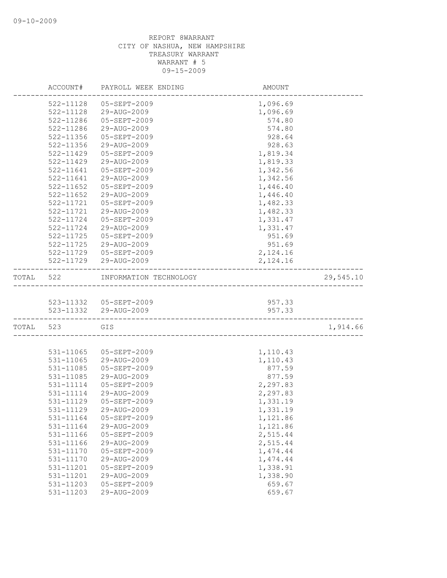|           | ACCOUNT#               | PAYROLL WEEK ENDING                 | AMOUNT           |           |
|-----------|------------------------|-------------------------------------|------------------|-----------|
|           | 522-11128              | $05 - SEPT - 2009$                  | 1,096.69         |           |
|           | 522-11128              | 29-AUG-2009                         | 1,096.69         |           |
|           | 522-11286              | 05-SEPT-2009                        | 574.80           |           |
|           | 522-11286              | 29-AUG-2009                         | 574.80           |           |
|           | 522-11356              | 05-SEPT-2009                        | 928.64           |           |
|           | 522-11356              | 29-AUG-2009                         | 928.63           |           |
|           | 522-11429              | 05-SEPT-2009                        | 1,819.34         |           |
|           | 522-11429              | 29-AUG-2009                         | 1,819.33         |           |
|           | 522-11641              | 05-SEPT-2009                        | 1,342.56         |           |
|           | $522 - 11641$          | 29-AUG-2009                         | 1,342.56         |           |
|           | $522 - 11652$          | 05-SEPT-2009                        | 1,446.40         |           |
|           | 522-11652              | 29-AUG-2009                         | 1,446.40         |           |
|           | 522-11721              | 05-SEPT-2009                        | 1,482.33         |           |
|           | 522-11721              | 29-AUG-2009                         | 1,482.33         |           |
|           | 522-11724              | 05-SEPT-2009                        | 1,331.47         |           |
|           | 522-11724              | 29-AUG-2009                         | 1,331.47         |           |
|           | $522 - 11725$          | 05-SEPT-2009                        | 951.69           |           |
|           | 522-11725              | 29-AUG-2009                         | 951.69           |           |
|           |                        | 522-11729 05-SEPT-2009              | 2,124.16         |           |
|           |                        | 522-11729 29-AUG-2009               | 2,124.16         |           |
| TOTAL 522 |                        | INFORMATION TECHNOLOGY              |                  | 29,545.10 |
|           |                        |                                     |                  |           |
|           |                        | 523-11332 05-SEPT-2009              | 957.33           |           |
|           |                        | 523-11332 29-AUG-2009               | 957.33           |           |
|           | TOTAL 523              | GIS<br>____________________________ |                  | 1,914.66  |
|           |                        |                                     |                  |           |
|           | 531-11065              | 05-SEPT-2009                        | 1,110.43         |           |
|           | 531-11065              | 29-AUG-2009                         | 1,110.43         |           |
|           | 531-11085              | 05-SEPT-2009                        | 877.59           |           |
|           | 531-11085              | 29-AUG-2009                         | 877.59           |           |
|           | 531-11114              | 05-SEPT-2009                        | 2,297.83         |           |
|           | 531-11114              | 29-AUG-2009                         | 2,297.83         |           |
|           | 531-11129              | 05-SEPT-2009                        | 1,331.19         |           |
|           | 531-11129              | 29-AUG-2009                         | 1,331.19         |           |
|           | 531-11164              | 05-SEPT-2009                        | 1,121.86         |           |
|           | 531-11164              | 29-AUG-2009                         | 1,121.86         |           |
|           | 531-11166              | 05-SEPT-2009                        | 2,515.44         |           |
|           | 531-11166              | 29-AUG-2009                         | 2,515.44         |           |
|           | 531-11170              | 05-SEPT-2009                        | 1,474.44         |           |
|           | 531-11170              | 29-AUG-2009<br>05-SEPT-2009         | 1,474.44         |           |
|           | 531-11201              | 29-AUG-2009                         | 1,338.91         |           |
|           | 531-11201              | 05-SEPT-2009                        | 1,338.90         |           |
|           | 531-11203<br>531-11203 | 29-AUG-2009                         | 659.67<br>659.67 |           |
|           |                        |                                     |                  |           |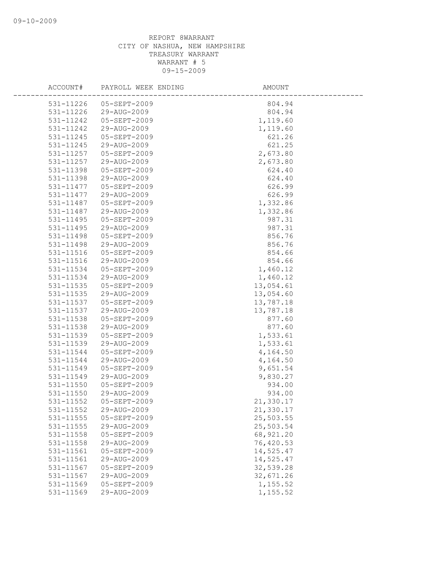| ACCOUNT#                   | PAYROLL WEEK ENDING         | AMOUNT                 |
|----------------------------|-----------------------------|------------------------|
| 531-11226                  | 05-SEPT-2009                | 804.94                 |
| 531-11226                  | 29-AUG-2009                 | 804.94                 |
| 531-11242                  | 05-SEPT-2009                | 1,119.60               |
| 531-11242                  | 29-AUG-2009                 | 1,119.60               |
| 531-11245                  | $05 - SEPT - 2009$          | 621.26                 |
| 531-11245                  | 29-AUG-2009                 | 621.25                 |
| 531-11257                  | 05-SEPT-2009                | 2,673.80               |
| 531-11257                  | 29-AUG-2009                 | 2,673.80               |
| 531-11398                  | 05-SEPT-2009                | 624.40                 |
| 531-11398                  | 29-AUG-2009                 | 624.40                 |
| 531-11477                  | 05-SEPT-2009                | 626.99                 |
| 531-11477                  | 29-AUG-2009                 | 626.99                 |
| 531-11487                  | 05-SEPT-2009                | 1,332.86               |
| 531-11487                  | 29-AUG-2009                 | 1,332.86               |
| 531-11495                  | 05-SEPT-2009                | 987.31                 |
| 531-11495                  | 29-AUG-2009                 | 987.31                 |
| 531-11498                  | 05-SEPT-2009                | 856.76                 |
| 531-11498                  | 29-AUG-2009                 | 856.76                 |
| 531-11516                  | $05 - SEPT - 2009$          | 854.66                 |
| 531-11516                  | 29-AUG-2009                 | 854.66                 |
| 531-11534                  | 05-SEPT-2009                | 1,460.12               |
| 531-11534                  | 29-AUG-2009                 | 1,460.12               |
| 531-11535                  | 05-SEPT-2009                | 13,054.61              |
| 531-11535                  | 29-AUG-2009                 | 13,054.60              |
| 531-11537                  | 05-SEPT-2009                | 13,787.18              |
| 531-11537                  | 29-AUG-2009                 | 13,787.18              |
| 531-11538                  | 05-SEPT-2009                | 877.60                 |
| 531-11538                  | 29-AUG-2009                 | 877.60                 |
| 531-11539                  | 05-SEPT-2009                | 1,533.61               |
| 531-11539                  | 29-AUG-2009                 | 1,533.61               |
| 531-11544                  | 05-SEPT-2009                | 4,164.50               |
| 531-11544                  | 29-AUG-2009                 | 4,164.50               |
| 531-11549                  | 05-SEPT-2009                | 9,651.54               |
| 531-11549                  | 29-AUG-2009                 | 9,830.27               |
| 531-11550                  | 05-SEPT-2009                | 934.00                 |
| $531 - 11550$              | 29-AUG-2009                 | 934.00                 |
| 531-11552                  | 05-SEPT-2009                | 21,330.17              |
| 531-11552                  | 29-AUG-2009                 | 21,330.17              |
| 531-11555<br>$531 - 11555$ | 05-SEPT-2009<br>29-AUG-2009 | 25,503.55              |
| 531-11558                  | 05-SEPT-2009                | 25,503.54<br>68,921.20 |
| 531-11558                  | 29-AUG-2009                 | 76,420.53              |
| 531-11561                  | 05-SEPT-2009                | 14,525.47              |
| 531-11561                  | 29-AUG-2009                 | 14,525.47              |
| 531-11567                  | $05 - SEPT - 2009$          | 32,539.28              |
| 531-11567                  | 29-AUG-2009                 | 32,671.26              |
| 531-11569                  | $05 - SEPT - 2009$          | 1,155.52               |
| 531-11569                  | 29-AUG-2009                 | 1,155.52               |
|                            |                             |                        |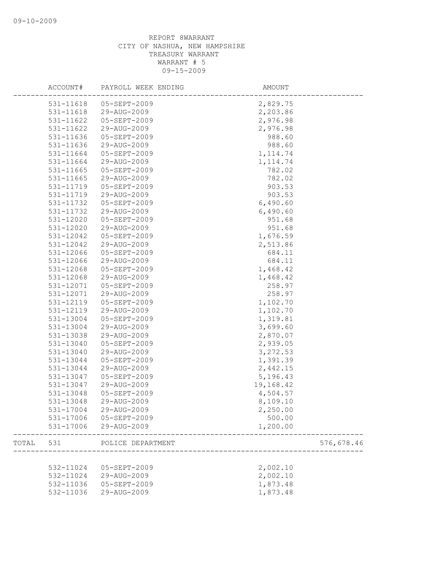|       | ACCOUNT#      | PAYROLL WEEK ENDING | AMOUNT    |            |
|-------|---------------|---------------------|-----------|------------|
|       | 531-11618     | 05-SEPT-2009        | 2,829.75  |            |
|       | 531-11618     | 29-AUG-2009         | 2,203.86  |            |
|       | 531-11622     | 05-SEPT-2009        | 2,976.98  |            |
|       | $531 - 11622$ | 29-AUG-2009         | 2,976.98  |            |
|       | 531-11636     | 05-SEPT-2009        | 988.60    |            |
|       | 531-11636     | 29-AUG-2009         | 988.60    |            |
|       | 531-11664     | 05-SEPT-2009        | 1, 114.74 |            |
|       | 531-11664     | 29-AUG-2009         | 1, 114.74 |            |
|       | 531-11665     | 05-SEPT-2009        | 782.02    |            |
|       | 531-11665     | 29-AUG-2009         | 782.02    |            |
|       | 531-11719     | 05-SEPT-2009        | 903.53    |            |
|       | 531-11719     | 29-AUG-2009         | 903.53    |            |
|       | 531-11732     | 05-SEPT-2009        | 6,490.60  |            |
|       | 531-11732     | 29-AUG-2009         | 6,490.60  |            |
|       | 531-12020     | 05-SEPT-2009        | 951.68    |            |
|       | 531-12020     | 29-AUG-2009         | 951.68    |            |
|       | 531-12042     | $05 - SEPT - 2009$  | 1,676.59  |            |
|       | 531-12042     | 29-AUG-2009         | 2,513.86  |            |
|       | 531-12066     | 05-SEPT-2009        | 684.11    |            |
|       | 531-12066     | 29-AUG-2009         | 684.11    |            |
|       | 531-12068     | 05-SEPT-2009        | 1,468.42  |            |
|       | 531-12068     | 29-AUG-2009         | 1,468.42  |            |
|       | 531-12071     | 05-SEPT-2009        | 258.97    |            |
|       | 531-12071     | 29-AUG-2009         | 258.97    |            |
|       | 531-12119     | 05-SEPT-2009        | 1,102.70  |            |
|       | 531-12119     | 29-AUG-2009         | 1,102.70  |            |
|       | 531-13004     | 05-SEPT-2009        | 1,319.81  |            |
|       | 531-13004     | 29-AUG-2009         | 3,699.60  |            |
|       | 531-13038     | 29-AUG-2009         | 2,870.07  |            |
|       | 531-13040     | 05-SEPT-2009        | 2,939.05  |            |
|       | 531-13040     | 29-AUG-2009         | 3,272.53  |            |
|       | 531-13044     | 05-SEPT-2009        | 1,391.39  |            |
|       | 531-13044     | 29-AUG-2009         | 2,442.15  |            |
|       | 531-13047     | 05-SEPT-2009        | 5,196.43  |            |
|       | 531-13047     | 29-AUG-2009         | 19,168.42 |            |
|       | 531-13048     | 05-SEPT-2009        | 4,504.57  |            |
|       | 531-13048     | 29-AUG-2009         | 8,109.10  |            |
|       | 531-17004     | 29-AUG-2009         | 2,250.00  |            |
|       | 531-17006     | 05-SEPT-2009        | 500.00    |            |
|       | 531-17006     | 29-AUG-2009         | 1,200.00  |            |
| TOTAL | 531           | POLICE DEPARTMENT   |           | 576,678.46 |
|       |               |                     |           |            |
|       | 532-11024     | 05-SEPT-2009        | 2,002.10  |            |
|       | 532-11024     | 29-AUG-2009         | 2,002.10  |            |
|       | 532-11036     | 05-SEPT-2009        | 1,873.48  |            |
|       | 532-11036     | 29-AUG-2009         | 1,873.48  |            |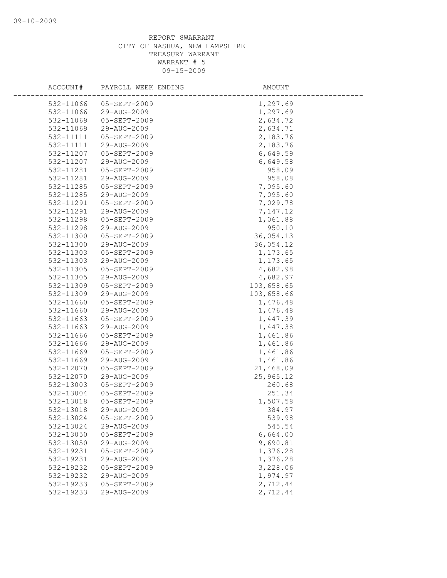| ACCOUNT#  | PAYROLL WEEK ENDING | AMOUNT     |  |
|-----------|---------------------|------------|--|
| 532-11066 | 05-SEPT-2009        | 1,297.69   |  |
| 532-11066 | 29-AUG-2009         | 1,297.69   |  |
| 532-11069 | 05-SEPT-2009        | 2,634.72   |  |
| 532-11069 | 29-AUG-2009         | 2,634.71   |  |
| 532-11111 | 05-SEPT-2009        | 2,183.76   |  |
| 532-11111 | 29-AUG-2009         | 2,183.76   |  |
| 532-11207 | 05-SEPT-2009        | 6,649.59   |  |
| 532-11207 | 29-AUG-2009         | 6,649.58   |  |
| 532-11281 | 05-SEPT-2009        | 958.09     |  |
| 532-11281 | 29-AUG-2009         | 958.08     |  |
| 532-11285 | 05-SEPT-2009        | 7,095.60   |  |
| 532-11285 | 29-AUG-2009         | 7,095.60   |  |
| 532-11291 | 05-SEPT-2009        | 7,029.78   |  |
| 532-11291 | 29-AUG-2009         | 7,147.12   |  |
| 532-11298 | 05-SEPT-2009        | 1,061.88   |  |
| 532-11298 | 29-AUG-2009         | 950.10     |  |
| 532-11300 | 05-SEPT-2009        | 36,054.13  |  |
| 532-11300 | 29-AUG-2009         | 36,054.12  |  |
| 532-11303 | 05-SEPT-2009        | 1,173.65   |  |
| 532-11303 | 29-AUG-2009         | 1,173.65   |  |
| 532-11305 | 05-SEPT-2009        | 4,682.98   |  |
| 532-11305 | 29-AUG-2009         | 4,682.97   |  |
| 532-11309 | 05-SEPT-2009        | 103,658.65 |  |
| 532-11309 | 29-AUG-2009         | 103,658.66 |  |
| 532-11660 | 05-SEPT-2009        | 1,476.48   |  |
| 532-11660 | 29-AUG-2009         | 1,476.48   |  |
| 532-11663 | 05-SEPT-2009        | 1,447.39   |  |
| 532-11663 | 29-AUG-2009         | 1,447.38   |  |
| 532-11666 | 05-SEPT-2009        | 1,461.86   |  |
| 532-11666 | 29-AUG-2009         | 1,461.86   |  |
| 532-11669 | 05-SEPT-2009        | 1,461.86   |  |
| 532-11669 | 29-AUG-2009         | 1,461.86   |  |
| 532-12070 | 05-SEPT-2009        | 21,468.09  |  |
| 532-12070 | 29-AUG-2009         | 25,965.12  |  |
| 532-13003 | $05 - SEPT - 2009$  | 260.68     |  |
| 532-13004 | 05-SEPT-2009        | 251.34     |  |
| 532-13018 | 05-SEPT-2009        | 1,507.58   |  |
| 532-13018 | 29-AUG-2009         | 384.97     |  |
| 532-13024 | 05-SEPT-2009        | 539.98     |  |
| 532-13024 | 29-AUG-2009         | 545.54     |  |
| 532-13050 | $05 - SEPT - 2009$  | 6,664.00   |  |
| 532-13050 | 29-AUG-2009         | 9,690.81   |  |
| 532-19231 | 05-SEPT-2009        | 1,376.28   |  |
| 532-19231 | 29-AUG-2009         | 1,376.28   |  |
| 532-19232 | 05-SEPT-2009        | 3,228.06   |  |
| 532-19232 | 29-AUG-2009         | 1,974.97   |  |
| 532-19233 | $05 - SEPT - 2009$  | 2,712.44   |  |
| 532-19233 | 29-AUG-2009         | 2,712.44   |  |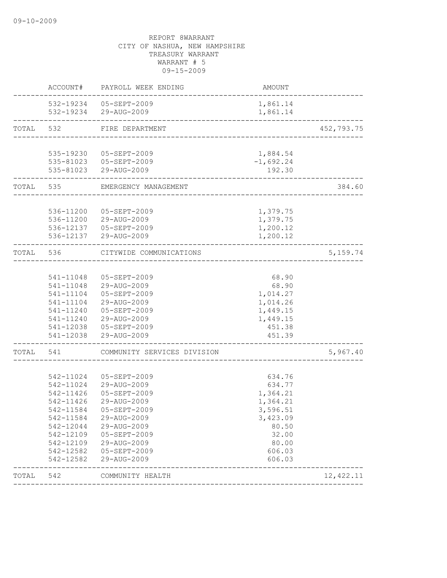|           | ACCOUNT#               | PAYROLL WEEK ENDING                               | AMOUNT                    |            |
|-----------|------------------------|---------------------------------------------------|---------------------------|------------|
|           |                        | 532-19234 05-SEPT-2009<br>532-19234 29-AUG-2009   | 1,861.14<br>1,861.14      |            |
| TOTAL 532 |                        | FIRE DEPARTMENT<br>______________________________ |                           | 452,793.75 |
|           |                        |                                                   |                           |            |
|           |                        | 535-19230 05-SEPT-2009                            | 1,884.54                  |            |
|           |                        | 535-81023 05-SEPT-2009                            | $-1,692.24$               |            |
|           |                        | 535-81023 29-AUG-2009                             | 192.30<br>_______________ |            |
| TOTAL 535 |                        | EMERGENCY MANAGEMENT                              |                           | 384.60     |
|           |                        |                                                   |                           |            |
|           | 536-11200              | 05-SEPT-2009                                      | 1,379.75                  |            |
|           | 536-11200              | 29-AUG-2009                                       | 1,379.75                  |            |
|           |                        | 536-12137 05-SEPT-2009<br>536-12137 29-AUG-2009   | 1,200.12<br>1,200.12      |            |
|           |                        |                                                   |                           |            |
| TOTAL     | 536                    | CITYWIDE COMMUNICATIONS<br>-------------------    |                           | 5, 159.74  |
|           |                        |                                                   |                           |            |
|           | 541-11048              | 05-SEPT-2009                                      | 68.90                     |            |
|           | 541-11048              | 29-AUG-2009                                       | 68.90                     |            |
|           | 541-11104              | 05-SEPT-2009                                      | 1,014.27                  |            |
|           | 541-11104              | 29-AUG-2009                                       | 1,014.26                  |            |
|           | 541-11240              | 05-SEPT-2009                                      | 1,449.15                  |            |
|           |                        | 541-11240 29-AUG-2009                             | 1,449.15                  |            |
|           |                        | 541-12038 05-SEPT-2009                            | 451.38                    |            |
|           | 541-12038              | 29-AUG-2009                                       | 451.39                    |            |
| TOTAL     | 541                    | COMMUNITY SERVICES DIVISION                       |                           | 5,967.40   |
|           |                        |                                                   |                           |            |
|           | 542-11024              | 05-SEPT-2009                                      | 634.76                    |            |
|           | 542-11024              | 29-AUG-2009                                       | 634.77                    |            |
|           | 542-11426              | 05-SEPT-2009                                      | 1,364.21                  |            |
|           | 542-11426              | 29-AUG-2009                                       | 1,364.21                  |            |
|           | 542-11584<br>542-11584 | 05-SEPT-2009<br>29-AUG-2009                       | 3,596.51<br>3,423.09      |            |
|           | 542-12044              | 29-AUG-2009                                       | 80.50                     |            |
|           | 542-12109              | 05-SEPT-2009                                      | 32.00                     |            |
|           | 542-12109              | 29-AUG-2009                                       | 80.00                     |            |
|           | 542-12582              | 05-SEPT-2009                                      | 606.03                    |            |
|           | 542-12582              | 29-AUG-2009                                       | 606.03                    |            |
| TOTAL     | 542                    | COMMUNITY HEALTH                                  |                           | 12, 422.11 |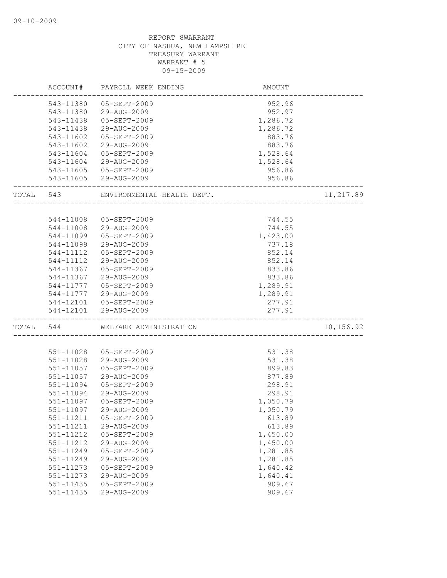|       | ACCOUNT#  | PAYROLL WEEK ENDING        | AMOUNT                          |           |
|-------|-----------|----------------------------|---------------------------------|-----------|
|       | 543-11380 | $05 - SEPT - 2009$         | 952.96                          |           |
|       | 543-11380 | 29-AUG-2009                | 952.97                          |           |
|       | 543-11438 | 05-SEPT-2009               | 1,286.72                        |           |
|       | 543-11438 | 29-AUG-2009                | 1,286.72                        |           |
|       | 543-11602 | 05-SEPT-2009               | 883.76                          |           |
|       | 543-11602 | 29-AUG-2009                | 883.76                          |           |
|       | 543-11604 | 05-SEPT-2009               | 1,528.64                        |           |
|       | 543-11604 | 29-AUG-2009                | 1,528.64                        |           |
|       | 543-11605 | 05-SEPT-2009               | 956.86                          |           |
|       |           | 543-11605 29-AUG-2009      | 956.86                          |           |
| TOTAL | 543       | ENVIRONMENTAL HEALTH DEPT. |                                 | 11,217.89 |
|       |           |                            |                                 |           |
|       | 544-11008 | 05-SEPT-2009               | 744.55                          |           |
|       | 544-11008 | 29-AUG-2009                | 744.55                          |           |
|       | 544-11099 | 05-SEPT-2009               | 1,423.00                        |           |
|       | 544-11099 | 29-AUG-2009                | 737.18                          |           |
|       | 544-11112 | $05 - SEPT - 2009$         | 852.14                          |           |
|       | 544-11112 | 29-AUG-2009                | 852.14                          |           |
|       | 544-11367 | 05-SEPT-2009               | 833.86                          |           |
|       | 544-11367 | 29-AUG-2009                | 833.86                          |           |
|       | 544-11777 | 05-SEPT-2009               | 1,289.91                        |           |
|       | 544-11777 | 29-AUG-2009                | 1,289.91                        |           |
|       | 544-12101 | 05-SEPT-2009               | 277.91                          |           |
|       | 544-12101 | 29-AUG-2009                | 277.91<br>_____________________ |           |
| TOTAL | 544       | WELFARE ADMINISTRATION     |                                 | 10,156.92 |
|       |           |                            |                                 |           |
|       | 551-11028 | 05-SEPT-2009               | 531.38                          |           |
|       | 551-11028 | 29-AUG-2009                | 531.38                          |           |
|       | 551-11057 | 05-SEPT-2009               | 899.83                          |           |
|       | 551-11057 | 29-AUG-2009                | 877.89                          |           |
|       | 551-11094 | 05-SEPT-2009               | 298.91                          |           |
|       | 551-11094 | 29-AUG-2009                | 298.91                          |           |
|       | 551-11097 | 05-SEPT-2009               | 1,050.79                        |           |
|       | 551-11097 | 29-AUG-2009                | 1,050.79                        |           |
|       | 551-11211 | 05-SEPT-2009               | 613.89                          |           |
|       | 551-11211 | 29-AUG-2009                | 613.89                          |           |
|       | 551-11212 | 05-SEPT-2009               | 1,450.00                        |           |
|       | 551-11212 | 29-AUG-2009                | 1,450.00                        |           |
|       | 551-11249 | 05-SEPT-2009               | 1,281.85                        |           |
|       | 551-11249 | 29-AUG-2009                | 1,281.85                        |           |
|       | 551-11273 | 05-SEPT-2009               | 1,640.42                        |           |
|       | 551-11273 | 29-AUG-2009                | 1,640.41                        |           |
|       | 551-11435 | 05-SEPT-2009               | 909.67                          |           |
|       | 551-11435 | 29-AUG-2009                | 909.67                          |           |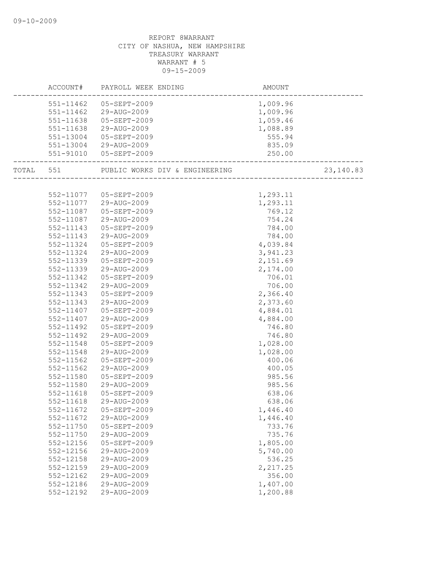|               | AMOUNT<br>------------------------<br>ACCOUNT# PAYROLL WEEK ENDING |          |            |
|---------------|--------------------------------------------------------------------|----------|------------|
|               | 551-11462 05-SEPT-2009                                             | 1,009.96 |            |
|               | 551-11462 29-AUG-2009                                              | 1,009.96 |            |
|               | 551-11638 05-SEPT-2009                                             | 1,059.46 |            |
|               | 551-11638 29-AUG-2009                                              | 1,088.89 |            |
|               | 551-13004 05-SEPT-2009                                             | 555.94   |            |
|               | 551-13004 29-AUG-2009                                              | 835.09   |            |
|               | 551-91010 05-SEPT-2009                                             | 250.00   |            |
|               | TOTAL 551 PUBLIC WORKS DIV & ENGINEERING                           |          | 23, 140.83 |
|               |                                                                    |          |            |
|               | 552-11077 05-SEPT-2009                                             | 1,293.11 |            |
|               | 552-11077 29-AUG-2009                                              | 1,293.11 |            |
| 552-11087     | 05-SEPT-2009                                                       | 769.12   |            |
| 552-11087     | 29-AUG-2009                                                        | 754.24   |            |
| 552-11143     | 05-SEPT-2009                                                       | 784.00   |            |
| 552-11143     | 29-AUG-2009                                                        | 784.00   |            |
| 552-11324     | 05-SEPT-2009                                                       | 4,039.84 |            |
| 552-11324     | 29-AUG-2009                                                        | 3,941.23 |            |
| 552-11339     | 05-SEPT-2009                                                       | 2,151.69 |            |
| 552-11339     | 29-AUG-2009                                                        | 2,174.00 |            |
| 552-11342     | 05-SEPT-2009                                                       | 706.01   |            |
| 552-11342     | 29-AUG-2009                                                        | 706.00   |            |
| 552-11343     | 05-SEPT-2009                                                       | 2,366.40 |            |
| 552-11343     | 29-AUG-2009                                                        | 2,373.60 |            |
| 552-11407     | 05-SEPT-2009                                                       | 4,884.01 |            |
| 552-11407     | 29-AUG-2009                                                        | 4,884.00 |            |
| 552-11492     | 05-SEPT-2009                                                       | 746.80   |            |
| 552-11492     | 29-AUG-2009                                                        | 746.80   |            |
| 552-11548     | 05-SEPT-2009                                                       | 1,028.00 |            |
| 552-11548     | 29-AUG-2009                                                        | 1,028.00 |            |
| 552-11562     | 05-SEPT-2009                                                       | 400.06   |            |
| 552-11562     | 29-AUG-2009                                                        | 400.05   |            |
| 552-11580     | 05-SEPT-2009                                                       | 985.56   |            |
| 552-11580     | 29-AUG-2009                                                        | 985.56   |            |
| 552-11618     | 05-SEPT-2009                                                       | 638.06   |            |
| 552-11618     | 29-AUG-2009                                                        | 638.06   |            |
| 552-11672     | 05-SEPT-2009                                                       | 1,446.40 |            |
| 552-11672     | 29-AUG-2009                                                        | 1,446.40 |            |
| $552 - 11750$ | 05-SEPT-2009                                                       | 733.76   |            |
| 552-11750     | 29-AUG-2009                                                        | 735.76   |            |
| 552-12156     | 05-SEPT-2009                                                       | 1,805.00 |            |
| 552-12156     | 29-AUG-2009                                                        | 5,740.00 |            |
| 552-12158     | 29-AUG-2009                                                        | 536.25   |            |
| 552-12159     | 29-AUG-2009                                                        | 2,217.25 |            |
| 552-12162     | 29-AUG-2009                                                        | 356.00   |            |
| 552-12186     | 29-AUG-2009                                                        | 1,407.00 |            |
| 552-12192     | 29-AUG-2009                                                        | 1,200.88 |            |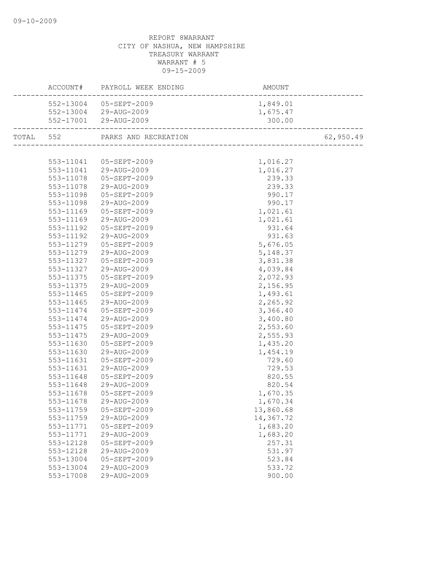|           | ACCOUNT# PAYROLL WEEK ENDING   | AMOUNT<br>-------------------------------- |           |
|-----------|--------------------------------|--------------------------------------------|-----------|
|           | 552-13004 05-SEPT-2009         | 1,849.01                                   |           |
|           | 552-13004 29-AUG-2009          | 1,675.47                                   |           |
|           | 552-17001 29-AUG-2009          | 300.00<br>----------------------           |           |
|           | TOTAL 552 PARKS AND RECREATION |                                            | 62,950.49 |
|           |                                |                                            |           |
|           | 553-11041  05-SEPT-2009        | 1,016.27                                   |           |
|           | 553-11041 29-AUG-2009          | 1,016.27                                   |           |
|           | 553-11078 05-SEPT-2009         | 239.33                                     |           |
|           | 553-11078 29-AUG-2009          | 239.33                                     |           |
| 553-11098 | 05-SEPT-2009                   | 990.17                                     |           |
| 553-11098 | 29-AUG-2009                    | 990.17                                     |           |
| 553-11169 | 05-SEPT-2009                   | 1,021.61                                   |           |
| 553-11169 | 29-AUG-2009                    | 1,021.61                                   |           |
| 553-11192 | 05-SEPT-2009                   | 931.64                                     |           |
| 553-11192 | 29-AUG-2009                    | 931.63                                     |           |
| 553-11279 | 05-SEPT-2009                   | 5,676.05                                   |           |
| 553-11279 | 29-AUG-2009                    | 5, 148.37                                  |           |
|           | 553-11327 05-SEPT-2009         | 3,831.38                                   |           |
| 553-11327 | 29-AUG-2009                    | 4,039.84                                   |           |
| 553-11375 | 05-SEPT-2009                   | 2,072.93                                   |           |
| 553-11375 | 29-AUG-2009                    | 2,156.95                                   |           |
| 553-11465 | 05-SEPT-2009                   | 1,493.61                                   |           |
| 553-11465 | 29-AUG-2009                    | 2,265.92                                   |           |
| 553-11474 | 05-SEPT-2009                   | 3,366.40                                   |           |
| 553-11474 | 29-AUG-2009                    | 3,400.80                                   |           |
|           | 553-11475 05-SEPT-2009         | 2,553.60                                   |           |
| 553-11475 | 29-AUG-2009                    | 2,555.93                                   |           |
| 553-11630 | 05-SEPT-2009                   | 1,435.20                                   |           |
| 553-11630 | 29-AUG-2009                    | 1,454.19                                   |           |
| 553-11631 | 05-SEPT-2009                   | 729.60                                     |           |
| 553-11631 | 29-AUG-2009                    | 729.53                                     |           |
| 553-11648 | 05-SEPT-2009                   | 820.55                                     |           |
| 553-11648 | 29-AUG-2009                    | 820.54                                     |           |
| 553-11678 | 05-SEPT-2009                   | 1,670.35                                   |           |
| 553-11678 | 29-AUG-2009                    | 1,670.34                                   |           |
| 553-11759 | 05-SEPT-2009                   | 13,860.68                                  |           |
| 553-11759 | 29-AUG-2009                    | 14,367.72                                  |           |
| 553-11771 | 05-SEPT-2009                   | 1,683.20                                   |           |
| 553-11771 | 29-AUG-2009                    | 1,683.20                                   |           |
| 553-12128 | 05-SEPT-2009                   | 257.31                                     |           |
| 553-12128 | 29-AUG-2009                    | 531.97                                     |           |
| 553-13004 | 05-SEPT-2009                   | 523.84                                     |           |
| 553-13004 | 29-AUG-2009                    | 533.72                                     |           |
| 553-17008 | 29-AUG-2009                    | 900.00                                     |           |
|           |                                |                                            |           |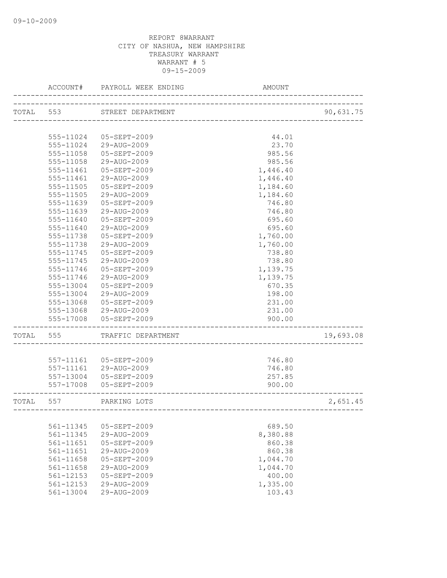|           | ACCOUNT#      | PAYROLL WEEK ENDING | AMOUNT                   |           |
|-----------|---------------|---------------------|--------------------------|-----------|
| TOTAL 553 |               | STREET DEPARTMENT   | ------------------------ | 90,631.75 |
|           |               |                     |                          |           |
|           | 555-11024     | 05-SEPT-2009        | 44.01                    |           |
|           | 555-11024     | 29-AUG-2009         | 23.70                    |           |
|           | 555-11058     | 05-SEPT-2009        | 985.56                   |           |
|           | 555-11058     | 29-AUG-2009         | 985.56                   |           |
|           | 555-11461     | 05-SEPT-2009        | 1,446.40                 |           |
|           | 555-11461     | 29-AUG-2009         | 1,446.40                 |           |
|           | 555-11505     | 05-SEPT-2009        | 1,184.60                 |           |
|           | 555-11505     | 29-AUG-2009         | 1,184.60                 |           |
|           | 555-11639     | 05-SEPT-2009        | 746.80                   |           |
|           | 555-11639     | 29-AUG-2009         | 746.80                   |           |
|           | 555-11640     | 05-SEPT-2009        | 695.60                   |           |
|           | 555-11640     | 29-AUG-2009         | 695.60                   |           |
|           | 555-11738     | 05-SEPT-2009        | 1,760.00                 |           |
|           | 555-11738     | 29-AUG-2009         | 1,760.00                 |           |
|           | 555-11745     | 05-SEPT-2009        | 738.80                   |           |
|           | 555-11745     | 29-AUG-2009         | 738.80                   |           |
|           | $555 - 11746$ | $05 - SEPT - 2009$  | 1,139.75                 |           |
|           | 555-11746     | 29-AUG-2009         | 1,139.75                 |           |
|           | 555-13004     | 05-SEPT-2009        | 670.35                   |           |
|           | 555-13004     | 29-AUG-2009         | 198.00                   |           |
|           | 555-13068     | 05-SEPT-2009        | 231.00                   |           |
|           | 555-13068     | 29-AUG-2009         | 231.00                   |           |
|           | 555-17008     | 05-SEPT-2009        | 900.00                   |           |
| TOTAL     | 555           | TRAFFIC DEPARTMENT  |                          | 19,693.08 |
|           | 557-11161     | 05-SEPT-2009        | 746.80                   |           |
|           | 557-11161     | 29-AUG-2009         | 746.80                   |           |
|           | 557-13004     | 05-SEPT-2009        | 257.85                   |           |
|           | 557-17008     | 05-SEPT-2009        | 900.00                   |           |
| TOTAL     | 557           | PARKING LOTS        |                          | 2,651.45  |
|           |               |                     |                          |           |
|           | 561-11345     | 05-SEPT-2009        | 689.50                   |           |
|           | 561-11345     | 29-AUG-2009         | 8,380.88                 |           |
|           | 561-11651     | 05-SEPT-2009        | 860.38                   |           |
|           | 561-11651     | 29-AUG-2009         | 860.38                   |           |
|           | 561-11658     | 05-SEPT-2009        | 1,044.70                 |           |
|           | 561-11658     | 29-AUG-2009         | 1,044.70                 |           |
|           | 561-12153     | 05-SEPT-2009        | 400.00                   |           |
|           | 561-12153     | 29-AUG-2009         | 1,335.00                 |           |
|           | 561-13004     | 29-AUG-2009         | 103.43                   |           |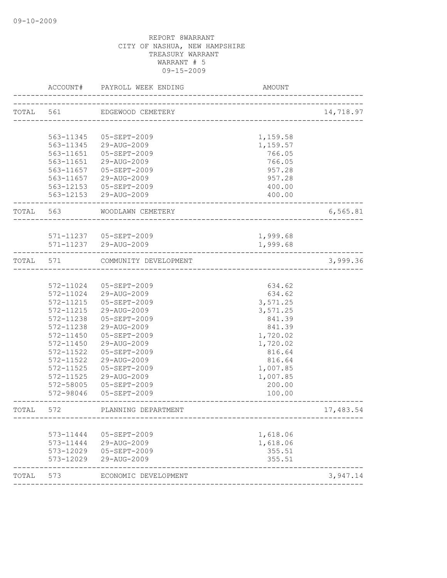| ACCOUNT#     | PAYROLL WEEK ENDING                                                                                                                                                   | AMOUNT                                                                                                                                                                                                                                                                                                                                                                                                  |                                                                                                                                                                                                                                                                  |
|--------------|-----------------------------------------------------------------------------------------------------------------------------------------------------------------------|---------------------------------------------------------------------------------------------------------------------------------------------------------------------------------------------------------------------------------------------------------------------------------------------------------------------------------------------------------------------------------------------------------|------------------------------------------------------------------------------------------------------------------------------------------------------------------------------------------------------------------------------------------------------------------|
| TOTAL 561    |                                                                                                                                                                       |                                                                                                                                                                                                                                                                                                                                                                                                         | 14,718.97                                                                                                                                                                                                                                                        |
|              |                                                                                                                                                                       |                                                                                                                                                                                                                                                                                                                                                                                                         |                                                                                                                                                                                                                                                                  |
|              |                                                                                                                                                                       |                                                                                                                                                                                                                                                                                                                                                                                                         |                                                                                                                                                                                                                                                                  |
|              |                                                                                                                                                                       |                                                                                                                                                                                                                                                                                                                                                                                                         |                                                                                                                                                                                                                                                                  |
| 563-11651    | 05-SEPT-2009                                                                                                                                                          | 766.05                                                                                                                                                                                                                                                                                                                                                                                                  |                                                                                                                                                                                                                                                                  |
| 563-11651    | 29-AUG-2009                                                                                                                                                           | 766.05                                                                                                                                                                                                                                                                                                                                                                                                  |                                                                                                                                                                                                                                                                  |
| 563-11657    | 05-SEPT-2009                                                                                                                                                          | 957.28                                                                                                                                                                                                                                                                                                                                                                                                  |                                                                                                                                                                                                                                                                  |
|              | 29-AUG-2009                                                                                                                                                           | 957.28                                                                                                                                                                                                                                                                                                                                                                                                  |                                                                                                                                                                                                                                                                  |
|              |                                                                                                                                                                       | 400.00                                                                                                                                                                                                                                                                                                                                                                                                  |                                                                                                                                                                                                                                                                  |
|              |                                                                                                                                                                       | 400.00                                                                                                                                                                                                                                                                                                                                                                                                  |                                                                                                                                                                                                                                                                  |
| TOTAL 563    | WOODLAWN CEMETERY                                                                                                                                                     |                                                                                                                                                                                                                                                                                                                                                                                                         | 6,565.81                                                                                                                                                                                                                                                         |
|              |                                                                                                                                                                       |                                                                                                                                                                                                                                                                                                                                                                                                         |                                                                                                                                                                                                                                                                  |
|              |                                                                                                                                                                       |                                                                                                                                                                                                                                                                                                                                                                                                         |                                                                                                                                                                                                                                                                  |
|              |                                                                                                                                                                       |                                                                                                                                                                                                                                                                                                                                                                                                         |                                                                                                                                                                                                                                                                  |
| TOTAL<br>571 |                                                                                                                                                                       |                                                                                                                                                                                                                                                                                                                                                                                                         | 3,999.36                                                                                                                                                                                                                                                         |
|              |                                                                                                                                                                       |                                                                                                                                                                                                                                                                                                                                                                                                         |                                                                                                                                                                                                                                                                  |
| 572-11024    | 05-SEPT-2009                                                                                                                                                          | 634.62                                                                                                                                                                                                                                                                                                                                                                                                  |                                                                                                                                                                                                                                                                  |
| 572-11024    | 29-AUG-2009                                                                                                                                                           | 634.62                                                                                                                                                                                                                                                                                                                                                                                                  |                                                                                                                                                                                                                                                                  |
| 572-11215    | 05-SEPT-2009                                                                                                                                                          | 3,571.25                                                                                                                                                                                                                                                                                                                                                                                                |                                                                                                                                                                                                                                                                  |
| 572-11215    | 29-AUG-2009                                                                                                                                                           |                                                                                                                                                                                                                                                                                                                                                                                                         |                                                                                                                                                                                                                                                                  |
|              | 05-SEPT-2009                                                                                                                                                          |                                                                                                                                                                                                                                                                                                                                                                                                         |                                                                                                                                                                                                                                                                  |
| 572-11238    |                                                                                                                                                                       |                                                                                                                                                                                                                                                                                                                                                                                                         |                                                                                                                                                                                                                                                                  |
|              |                                                                                                                                                                       | 1,720.02                                                                                                                                                                                                                                                                                                                                                                                                |                                                                                                                                                                                                                                                                  |
|              |                                                                                                                                                                       |                                                                                                                                                                                                                                                                                                                                                                                                         |                                                                                                                                                                                                                                                                  |
|              |                                                                                                                                                                       |                                                                                                                                                                                                                                                                                                                                                                                                         |                                                                                                                                                                                                                                                                  |
|              |                                                                                                                                                                       |                                                                                                                                                                                                                                                                                                                                                                                                         |                                                                                                                                                                                                                                                                  |
|              |                                                                                                                                                                       |                                                                                                                                                                                                                                                                                                                                                                                                         |                                                                                                                                                                                                                                                                  |
|              |                                                                                                                                                                       |                                                                                                                                                                                                                                                                                                                                                                                                         |                                                                                                                                                                                                                                                                  |
|              |                                                                                                                                                                       |                                                                                                                                                                                                                                                                                                                                                                                                         |                                                                                                                                                                                                                                                                  |
|              |                                                                                                                                                                       |                                                                                                                                                                                                                                                                                                                                                                                                         |                                                                                                                                                                                                                                                                  |
| 572          | PLANNING DEPARTMENT                                                                                                                                                   |                                                                                                                                                                                                                                                                                                                                                                                                         | 17,483.54                                                                                                                                                                                                                                                        |
|              |                                                                                                                                                                       |                                                                                                                                                                                                                                                                                                                                                                                                         |                                                                                                                                                                                                                                                                  |
|              |                                                                                                                                                                       |                                                                                                                                                                                                                                                                                                                                                                                                         |                                                                                                                                                                                                                                                                  |
|              |                                                                                                                                                                       |                                                                                                                                                                                                                                                                                                                                                                                                         |                                                                                                                                                                                                                                                                  |
| 573-12029    | 29-AUG-2009                                                                                                                                                           | 355.51                                                                                                                                                                                                                                                                                                                                                                                                  |                                                                                                                                                                                                                                                                  |
| 573          | ECONOMIC DEVELOPMENT                                                                                                                                                  |                                                                                                                                                                                                                                                                                                                                                                                                         | 3,947.14                                                                                                                                                                                                                                                         |
|              | 563-11345<br>563-11345<br>572-11238<br>572-11450<br>572-11450<br>572-11522<br>572-11522<br>572-11525<br>572-11525<br>572-58005<br>572-98046<br>573-11444<br>573-12029 | EDGEWOOD CEMETERY<br>05-SEPT-2009<br>29-AUG-2009<br>563-11657<br>563-12153 05-SEPT-2009<br>563-12153 29-AUG-2009<br>571-11237    05-SEPT-2009<br>571-11237 29-AUG-2009<br>COMMUNITY DEVELOPMENT<br>29-AUG-2009<br>05-SEPT-2009<br>29-AUG-2009<br>05-SEPT-2009<br>29-AUG-2009<br>05-SEPT-2009<br>29-AUG-2009<br>05-SEPT-2009<br>05-SEPT-2009<br>05-SEPT-2009<br>573-11444<br>29-AUG-2009<br>05-SEPT-2009 | -------------------------<br>1,159.58<br>1,159.57<br>1,999.68<br>1,999.68<br>. _ _ _ _ _ _ _ _ _ _ _ _ _ _ _ _ _ _<br>3,571.25<br>841.39<br>841.39<br>1,720.02<br>816.64<br>816.64<br>1,007.85<br>1,007.85<br>200.00<br>100.00<br>1,618.06<br>1,618.06<br>355.51 |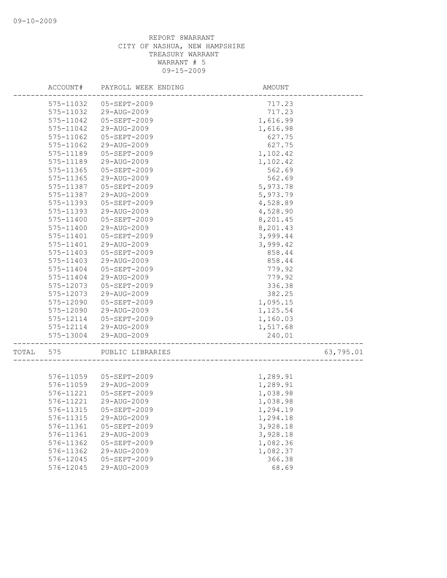|       | ACCOUNT#  | PAYROLL WEEK ENDING    | AMOUNT   |           |
|-------|-----------|------------------------|----------|-----------|
|       | 575-11032 | $05 - SEPT - 2009$     | 717.23   |           |
|       | 575-11032 | 29-AUG-2009            | 717.23   |           |
|       | 575-11042 | 05-SEPT-2009           | 1,616.99 |           |
|       | 575-11042 | 29-AUG-2009            | 1,616.98 |           |
|       | 575-11062 | 05-SEPT-2009           | 627.75   |           |
|       | 575-11062 | 29-AUG-2009            | 627.75   |           |
|       | 575-11189 | 05-SEPT-2009           | 1,102.42 |           |
|       | 575-11189 | 29-AUG-2009            | 1,102.42 |           |
|       | 575-11365 | 05-SEPT-2009           | 562.69   |           |
|       | 575-11365 | 29-AUG-2009            | 562.69   |           |
|       | 575-11387 | 05-SEPT-2009           | 5,973.78 |           |
|       | 575-11387 | 29-AUG-2009            | 5,973.79 |           |
|       | 575-11393 | 05-SEPT-2009           | 4,528.89 |           |
|       | 575-11393 | 29-AUG-2009            | 4,528.90 |           |
|       | 575-11400 | 05-SEPT-2009           | 8,201.45 |           |
|       | 575-11400 | 29-AUG-2009            | 8,201.43 |           |
|       | 575-11401 | 05-SEPT-2009           | 3,999.44 |           |
|       | 575-11401 | 29-AUG-2009            | 3,999.42 |           |
|       | 575-11403 | 05-SEPT-2009           | 858.44   |           |
|       | 575-11403 | 29-AUG-2009            | 858.44   |           |
|       | 575-11404 | 05-SEPT-2009           | 779.92   |           |
|       | 575-11404 | 29-AUG-2009            | 779.92   |           |
|       | 575-12073 | 05-SEPT-2009           | 336.38   |           |
|       | 575-12073 | 29-AUG-2009            | 382.25   |           |
|       | 575-12090 | 05-SEPT-2009           | 1,095.15 |           |
|       | 575-12090 | 29-AUG-2009            | 1,125.54 |           |
|       | 575-12114 | 05-SEPT-2009           | 1,160.03 |           |
|       |           | 575-12114 29-AUG-2009  | 1,517.68 |           |
|       | 575-13004 | 29-AUG-2009            | 240.01   |           |
| TOTAL | 575       | PUBLIC LIBRARIES       |          | 63,795.01 |
|       |           |                        |          |           |
|       |           | 576-11059 05-SEPT-2009 | 1,289.91 |           |
|       | 576-11059 | 29-AUG-2009            | 1,289.91 |           |
|       | 576-11221 | 05-SEPT-2009           | 1,038.98 |           |
|       | 576-11221 | 29-AUG-2009            | 1,038.98 |           |
|       | 576-11315 | 05-SEPT-2009           | 1,294.19 |           |
|       | 576-11315 | 29-AUG-2009            | 1,294.18 |           |
|       | 576-11361 | 05-SEPT-2009           | 3,928.18 |           |
|       | 576-11361 | 29-AUG-2009            | 3,928.18 |           |
|       | 576-11362 | 05-SEPT-2009           | 1,082.36 |           |
|       | 576-11362 | 29-AUG-2009            | 1,082.37 |           |
|       | 576-12045 | 05-SEPT-2009           | 366.38   |           |
|       | 576-12045 | 29-AUG-2009            | 68.69    |           |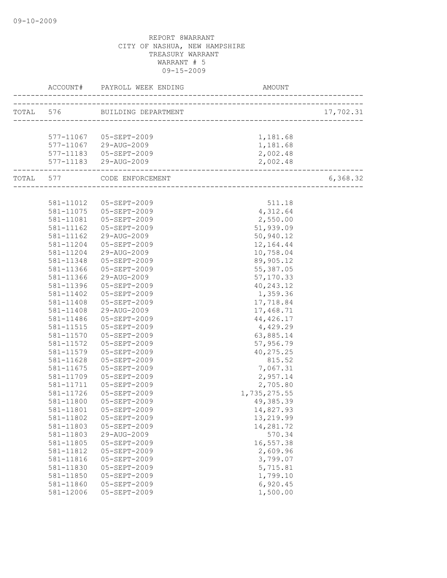|           | ACCOUNT# PAYROLL WEEK ENDING MARRIAL AM                      | AMOUNT             |           |
|-----------|--------------------------------------------------------------|--------------------|-----------|
|           | TOTAL 576 BUILDING DEPARTMENT                                |                    | 17,702.31 |
|           |                                                              |                    |           |
|           | 577-11067 05-SEPT-2009                                       | 1,181.68           |           |
|           | 577-11067 29-AUG-2009                                        | 1,181.68           |           |
|           | 577-11183  05-SEPT-2009                                      | 2,002.48           |           |
|           | 577-11183 29-AUG-2009                                        | 2,002.48           |           |
|           | ------------------------------<br>TOTAL 577 CODE ENFORCEMENT | __________________ | 6,368.32  |
|           |                                                              |                    |           |
|           | 581-11012  05-SEPT-2009                                      | 511.18             |           |
|           | 581-11075  05-SEPT-2009                                      | 4,312.64           |           |
| 581-11081 | 05-SEPT-2009                                                 | 2,550.00           |           |
| 581-11162 | 05-SEPT-2009                                                 | 51,939.09          |           |
| 581-11162 | 29-AUG-2009                                                  | 50,940.12          |           |
| 581-11204 | $05 - SEPT - 2009$                                           | 12,164.44          |           |
| 581-11204 | 29-AUG-2009                                                  | 10,758.04          |           |
| 581-11348 | 05-SEPT-2009                                                 | 89,905.12          |           |
| 581-11366 | 05-SEPT-2009                                                 | 55,387.05          |           |
| 581-11366 | 29-AUG-2009                                                  | 57,170.33          |           |
| 581-11396 | 05-SEPT-2009                                                 | 40, 243.12         |           |
| 581-11402 | 05-SEPT-2009                                                 | 1,359.36           |           |
| 581-11408 | 05-SEPT-2009                                                 | 17,718.84          |           |
| 581-11408 | 29-AUG-2009                                                  | 17,468.71          |           |
| 581-11486 | 05-SEPT-2009                                                 | 44, 426.17         |           |
| 581-11515 | 05-SEPT-2009                                                 | 4,429.29           |           |
| 581-11570 | 05-SEPT-2009                                                 | 63,885.14          |           |
| 581-11572 | 05-SEPT-2009                                                 | 57,956.79          |           |
| 581-11579 | 05-SEPT-2009                                                 | 40, 275.25         |           |
| 581-11628 | 05-SEPT-2009                                                 | 815.52             |           |
| 581-11675 | 05-SEPT-2009                                                 | 7,067.31           |           |
| 581-11709 | 05-SEPT-2009                                                 | 2,957.14           |           |
| 581-11711 | 05-SEPT-2009                                                 | 2,705.80           |           |
| 581-11726 | $05 - SEPT - 2009$                                           | 1,735,275.55       |           |
| 581-11800 | 05-SEPT-2009                                                 | 49,385.39          |           |
|           | 581-11801  05-SEPT-2009                                      | 14,827.93          |           |
| 581-11802 | 05-SEPT-2009                                                 | 13,219.99          |           |
| 581-11803 | 05-SEPT-2009                                                 | 14,281.72          |           |
| 581-11803 | 29-AUG-2009                                                  | 570.34             |           |
| 581-11805 | 05-SEPT-2009                                                 | 16,557.38          |           |
| 581-11812 | 05-SEPT-2009                                                 | 2,609.96           |           |
| 581-11816 | 05-SEPT-2009                                                 | 3,799.07           |           |
| 581-11830 | 05-SEPT-2009                                                 | 5,715.81           |           |
| 581-11850 | 05-SEPT-2009                                                 | 1,799.10           |           |
| 581-11860 | 05-SEPT-2009                                                 | 6,920.45           |           |
| 581-12006 | 05-SEPT-2009                                                 | 1,500.00           |           |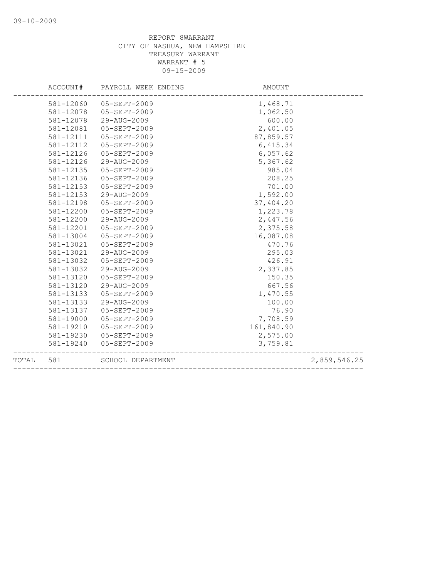| TOTAL | 581       | SCHOOL DEPARTMENT   |            | 2,859,546.25 |
|-------|-----------|---------------------|------------|--------------|
|       | 581-19240 | 05-SEPT-2009        | 3,759.81   |              |
|       | 581-19230 | 05-SEPT-2009        | 2,575.00   |              |
|       | 581-19210 | 05-SEPT-2009        | 161,840.90 |              |
|       | 581-19000 | 05-SEPT-2009        | 7,708.59   |              |
|       | 581-13137 | 05-SEPT-2009        | 76.90      |              |
|       | 581-13133 | 29-AUG-2009         | 100.00     |              |
|       | 581-13133 | $05 - SEPT - 2009$  | 1,470.55   |              |
|       | 581-13120 | 29-AUG-2009         | 667.56     |              |
|       | 581-13120 | $05 - SEPT - 2009$  | 150.35     |              |
|       | 581-13032 | 29-AUG-2009         | 2,337.85   |              |
|       | 581-13032 | 05-SEPT-2009        | 426.91     |              |
|       | 581-13021 | 29-AUG-2009         | 295.03     |              |
|       | 581-13021 | $05 - SEPT - 2009$  | 470.76     |              |
|       | 581-13004 | $05 - SEPT - 2009$  | 16,087.08  |              |
|       | 581-12201 | $05 - SEPT - 2009$  | 2,375.58   |              |
|       | 581-12200 | 29-AUG-2009         | 2,447.56   |              |
|       | 581-12200 | 05-SEPT-2009        | 1,223.78   |              |
|       | 581-12198 | 05-SEPT-2009        | 37,404.20  |              |
|       | 581-12153 | 29-AUG-2009         | 1,592.00   |              |
|       | 581-12153 | 05-SEPT-2009        | 701.00     |              |
|       | 581-12136 | 05-SEPT-2009        | 208.25     |              |
|       | 581-12135 | 05-SEPT-2009        | 985.04     |              |
|       | 581-12126 | 29-AUG-2009         | 5,367.62   |              |
|       | 581-12126 | 05-SEPT-2009        | 6,057.62   |              |
|       | 581-12112 | 05-SEPT-2009        | 6, 415.34  |              |
|       | 581-12111 | $05 - SEPT - 2009$  | 87,859.57  |              |
|       | 581-12081 | $05 - SEPT - 2009$  | 2,401.05   |              |
|       | 581-12078 | 29-AUG-2009         | 600.00     |              |
|       | 581-12078 | $05 - SEPT - 2009$  | 1,062.50   |              |
|       | 581-12060 | 05-SEPT-2009        | 1,468.71   |              |
|       |           |                     |            |              |
|       | ACCOUNT#  | PAYROLL WEEK ENDING | AMOUNT     |              |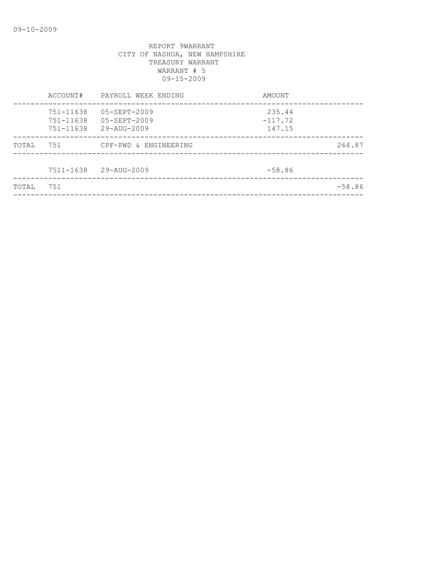| TOTAL | 751                                     |                                                                      |                               | $-58.86$ |
|-------|-----------------------------------------|----------------------------------------------------------------------|-------------------------------|----------|
|       | 7511-1638                               | 29-AUG-2009                                                          | $-58.86$                      |          |
| TOTAL | 751                                     | CPF-PWD & ENGINEERING                                                |                               | 264.87   |
|       | 751-11638<br>751-11638<br>$751 - 11638$ | $05 - SEPT - 2009$<br>$05 - SEPT - 2009$<br>$29 - \text{AUG} - 2009$ | 235.44<br>$-117.72$<br>147.15 |          |
|       | ACCOUNT#                                | PAYROLL WEEK ENDING                                                  | AMOUNT                        |          |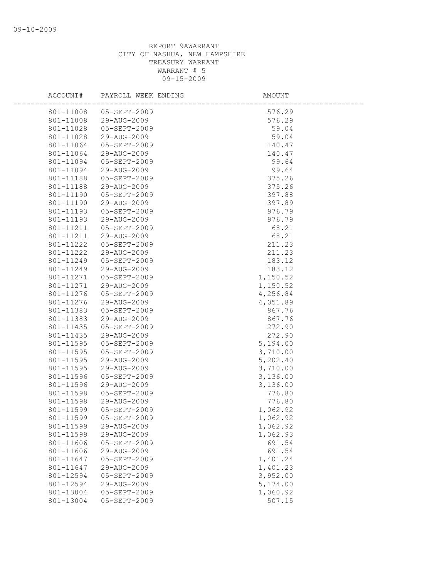| ACCOUNT#  | PAYROLL WEEK ENDING      | AMOUNT   |  |
|-----------|--------------------------|----------|--|
| 801-11008 | 05-SEPT-2009             | 576.29   |  |
| 801-11008 | 29-AUG-2009              | 576.29   |  |
| 801-11028 | 05-SEPT-2009             | 59.04    |  |
| 801-11028 | 29-AUG-2009              | 59.04    |  |
| 801-11064 | 05-SEPT-2009             | 140.47   |  |
| 801-11064 | 29-AUG-2009              | 140.47   |  |
| 801-11094 | 05-SEPT-2009             | 99.64    |  |
| 801-11094 | 29-AUG-2009              | 99.64    |  |
| 801-11188 | 05-SEPT-2009             | 375.26   |  |
| 801-11188 | $29 - \text{AUG} - 2009$ | 375.26   |  |
| 801-11190 | 05-SEPT-2009             | 397.88   |  |
| 801-11190 | 29-AUG-2009              | 397.89   |  |
| 801-11193 | 05-SEPT-2009             | 976.79   |  |
| 801-11193 | 29-AUG-2009              | 976.79   |  |
| 801-11211 | 05-SEPT-2009             | 68.21    |  |
| 801-11211 | 29-AUG-2009              | 68.21    |  |
| 801-11222 | 05-SEPT-2009             | 211.23   |  |
| 801-11222 | 29-AUG-2009              | 211.23   |  |
| 801-11249 | $05 - SEPT - 2009$       | 183.12   |  |
| 801-11249 | 29-AUG-2009              | 183.12   |  |
| 801-11271 | 05-SEPT-2009             | 1,150.52 |  |
| 801-11271 | 29-AUG-2009              | 1,150.52 |  |
| 801-11276 | 05-SEPT-2009             | 4,256.84 |  |
| 801-11276 | 29-AUG-2009              | 4,051.89 |  |
| 801-11383 | 05-SEPT-2009             | 867.76   |  |
| 801-11383 | 29-AUG-2009              | 867.76   |  |
| 801-11435 | 05-SEPT-2009             | 272.90   |  |
| 801-11435 | 29-AUG-2009              | 272.90   |  |
| 801-11595 | 05-SEPT-2009             | 5,194.00 |  |
| 801-11595 | 05-SEPT-2009             | 3,710.00 |  |
| 801-11595 | 29-AUG-2009              | 5,202.40 |  |
| 801-11595 | 29-AUG-2009              | 3,710.00 |  |
| 801-11596 | 05-SEPT-2009             | 3,136.00 |  |
| 801-11596 | 29-AUG-2009              | 3,136.00 |  |
| 801-11598 | 05-SEPT-2009             | 776.80   |  |
| 801-11598 | 29-AUG-2009              | 776.80   |  |
| 801-11599 | 05-SEPT-2009             | 1,062.92 |  |
| 801-11599 | 05-SEPT-2009             | 1,062.92 |  |
| 801-11599 | 29-AUG-2009              | 1,062.92 |  |
| 801-11599 | 29-AUG-2009              | 1,062.93 |  |
| 801-11606 | 05-SEPT-2009             | 691.54   |  |
| 801-11606 | 29-AUG-2009              | 691.54   |  |
| 801-11647 | 05-SEPT-2009             | 1,401.24 |  |
| 801-11647 | 29-AUG-2009              | 1,401.23 |  |
| 801-12594 | 05-SEPT-2009             | 3,952.00 |  |
| 801-12594 | 29-AUG-2009              | 5,174.00 |  |
| 801-13004 | 05-SEPT-2009             | 1,060.92 |  |
| 801-13004 | 05-SEPT-2009             | 507.15   |  |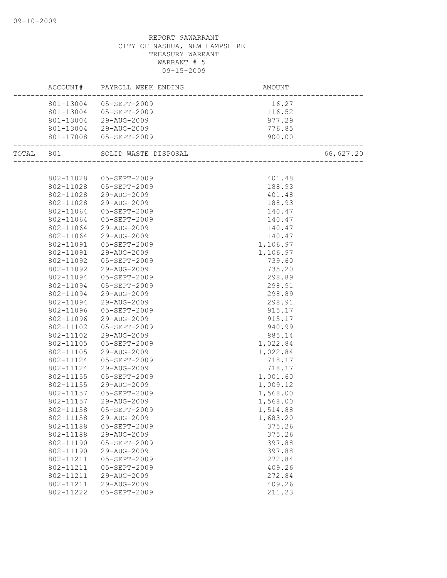|           |           | ACCOUNT# PAYROLL WEEK ENDING | <b>AMOUNT</b> |           |
|-----------|-----------|------------------------------|---------------|-----------|
|           |           | 801-13004 05-SEPT-2009       | 16.27         |           |
|           |           | 801-13004 05-SEPT-2009       | 116.52        |           |
|           |           | 801-13004 29-AUG-2009        | 977.29        |           |
|           |           | 801-13004 29-AUG-2009        | 776.85        |           |
|           |           | 801-17008 05-SEPT-2009       | 900.00        |           |
| TOTAL 801 |           | SOLID WASTE DISPOSAL         |               | 66,627.20 |
|           |           |                              |               |           |
|           |           | 802-11028 05-SEPT-2009       | 401.48        |           |
|           |           | 802-11028 05-SEPT-2009       | 188.93        |           |
|           |           | 802-11028 29-AUG-2009        | 401.48        |           |
|           | 802-11028 | 29-AUG-2009                  | 188.93        |           |
|           | 802-11064 | 05-SEPT-2009                 | 140.47        |           |
|           | 802-11064 | 05-SEPT-2009                 | 140.47        |           |
|           | 802-11064 | 29-AUG-2009                  | 140.47        |           |
|           | 802-11064 | 29-AUG-2009                  | 140.47        |           |
|           | 802-11091 | 05-SEPT-2009                 | 1,106.97      |           |
|           | 802-11091 | 29-AUG-2009                  | 1,106.97      |           |
|           | 802-11092 | 05-SEPT-2009                 | 739.60        |           |
|           | 802-11092 | 29-AUG-2009                  | 735.20        |           |
|           | 802-11094 | 05-SEPT-2009                 | 298.89        |           |
|           | 802-11094 | 05-SEPT-2009                 | 298.91        |           |
|           | 802-11094 | 29-AUG-2009                  | 298.89        |           |
|           | 802-11094 | 29-AUG-2009                  | 298.91        |           |
|           | 802-11096 | 05-SEPT-2009                 | 915.17        |           |
|           | 802-11096 | 29-AUG-2009                  | 915.17        |           |
|           | 802-11102 | 05-SEPT-2009                 | 940.99        |           |
|           | 802-11102 | 29-AUG-2009                  | 885.14        |           |
|           | 802-11105 | 05-SEPT-2009                 | 1,022.84      |           |
|           | 802-11105 | 29-AUG-2009                  | 1,022.84      |           |
|           | 802-11124 | 05-SEPT-2009                 | 718.17        |           |
|           | 802-11124 | 29-AUG-2009                  | 718.17        |           |
|           | 802-11155 | 05-SEPT-2009                 | 1,001.60      |           |
|           | 802-11155 | 29-AUG-2009                  | 1,009.12      |           |
|           | 802-11157 | 05-SEPT-2009                 | 1,568.00      |           |
|           | 802-11157 | 29-AUG-2009                  | 1,568.00      |           |
|           |           | 802-11158 05-SEPT-2009       | 1,514.88      |           |
|           | 802-11158 | 29-AUG-2009                  | 1,683.20      |           |
|           | 802-11188 | 05-SEPT-2009                 | 375.26        |           |
|           | 802-11188 | 29-AUG-2009                  | 375.26        |           |
|           | 802-11190 | 05-SEPT-2009                 | 397.88        |           |
|           | 802-11190 | 29-AUG-2009                  | 397.88        |           |
|           | 802-11211 | 05-SEPT-2009                 | 272.84        |           |
|           | 802-11211 | 05-SEPT-2009                 | 409.26        |           |
|           | 802-11211 | 29-AUG-2009                  | 272.84        |           |
|           | 802-11211 | 29-AUG-2009                  | 409.26        |           |
|           | 802-11222 | 05-SEPT-2009                 | 211.23        |           |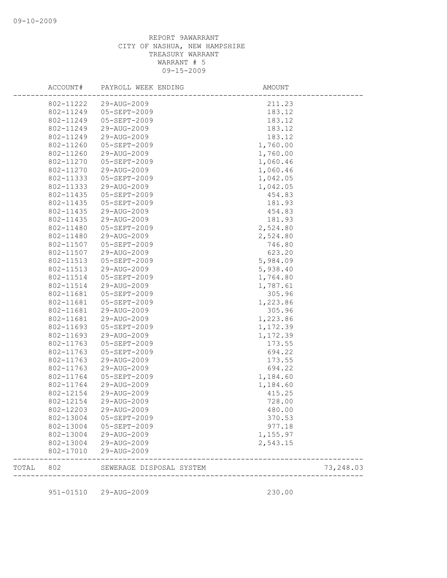|       | ACCOUNT#  | PAYROLL WEEK ENDING      | AMOUNT                    |           |
|-------|-----------|--------------------------|---------------------------|-----------|
|       | 802-11222 | 29-AUG-2009              | 211.23                    |           |
|       | 802-11249 | 05-SEPT-2009             | 183.12                    |           |
|       | 802-11249 | 05-SEPT-2009             | 183.12                    |           |
|       | 802-11249 | 29-AUG-2009              | 183.12                    |           |
|       | 802-11249 | 29-AUG-2009              | 183.12                    |           |
|       | 802-11260 | 05-SEPT-2009             | 1,760.00                  |           |
|       | 802-11260 | 29-AUG-2009              | 1,760.00                  |           |
|       | 802-11270 | 05-SEPT-2009             | 1,060.46                  |           |
|       | 802-11270 | 29-AUG-2009              | 1,060.46                  |           |
|       | 802-11333 | 05-SEPT-2009             | 1,042.05                  |           |
|       | 802-11333 | 29-AUG-2009              | 1,042.05                  |           |
|       | 802-11435 | 05-SEPT-2009             | 454.83                    |           |
|       | 802-11435 | 05-SEPT-2009             | 181.93                    |           |
|       | 802-11435 | 29-AUG-2009              | 454.83                    |           |
|       | 802-11435 | 29-AUG-2009              | 181.93                    |           |
|       | 802-11480 | 05-SEPT-2009             | 2,524.80                  |           |
|       | 802-11480 | 29-AUG-2009              | 2,524.80                  |           |
|       | 802-11507 | 05-SEPT-2009             | 746.80                    |           |
|       | 802-11507 | 29-AUG-2009              | 623.20                    |           |
|       | 802-11513 | 05-SEPT-2009             | 5,984.09                  |           |
|       | 802-11513 | 29-AUG-2009              | 5,938.40                  |           |
|       | 802-11514 | 05-SEPT-2009             | 1,764.80                  |           |
|       | 802-11514 | 29-AUG-2009              | 1,787.61                  |           |
|       | 802-11681 | 05-SEPT-2009             | 305.96                    |           |
|       | 802-11681 | 05-SEPT-2009             |                           |           |
|       |           |                          | 1,223.86                  |           |
|       | 802-11681 | 29-AUG-2009              | 305.96                    |           |
|       | 802-11681 | 29-AUG-2009              | 1,223.86                  |           |
|       | 802-11693 | 05-SEPT-2009             | 1,172.39                  |           |
|       | 802-11693 | 29-AUG-2009              | 1,172.39                  |           |
|       | 802-11763 | 05-SEPT-2009             | 173.55                    |           |
|       | 802-11763 | 05-SEPT-2009             | 694.22                    |           |
|       | 802-11763 | 29-AUG-2009              | 173.55                    |           |
|       | 802-11763 | 29-AUG-2009              | 694.22                    |           |
|       | 802-11764 | 05-SEPT-2009             | 1,184.60                  |           |
|       | 802-11764 | 29-AUG-2009              | 1,184.60                  |           |
|       | 802-12154 | 29-AUG-2009              | 415.25                    |           |
|       | 802-12154 | 29-AUG-2009              | 728.00                    |           |
|       | 802-12203 | 29-AUG-2009              | 480.00                    |           |
|       | 802-13004 | 05-SEPT-2009             | 370.53                    |           |
|       | 802-13004 | 05-SEPT-2009             | 977.18                    |           |
|       | 802-13004 | 29-AUG-2009              | 1,155.97                  |           |
|       | 802-13004 | 29-AUG-2009              | 2,543.15                  |           |
|       | 802-17010 | 29-AUG-2009              |                           |           |
| TOTAL | 802       | SEWERAGE DISPOSAL SYSTEM | ------------------------- | 73,248.03 |
|       |           |                          |                           |           |
|       | 951-01510 | 29-AUG-2009              | 230.00                    |           |